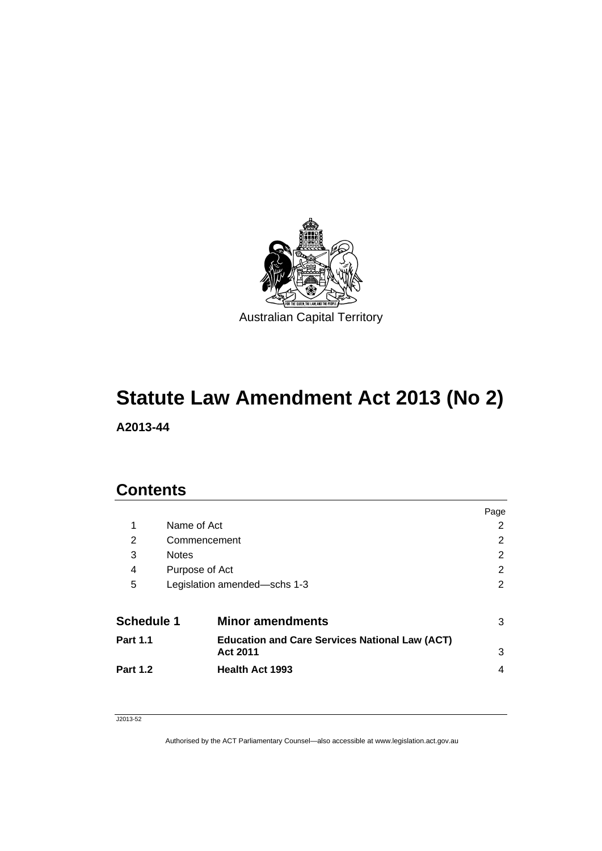

# **Statute Law Amendment Act 2013 (No 2)**

**A2013-44** 

## **Contents**

|                   |              |                                                                          | Page |
|-------------------|--------------|--------------------------------------------------------------------------|------|
| 1                 | Name of Act  |                                                                          | 2    |
| 2                 |              | Commencement                                                             | 2    |
| 3                 | <b>Notes</b> |                                                                          | 2    |
| 4                 |              | Purpose of Act                                                           | 2    |
| 5                 |              | Legislation amended-schs 1-3                                             | 2    |
| <b>Schedule 1</b> |              | <b>Minor amendments</b>                                                  | 3    |
| <b>Part 1.1</b>   |              | <b>Education and Care Services National Law (ACT)</b><br><b>Act 2011</b> | 3    |
| <b>Part 1.2</b>   |              | <b>Health Act 1993</b>                                                   | 4    |

### J2013-52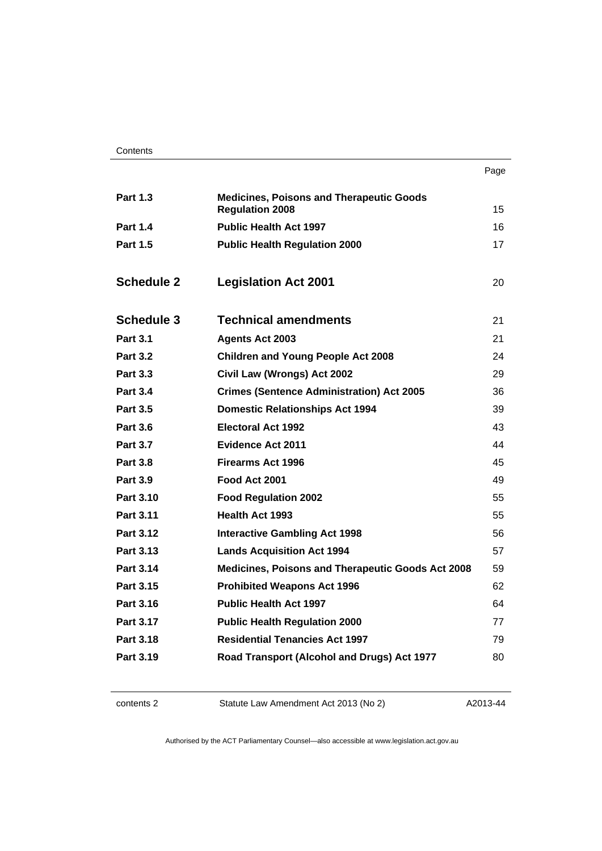| . .<br>×<br>×<br>۰. |
|---------------------|
|---------------------|

| <b>Part 1.3</b>   | <b>Medicines, Poisons and Therapeutic Goods</b><br><b>Regulation 2008</b> | 15 |
|-------------------|---------------------------------------------------------------------------|----|
| <b>Part 1.4</b>   | <b>Public Health Act 1997</b>                                             | 16 |
| <b>Part 1.5</b>   | <b>Public Health Regulation 2000</b>                                      | 17 |
| <b>Schedule 2</b> | <b>Legislation Act 2001</b>                                               | 20 |
|                   |                                                                           |    |
| <b>Schedule 3</b> | <b>Technical amendments</b>                                               | 21 |
| <b>Part 3.1</b>   | <b>Agents Act 2003</b>                                                    | 21 |
| <b>Part 3.2</b>   | <b>Children and Young People Act 2008</b>                                 | 24 |
| <b>Part 3.3</b>   | Civil Law (Wrongs) Act 2002                                               | 29 |
| <b>Part 3.4</b>   | <b>Crimes (Sentence Administration) Act 2005</b>                          | 36 |
| <b>Part 3.5</b>   | <b>Domestic Relationships Act 1994</b>                                    | 39 |
| <b>Part 3.6</b>   | <b>Electoral Act 1992</b>                                                 | 43 |
| <b>Part 3.7</b>   | <b>Evidence Act 2011</b>                                                  | 44 |
| <b>Part 3.8</b>   | <b>Firearms Act 1996</b>                                                  | 45 |
| <b>Part 3.9</b>   | Food Act 2001                                                             | 49 |
| <b>Part 3.10</b>  | <b>Food Regulation 2002</b>                                               | 55 |
| <b>Part 3.11</b>  | <b>Health Act 1993</b>                                                    | 55 |
| <b>Part 3.12</b>  | <b>Interactive Gambling Act 1998</b>                                      | 56 |
| Part 3.13         | <b>Lands Acquisition Act 1994</b>                                         | 57 |
| Part 3.14         | Medicines, Poisons and Therapeutic Goods Act 2008                         | 59 |
| Part 3.15         | <b>Prohibited Weapons Act 1996</b>                                        | 62 |
| <b>Part 3.16</b>  | <b>Public Health Act 1997</b>                                             | 64 |
| <b>Part 3.17</b>  | <b>Public Health Regulation 2000</b>                                      | 77 |
| Part 3.18         | <b>Residential Tenancies Act 1997</b>                                     | 79 |
| Part 3.19         | Road Transport (Alcohol and Drugs) Act 1977                               | 80 |
|                   |                                                                           |    |

| contents 2 |
|------------|
|------------|

2 Statute Law Amendment Act 2013 (No 2)

A2013-44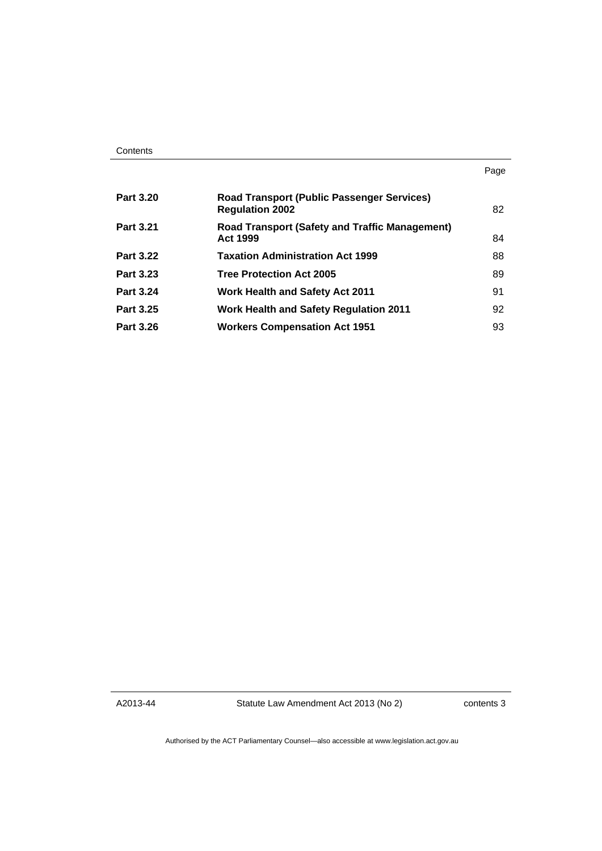| Contents |
|----------|
|----------|

| <b>Part 3.20</b> | <b>Road Transport (Public Passenger Services)</b><br><b>Regulation 2002</b> | 82 |
|------------------|-----------------------------------------------------------------------------|----|
| <b>Part 3.21</b> | <b>Road Transport (Safety and Traffic Management)</b><br><b>Act 1999</b>    | 84 |
| <b>Part 3.22</b> | <b>Taxation Administration Act 1999</b>                                     | 88 |
| Part 3.23        | <b>Tree Protection Act 2005</b>                                             | 89 |
| Part 3.24        | <b>Work Health and Safety Act 2011</b>                                      | 91 |
| <b>Part 3.25</b> | <b>Work Health and Safety Regulation 2011</b>                               | 92 |
| <b>Part 3.26</b> | <b>Workers Compensation Act 1951</b>                                        | 93 |

A2013-44

Statute Law Amendment Act 2013 (No 2)

contents 3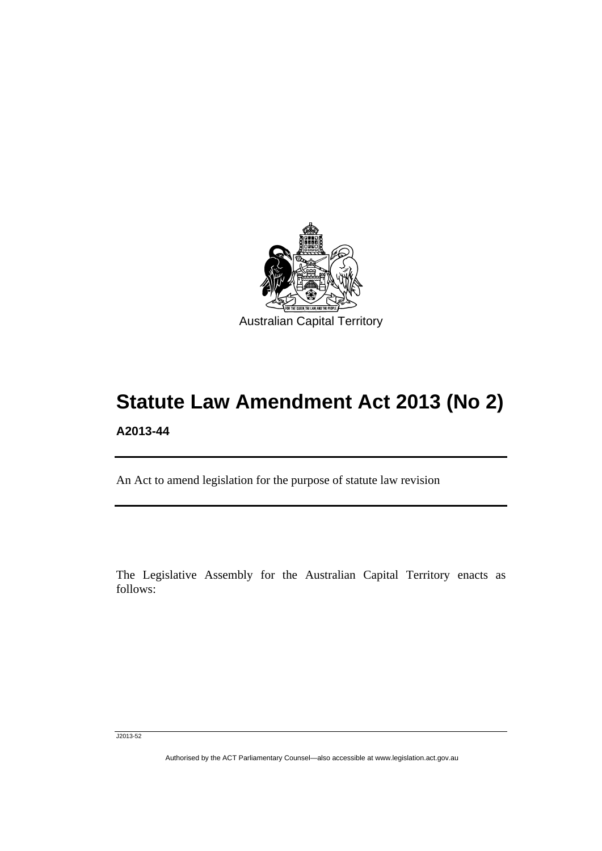

# **Statute Law Amendment Act 2013 (No 2) A2013-44**

An Act to amend legislation for the purpose of statute law revision

The Legislative Assembly for the Australian Capital Territory enacts as follows:

J2013-52

l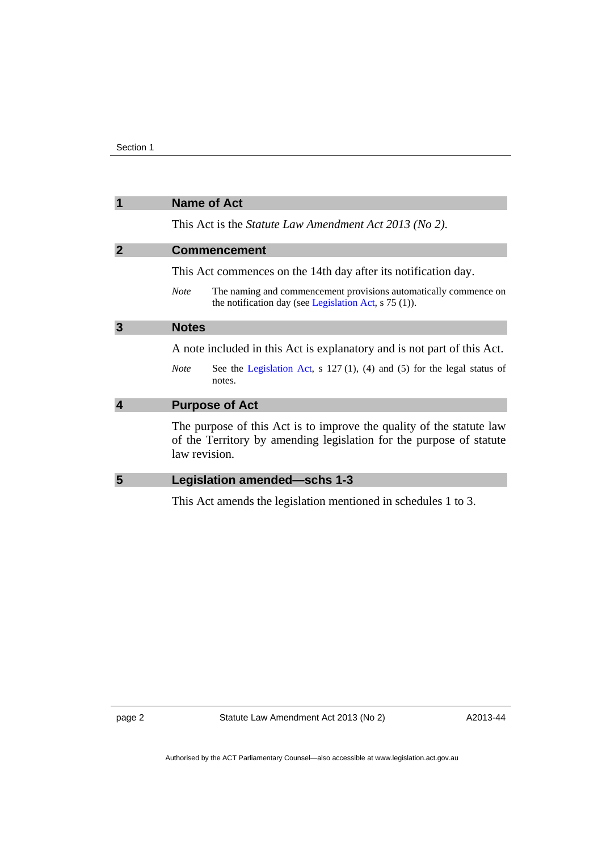<span id="page-5-3"></span><span id="page-5-2"></span><span id="page-5-1"></span><span id="page-5-0"></span>

| 1              | <b>Name of Act</b>                                                                                                                                           |
|----------------|--------------------------------------------------------------------------------------------------------------------------------------------------------------|
|                | This Act is the <i>Statute Law Amendment Act 2013 (No 2)</i> .                                                                                               |
| $\overline{2}$ | <b>Commencement</b>                                                                                                                                          |
|                | This Act commences on the 14th day after its notification day.                                                                                               |
|                | The naming and commencement provisions automatically commence on<br><b>Note</b><br>the notification day (see Legislation Act, $s$ 75 (1)).                   |
| 3              | <b>Notes</b>                                                                                                                                                 |
|                | A note included in this Act is explanatory and is not part of this Act.                                                                                      |
|                | See the Legislation Act, $s$ 127(1), (4) and (5) for the legal status of<br><b>Note</b><br>notes.                                                            |
| $\overline{4}$ | <b>Purpose of Act</b>                                                                                                                                        |
|                | The purpose of this Act is to improve the quality of the statute law<br>of the Territory by amending legislation for the purpose of statute<br>law revision. |
| 5              | Legislation amended-schs 1-3                                                                                                                                 |
|                | This Act amends the legislation mentioned in schedules 1 to 3.                                                                                               |

<span id="page-5-4"></span>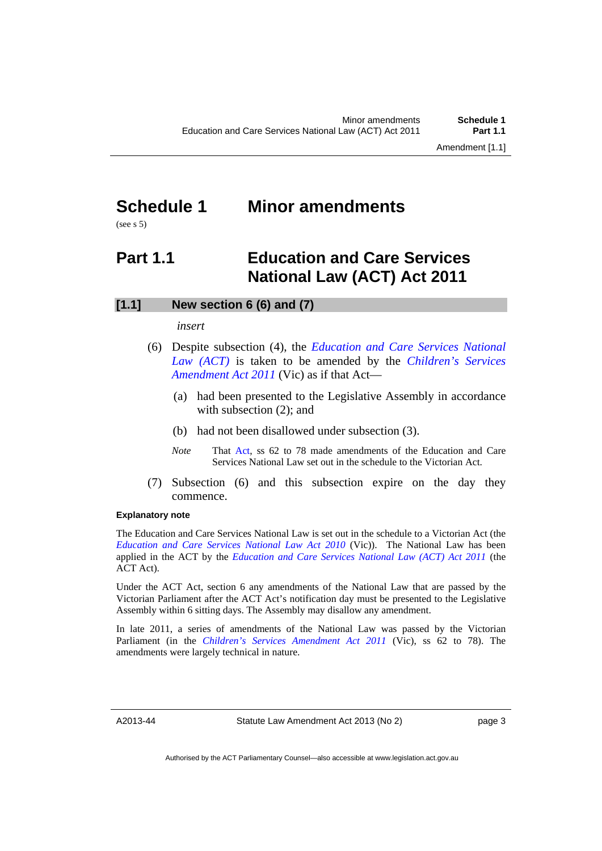## <span id="page-6-0"></span>**Schedule 1 Minor amendments**

(see s 5)

## <span id="page-6-1"></span>**Part 1.1 Education and Care Services National Law (ACT) Act 2011**

## **[1.1] New section 6 (6) and (7)**

### *insert*

- (6) Despite subsection (4), the *[Education and Care Services National](http://www.legislation.act.gov.au/a/2011-42/default.asp)  [Law \(ACT\)](http://www.legislation.act.gov.au/a/2011-42/default.asp)* is taken to be amended by the *[Children's Services](http://www.legislation.vic.gov.au/)  [Amendment Act 2011](http://www.legislation.vic.gov.au/)* (Vic) as if that Act—
	- (a) had been presented to the Legislative Assembly in accordance with subsection  $(2)$ ; and
	- (b) had not been disallowed under subsection (3).
	- *Note* **That [Act](http://www.legislation.vic.gov.au/), ss 62 to 78 made amendments of the Education and Care** Services National Law set out in the schedule to the Victorian Act.
- (7) Subsection (6) and this subsection expire on the day they commence.

### **Explanatory note**

The Education and Care Services National Law is set out in the schedule to a Victorian Act (the *[Education and Care Services National Law Act 2010](http://www.legislation.vic.gov.au/)* (Vic)). The National Law has been applied in the ACT by the *[Education and Care Services National Law \(ACT\) Act 2011](http://www.legislation.act.gov.au/a/2011-42)* (the ACT Act).

Under the ACT Act, section 6 any amendments of the National Law that are passed by the Victorian Parliament after the ACT Act's notification day must be presented to the Legislative Assembly within 6 sitting days. The Assembly may disallow any amendment.

In late 2011, a series of amendments of the National Law was passed by the Victorian Parliament (in the *[Children's Services Amendment Act 2011](http://www.legislation.vic.gov.au/)* (Vic), ss 62 to 78). The amendments were largely technical in nature.

A2013-44

Statute Law Amendment Act 2013 (No 2)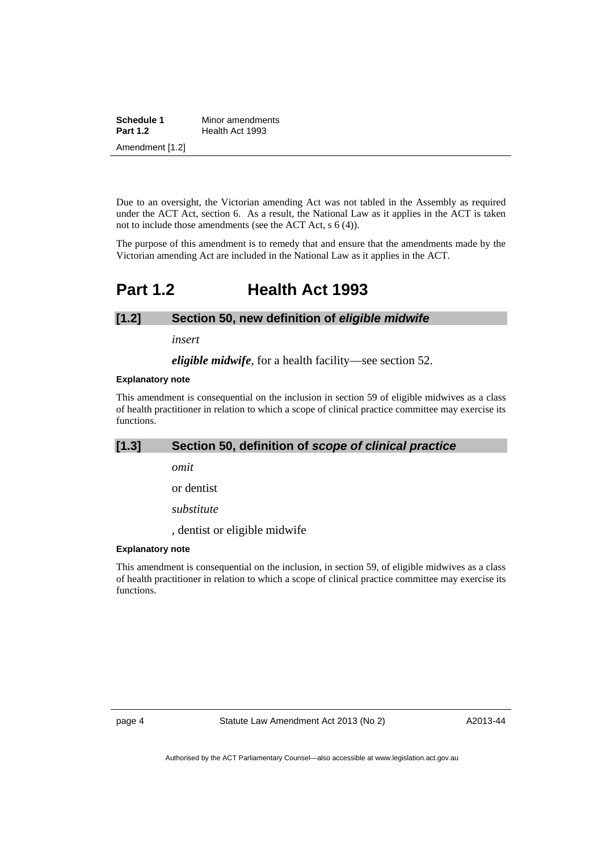| Schedule 1      | Minor amendments |
|-----------------|------------------|
| <b>Part 1.2</b> | Health Act 1993  |
| Amendment [1.2] |                  |

Due to an oversight, the Victorian amending Act was not tabled in the Assembly as required under the ACT Act, section 6. As a result, the National Law as it applies in the ACT is taken not to include those amendments (see the ACT Act, s 6 (4)).

The purpose of this amendment is to remedy that and ensure that the amendments made by the Victorian amending Act are included in the National Law as it applies in the ACT.

## <span id="page-7-0"></span>**Part 1.2 Health Act 1993**

### **[1.2] Section 50, new definition of** *eligible midwife*

*insert* 

*eligible midwife*, for a health facility—see section 52.

#### **Explanatory note**

This amendment is consequential on the inclusion in section 59 of eligible midwives as a class of health practitioner in relation to which a scope of clinical practice committee may exercise its functions.

## **[1.3] Section 50, definition of** *scope of clinical practice*

*omit* 

or dentist

*substitute* 

, dentist or eligible midwife

### **Explanatory note**

This amendment is consequential on the inclusion, in section 59, of eligible midwives as a class of health practitioner in relation to which a scope of clinical practice committee may exercise its functions.

page 4 Statute Law Amendment Act 2013 (No 2)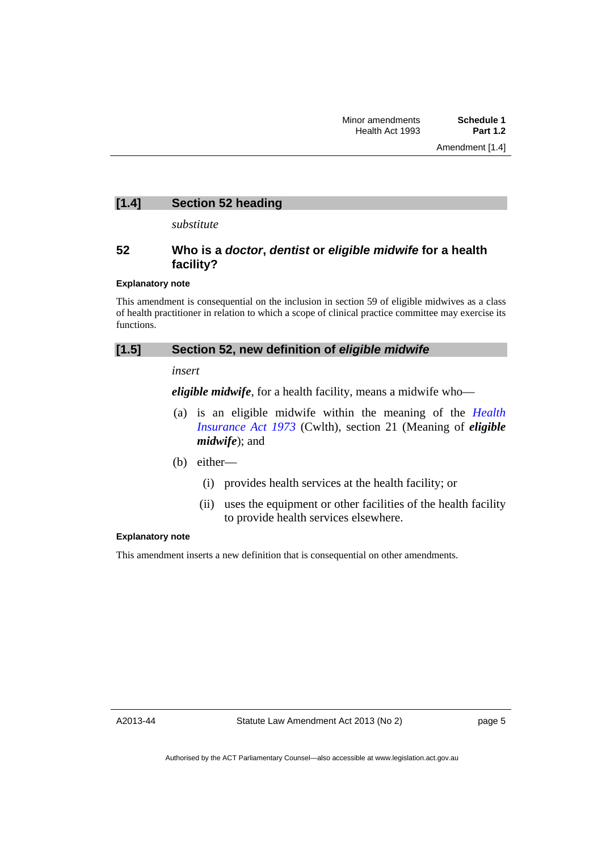## **[1.4] Section 52 heading**

*substitute* 

## **52 Who is a** *doctor***,** *dentist* **or** *eligible midwife* **for a health facility?**

### **Explanatory note**

This amendment is consequential on the inclusion in section 59 of eligible midwives as a class of health practitioner in relation to which a scope of clinical practice committee may exercise its functions.

### **[1.5] Section 52, new definition of** *eligible midwife*

*insert* 

*eligible midwife*, for a health facility, means a midwife who—

 (a) is an eligible midwife within the meaning of the *[Health](http://www.comlaw.gov.au/Series/C2004A00101)  [Insurance Act 1973](http://www.comlaw.gov.au/Series/C2004A00101)* (Cwlth), section 21 (Meaning of *eligible midwife*); and

(b) either—

- (i) provides health services at the health facility; or
- (ii) uses the equipment or other facilities of the health facility to provide health services elsewhere.

### **Explanatory note**

This amendment inserts a new definition that is consequential on other amendments.

A2013-44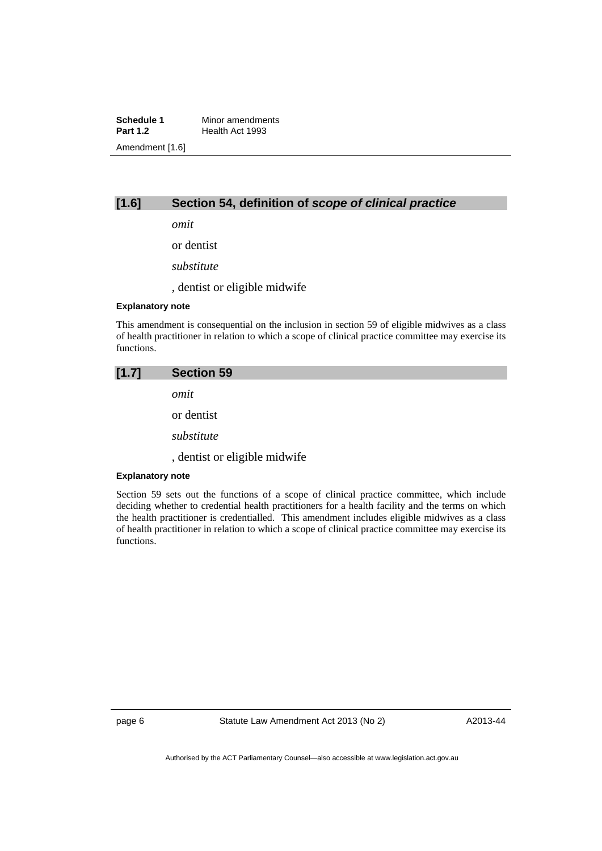**Schedule 1** Minor amendments<br>**Part 1.2** Health Act 1993 **Health Act 1993** Amendment [1.6]

## **[1.6] Section 54, definition of** *scope of clinical practice*

*omit* 

or dentist

*substitute* 

, dentist or eligible midwife

### **Explanatory note**

This amendment is consequential on the inclusion in section 59 of eligible midwives as a class of health practitioner in relation to which a scope of clinical practice committee may exercise its functions.

## **[1.7] Section 59**

*omit* 

or dentist

*substitute* 

, dentist or eligible midwife

#### **Explanatory note**

Section 59 sets out the functions of a scope of clinical practice committee, which include deciding whether to credential health practitioners for a health facility and the terms on which the health practitioner is credentialled. This amendment includes eligible midwives as a class of health practitioner in relation to which a scope of clinical practice committee may exercise its functions.

page 6 Statute Law Amendment Act 2013 (No 2)

A2013-44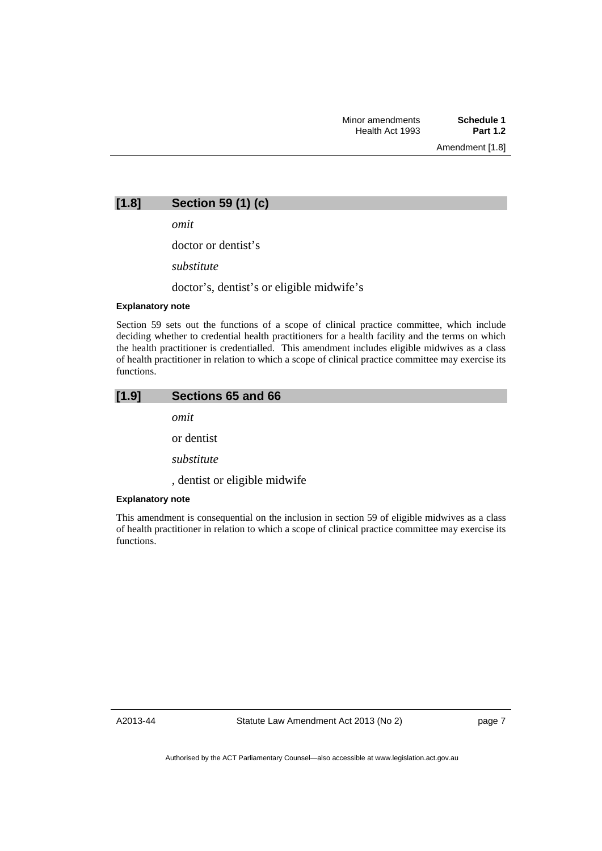Amendment [1.8]

**[1.8] Section 59 (1) (c)** 

*omit* 

doctor or dentist's

*substitute* 

doctor's, dentist's or eligible midwife's

## **Explanatory note**

Section 59 sets out the functions of a scope of clinical practice committee, which include deciding whether to credential health practitioners for a health facility and the terms on which the health practitioner is credentialled. This amendment includes eligible midwives as a class of health practitioner in relation to which a scope of clinical practice committee may exercise its functions.

| [1.9] |  | Sections 65 and 66 |
|-------|--|--------------------|
|-------|--|--------------------|

*omit* 

or dentist

*substitute* 

, dentist or eligible midwife

### **Explanatory note**

This amendment is consequential on the inclusion in section 59 of eligible midwives as a class of health practitioner in relation to which a scope of clinical practice committee may exercise its functions.

A2013-44

page 7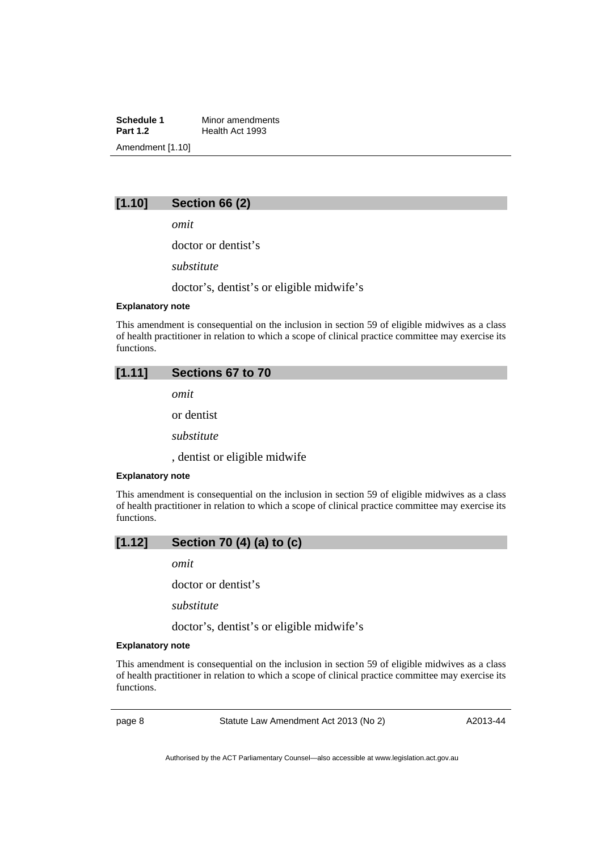**Schedule 1** Minor amendments<br>**Part 1.2** Health Act 1993 **Health Act 1993** Amendment [1.10]

## **[1.10] Section 66 (2)**

*omit* 

doctor or dentist's

*substitute* 

doctor's, dentist's or eligible midwife's

### **Explanatory note**

This amendment is consequential on the inclusion in section 59 of eligible midwives as a class of health practitioner in relation to which a scope of clinical practice committee may exercise its functions.

## **[1.11] Sections 67 to 70**

*omit* 

or dentist

*substitute*

, dentist or eligible midwife

#### **Explanatory note**

This amendment is consequential on the inclusion in section 59 of eligible midwives as a class of health practitioner in relation to which a scope of clinical practice committee may exercise its functions.

## **[1.12] Section 70 (4) (a) to (c)**

*omit* 

doctor or dentist's

*substitute* 

doctor's, dentist's or eligible midwife's

### **Explanatory note**

This amendment is consequential on the inclusion in section 59 of eligible midwives as a class of health practitioner in relation to which a scope of clinical practice committee may exercise its functions.

page 8 Statute Law Amendment Act 2013 (No 2)

A2013-44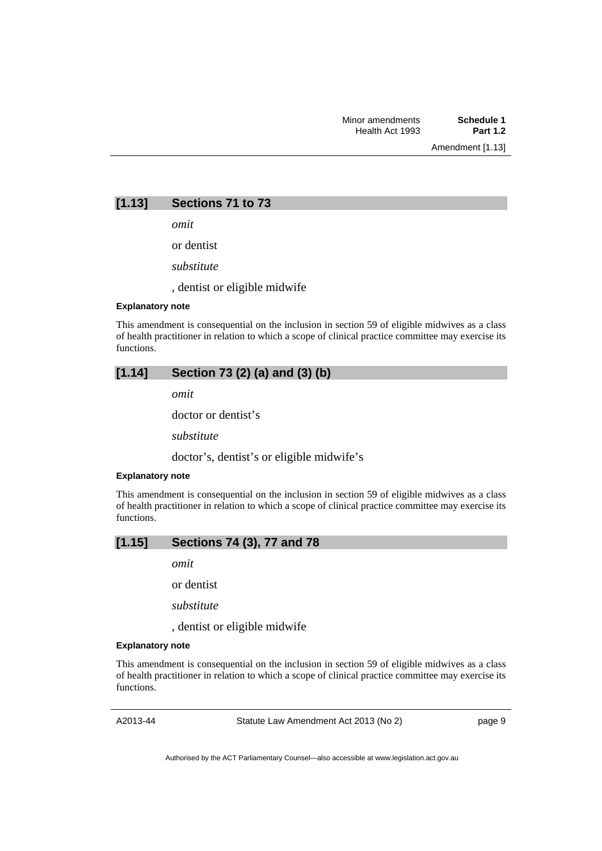Amendment [1.13]

## **[1.13] Sections 71 to 73**

*omit* 

or dentist

*substitute*

, dentist or eligible midwife

### **Explanatory note**

This amendment is consequential on the inclusion in section 59 of eligible midwives as a class of health practitioner in relation to which a scope of clinical practice committee may exercise its functions.

## **[1.14] Section 73 (2) (a) and (3) (b)**

*omit* 

doctor or dentist's

*substitute*

doctor's, dentist's or eligible midwife's

#### **Explanatory note**

This amendment is consequential on the inclusion in section 59 of eligible midwives as a class of health practitioner in relation to which a scope of clinical practice committee may exercise its functions.

### **[1.15] Sections 74 (3), 77 and 78**

*omit* 

or dentist

*substitute* 

, dentist or eligible midwife

### **Explanatory note**

This amendment is consequential on the inclusion in section 59 of eligible midwives as a class of health practitioner in relation to which a scope of clinical practice committee may exercise its functions.

A2013-44

Statute Law Amendment Act 2013 (No 2)

page 9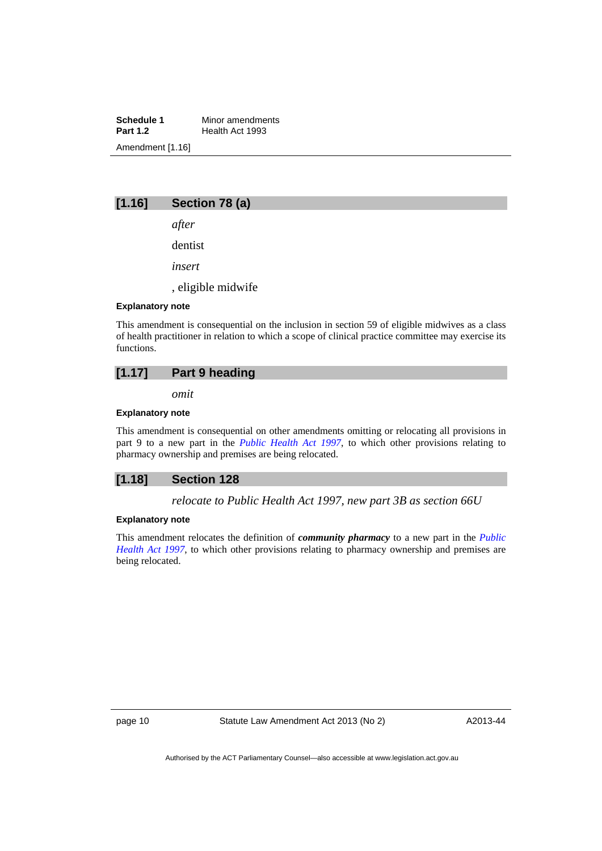**Schedule 1** Minor amendments<br>**Part 1.2** Health Act 1993 **Health Act 1993** Amendment [1.16]

## **[1.16] Section 78 (a)**

*after* 

dentist

*insert* 

, eligible midwife

### **Explanatory note**

This amendment is consequential on the inclusion in section 59 of eligible midwives as a class of health practitioner in relation to which a scope of clinical practice committee may exercise its functions.

## **[1.17] Part 9 heading**

*omit* 

### **Explanatory note**

This amendment is consequential on other amendments omitting or relocating all provisions in part 9 to a new part in the *[Public Health Act 1997](http://www.legislation.act.gov.au/a/1997-69)*, to which other provisions relating to pharmacy ownership and premises are being relocated.

### **[1.18] Section 128**

*relocate to Public Health Act 1997, new part 3B as section 66U* 

### **Explanatory note**

This amendment relocates the definition of *community pharmacy* to a new part in the *[Public](http://www.legislation.act.gov.au/a/1997-69)  [Health Act 1997](http://www.legislation.act.gov.au/a/1997-69)*, to which other provisions relating to pharmacy ownership and premises are being relocated.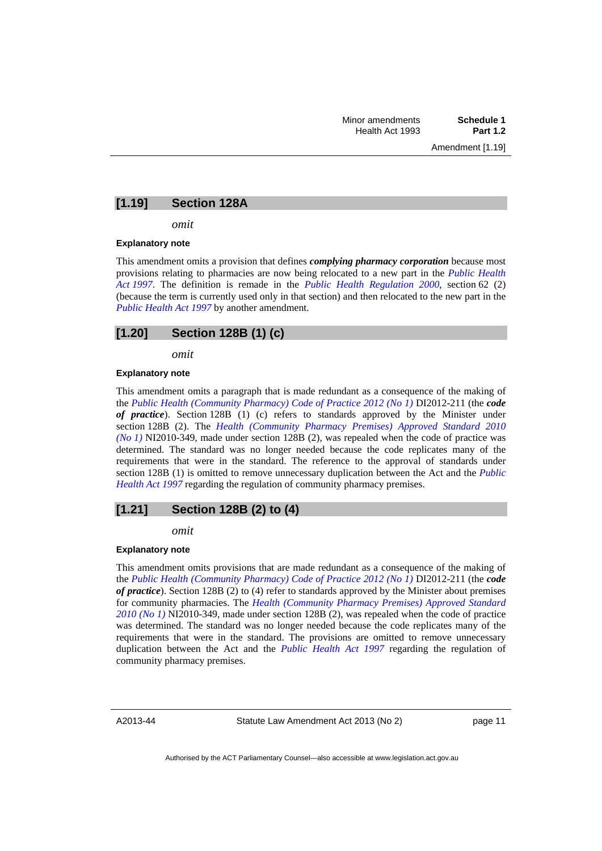## **[1.19] Section 128A**

*omit* 

#### **Explanatory note**

This amendment omits a provision that defines *complying pharmacy corporation* because most provisions relating to pharmacies are now being relocated to a new part in the *[Public Health](http://www.legislation.act.gov.au/a/1997-69)  [Act 1997](http://www.legislation.act.gov.au/a/1997-69)*. The definition is remade in the *[Public Health Regulation 2000](http://www.legislation.act.gov.au/sl/2000-1)*, section 62 (2) (because the term is currently used only in that section) and then relocated to the new part in the *[Public Health Act 1997](http://www.legislation.act.gov.au/a/1997-69)* by another amendment.

## **[1.20] Section 128B (1) (c)**

*omit* 

#### **Explanatory note**

This amendment omits a paragraph that is made redundant as a consequence of the making of the *[Public Health \(Community Pharmacy\) Code of Practice 2012 \(No 1\)](http://www.legislation.act.gov.au/di/2012-211/default.asp)* DI2012-211 (the *code of practice*). Section 128B (1) (c) refers to standards approved by the Minister under section 128B (2). The *[Health \(Community Pharmacy Premises\) Approved Standard 2010](http://www.legislation.act.gov.au/ni/2010-349/default.asp)  [\(No 1\)](http://www.legislation.act.gov.au/ni/2010-349/default.asp)* NI2010-349, made under section 128B (2), was repealed when the code of practice was determined. The standard was no longer needed because the code replicates many of the requirements that were in the standard. The reference to the approval of standards under section 128B (1) is omitted to remove unnecessary duplication between the Act and the *[Public](http://www.legislation.act.gov.au/a/1997-69)  [Health Act 1997](http://www.legislation.act.gov.au/a/1997-69)* regarding the regulation of community pharmacy premises.

### **[1.21] Section 128B (2) to (4)**

*omit* 

#### **Explanatory note**

This amendment omits provisions that are made redundant as a consequence of the making of the *[Public Health \(Community Pharmacy\) Code of Practice 2012 \(No 1\)](http://www.legislation.act.gov.au/di/2012-211/default.asp)* DI2012-211 (the *code of practice*). Section 128B (2) to (4) refer to standards approved by the Minister about premises for community pharmacies. The *[Health \(Community Pharmacy Premises\) Approved Standard](http://www.legislation.act.gov.au/ni/2010-349/default.asp)  [2010 \(No 1\)](http://www.legislation.act.gov.au/ni/2010-349/default.asp)* NI2010-349, made under section 128B (2), was repealed when the code of practice was determined. The standard was no longer needed because the code replicates many of the requirements that were in the standard. The provisions are omitted to remove unnecessary duplication between the Act and the *[Public Health Act 1997](http://www.legislation.act.gov.au/a/1997-69)* regarding the regulation of community pharmacy premises.

A2013-44

Statute Law Amendment Act 2013 (No 2)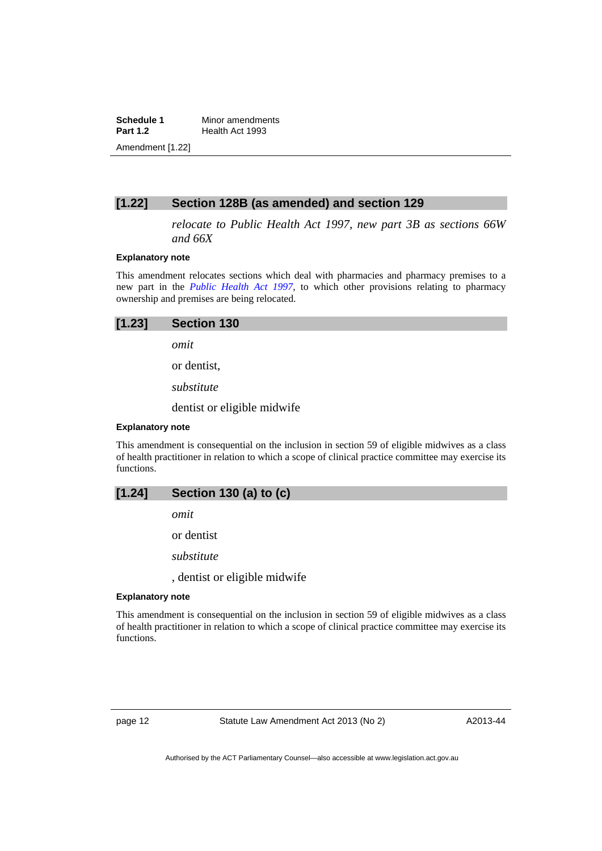**Schedule 1** Minor amendments<br>**Part 1.2** Health Act 1993 **Health Act 1993** Amendment [1.22]

## **[1.22] Section 128B (as amended) and section 129**

*relocate to Public Health Act 1997, new part 3B as sections 66W and 66X* 

### **Explanatory note**

This amendment relocates sections which deal with pharmacies and pharmacy premises to a new part in the *[Public Health Act 1997](http://www.legislation.act.gov.au/a/1997-69)*, to which other provisions relating to pharmacy ownership and premises are being relocated.

| [1.23]<br>Section 130 |  |
|-----------------------|--|
|-----------------------|--|

*omit* 

or dentist,

*substitute*

dentist or eligible midwife

### **Explanatory note**

This amendment is consequential on the inclusion in section 59 of eligible midwives as a class of health practitioner in relation to which a scope of clinical practice committee may exercise its functions.

## **[1.24] Section 130 (a) to (c)**

*omit* 

or dentist

*substitute* 

, dentist or eligible midwife

### **Explanatory note**

This amendment is consequential on the inclusion in section 59 of eligible midwives as a class of health practitioner in relation to which a scope of clinical practice committee may exercise its functions.

page 12 Statute Law Amendment Act 2013 (No 2)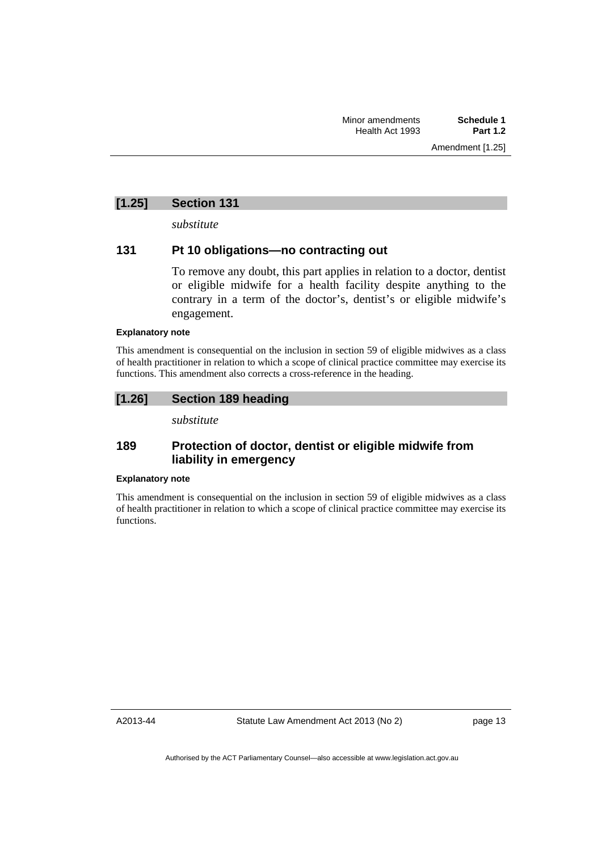## **[1.25] Section 131**

*substitute* 

## **131 Pt 10 obligations—no contracting out**

To remove any doubt, this part applies in relation to a doctor, dentist or eligible midwife for a health facility despite anything to the contrary in a term of the doctor's, dentist's or eligible midwife's engagement.

### **Explanatory note**

This amendment is consequential on the inclusion in section 59 of eligible midwives as a class of health practitioner in relation to which a scope of clinical practice committee may exercise its functions. This amendment also corrects a cross-reference in the heading.

## **[1.26] Section 189 heading**

*substitute* 

## **189 Protection of doctor, dentist or eligible midwife from liability in emergency**

### **Explanatory note**

This amendment is consequential on the inclusion in section 59 of eligible midwives as a class of health practitioner in relation to which a scope of clinical practice committee may exercise its functions.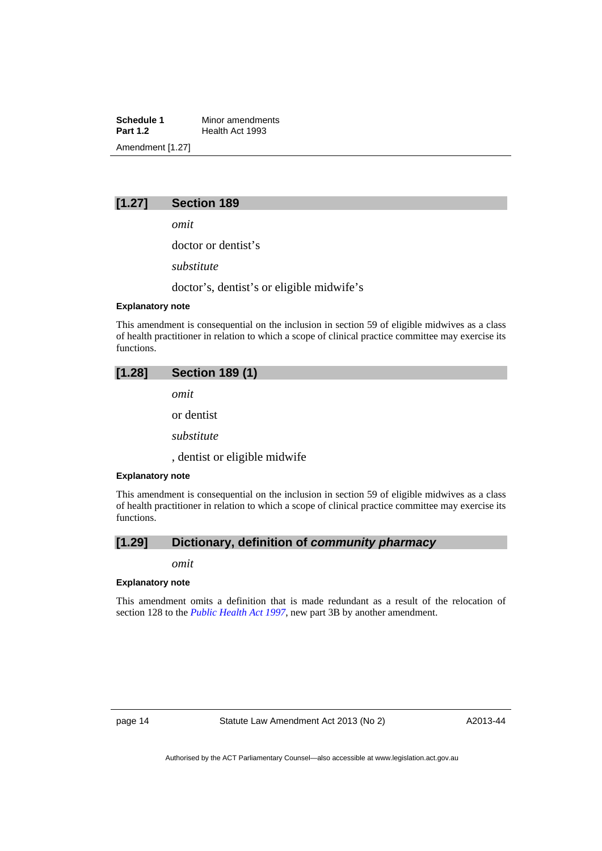**Schedule 1** Minor amendments<br>**Part 1.2** Health Act 1993 **Health Act 1993** Amendment [1.27]

## **[1.27] Section 189**

*omit* 

doctor or dentist's

*substitute* 

doctor's, dentist's or eligible midwife's

### **Explanatory note**

This amendment is consequential on the inclusion in section 59 of eligible midwives as a class of health practitioner in relation to which a scope of clinical practice committee may exercise its functions.

## **[1.28] Section 189 (1)**  *omit*  or dentist

*substitute* 

, dentist or eligible midwife

### **Explanatory note**

This amendment is consequential on the inclusion in section 59 of eligible midwives as a class of health practitioner in relation to which a scope of clinical practice committee may exercise its functions.

## **[1.29] Dictionary, definition of** *community pharmacy*

### *omit*

### **Explanatory note**

This amendment omits a definition that is made redundant as a result of the relocation of section 128 to the *[Public Health Act 1997](http://www.legislation.act.gov.au/a/1997-69)*, new part 3B by another amendment.

page 14 Statute Law Amendment Act 2013 (No 2)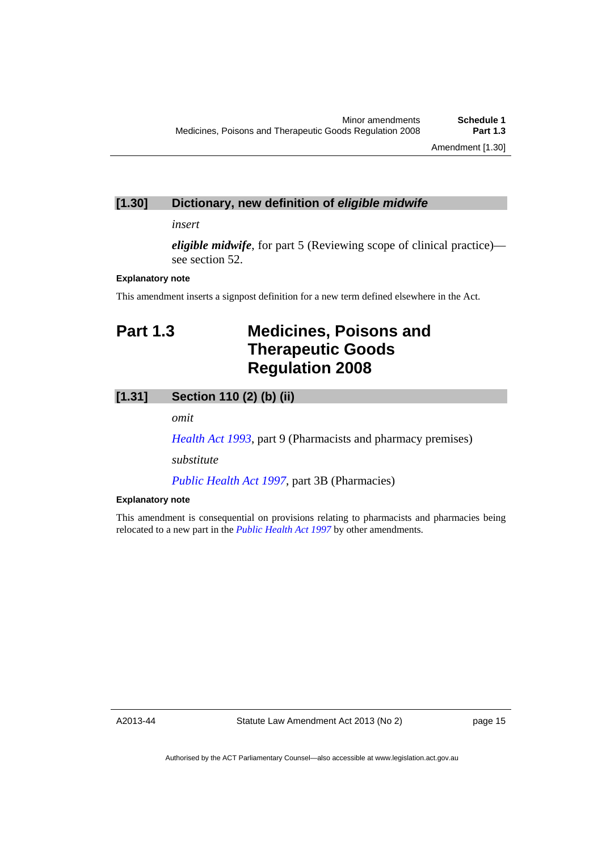## **[1.30] Dictionary, new definition of** *eligible midwife*

### *insert*

*eligible midwife*, for part 5 (Reviewing scope of clinical practice) see section 52.

### **Explanatory note**

This amendment inserts a signpost definition for a new term defined elsewhere in the Act.

## <span id="page-18-0"></span>**Part 1.3 Medicines, Poisons and Therapeutic Goods Regulation 2008**

## **[1.31] Section 110 (2) (b) (ii)**

*omit* 

*[Health Act 1993](http://www.legislation.act.gov.au/a/1993-13)*, part 9 (Pharmacists and pharmacy premises)

*substitute* 

*[Public Health Act 1997](http://www.legislation.act.gov.au/a/1997-69)*, part 3B (Pharmacies)

### **Explanatory note**

This amendment is consequential on provisions relating to pharmacists and pharmacies being relocated to a new part in the *[Public Health Act 1997](http://www.legislation.act.gov.au/a/1997-69)* by other amendments.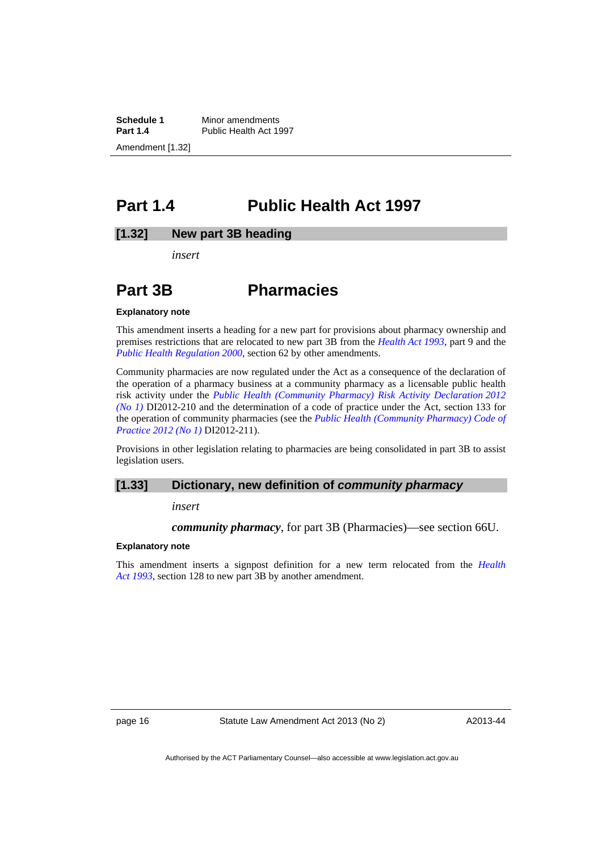**Schedule 1** Minor amendments<br>**Part 1.4** Public Health Act 19 Public Health Act 1997 Amendment [1.32]

## <span id="page-19-0"></span>**Part 1.4 Public Health Act 1997**

### **[1.32] New part 3B heading**

*insert* 

## **Part 3B Pharmacies**

#### **Explanatory note**

This amendment inserts a heading for a new part for provisions about pharmacy ownership and premises restrictions that are relocated to new part 3B from the *[Health Act 1993](http://www.legislation.act.gov.au/a/1993-13)*, part 9 and the *[Public Health Regulation 2000](http://www.legislation.act.gov.au/sl/2000-1)*, section 62 by other amendments.

Community pharmacies are now regulated under the Act as a consequence of the declaration of the operation of a pharmacy business at a community pharmacy as a licensable public health risk activity under the *[Public Health \(Community Pharmacy\) Risk Activity Declaration 2012](http://www.legislation.act.gov.au/di/2012-210/default.asp)  [\(No 1\)](http://www.legislation.act.gov.au/di/2012-210/default.asp)* DI2012-210 and the determination of a code of practice under the Act, section 133 for the operation of community pharmacies (see the *[Public Health \(Community Pharmacy\) Code of](http://www.legislation.act.gov.au/di/2012-211/default.asp)  [Practice 2012 \(No 1\)](http://www.legislation.act.gov.au/di/2012-211/default.asp)* DI2012-211).

Provisions in other legislation relating to pharmacies are being consolidated in part 3B to assist legislation users.

### **[1.33] Dictionary, new definition of** *community pharmacy*

#### *insert*

*community pharmacy*, for part 3B (Pharmacies)—see section 66U.

### **Explanatory note**

This amendment inserts a signpost definition for a new term relocated from the *[Health](http://www.legislation.act.gov.au/a/1993-13)  [Act 1993](http://www.legislation.act.gov.au/a/1993-13)*, section 128 to new part 3B by another amendment.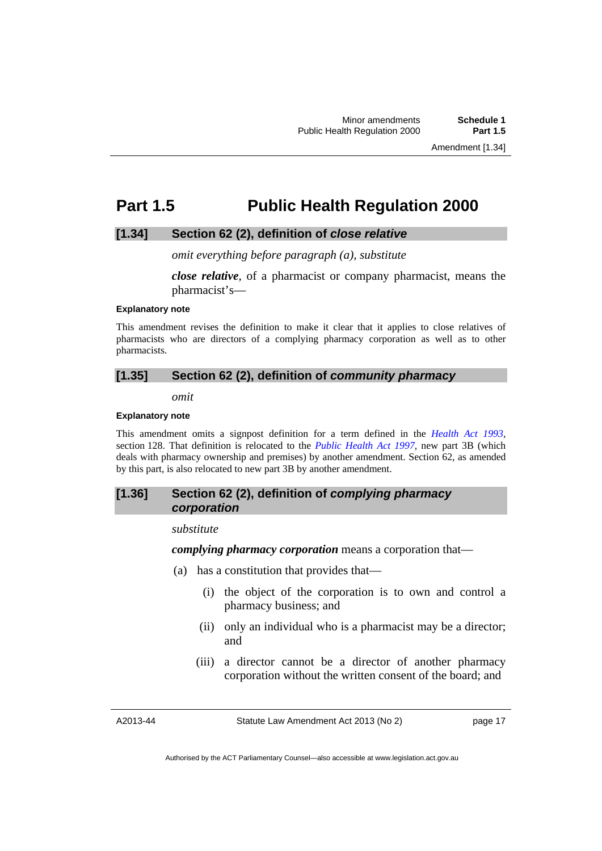## <span id="page-20-0"></span>**Part 1.5 Public Health Regulation 2000**

### **[1.34] Section 62 (2), definition of** *close relative*

*omit everything before paragraph (a), substitute* 

*close relative*, of a pharmacist or company pharmacist, means the pharmacist's—

### **Explanatory note**

This amendment revises the definition to make it clear that it applies to close relatives of pharmacists who are directors of a complying pharmacy corporation as well as to other pharmacists.

## **[1.35] Section 62 (2), definition of** *community pharmacy*

*omit* 

### **Explanatory note**

This amendment omits a signpost definition for a term defined in the *[Health Act 1993](http://www.legislation.act.gov.au/a/1993-13)*, section 128. That definition is relocated to the *[Public Health Act 1997](http://www.legislation.act.gov.au/a/1997-69)*, new part 3B (which deals with pharmacy ownership and premises) by another amendment. Section 62, as amended by this part, is also relocated to new part 3B by another amendment.

## **[1.36] Section 62 (2), definition of** *complying pharmacy corporation*

*substitute* 

*complying pharmacy corporation* means a corporation that—

- (a) has a constitution that provides that—
	- (i) the object of the corporation is to own and control a pharmacy business; and
	- (ii) only an individual who is a pharmacist may be a director; and
	- (iii) a director cannot be a director of another pharmacy corporation without the written consent of the board; and

A2013-44

Statute Law Amendment Act 2013 (No 2)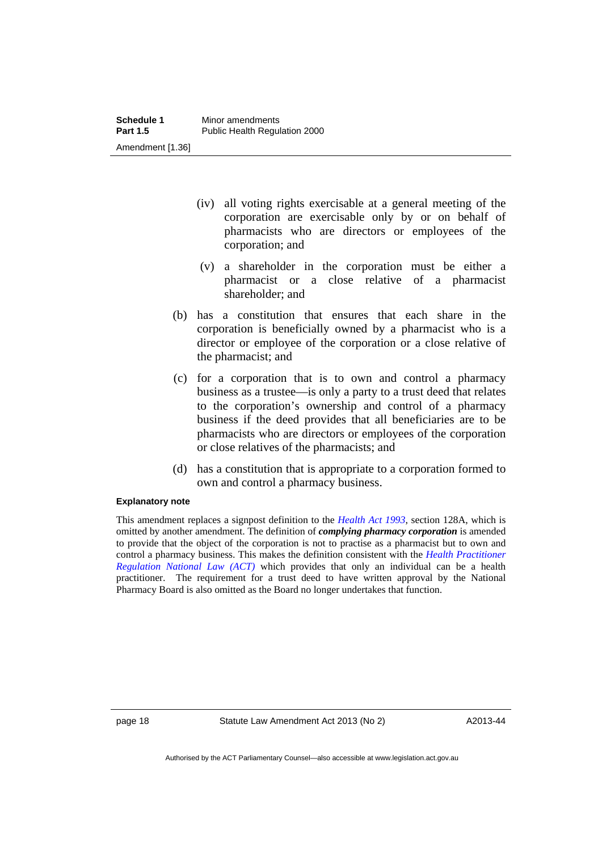- (iv) all voting rights exercisable at a general meeting of the corporation are exercisable only by or on behalf of pharmacists who are directors or employees of the corporation; and
- (v) a shareholder in the corporation must be either a pharmacist or a close relative of a pharmacist shareholder; and
- (b) has a constitution that ensures that each share in the corporation is beneficially owned by a pharmacist who is a director or employee of the corporation or a close relative of the pharmacist; and
- (c) for a corporation that is to own and control a pharmacy business as a trustee—is only a party to a trust deed that relates to the corporation's ownership and control of a pharmacy business if the deed provides that all beneficiaries are to be pharmacists who are directors or employees of the corporation or close relatives of the pharmacists; and
- (d) has a constitution that is appropriate to a corporation formed to own and control a pharmacy business.

### **Explanatory note**

This amendment replaces a signpost definition to the *[Health Act 1993](http://www.legislation.act.gov.au/a/1993-13)*, section 128A, which is omitted by another amendment. The definition of *complying pharmacy corporation* is amended to provide that the object of the corporation is not to practise as a pharmacist but to own and control a pharmacy business. This makes the definition consistent with the *[Health Practitioner](http://www.legislation.act.gov.au/a/db_39269/default.asp)  [Regulation National Law \(ACT\)](http://www.legislation.act.gov.au/a/db_39269/default.asp)* which provides that only an individual can be a health practitioner. The requirement for a trust deed to have written approval by the National Pharmacy Board is also omitted as the Board no longer undertakes that function.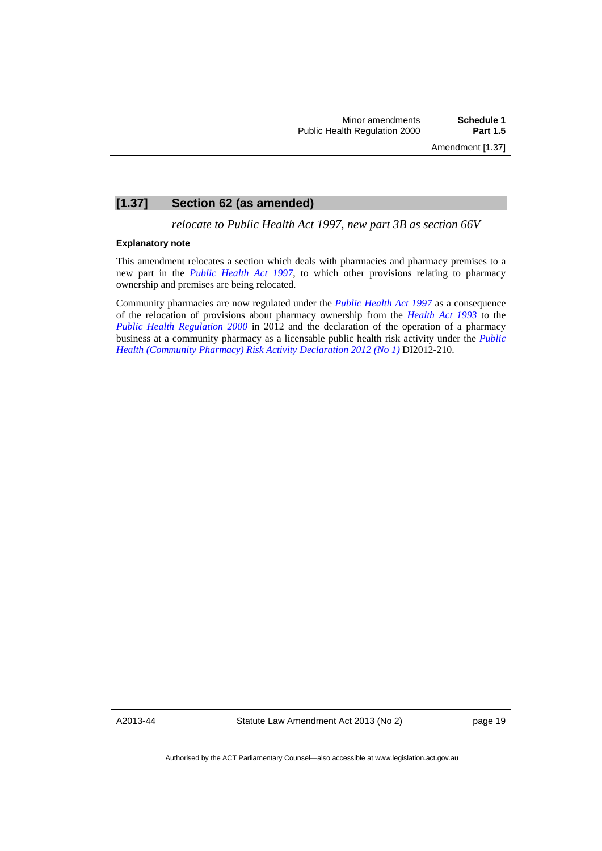## **[1.37] Section 62 (as amended)**

*relocate to Public Health Act 1997, new part 3B as section 66V* 

### **Explanatory note**

This amendment relocates a section which deals with pharmacies and pharmacy premises to a new part in the *[Public Health Act 1997](http://www.legislation.act.gov.au/a/1997-69)*, to which other provisions relating to pharmacy ownership and premises are being relocated.

Community pharmacies are now regulated under the *[Public Health Act 1997](http://www.legislation.act.gov.au/a/1997-69)* as a consequence of the relocation of provisions about pharmacy ownership from the *[Health Act 1993](http://www.legislation.act.gov.au/a/1993-13)* to the *[Public Health Regulation 2000](http://www.legislation.act.gov.au/sl/2000-1)* in 2012 and the declaration of the operation of a pharmacy business at a community pharmacy as a licensable public health risk activity under the *[Public](http://www.legislation.act.gov.au/di/2012-210/default.asp)  [Health \(Community Pharmacy\) Risk Activity Declaration 2012 \(No 1\)](http://www.legislation.act.gov.au/di/2012-210/default.asp)* DI2012-210.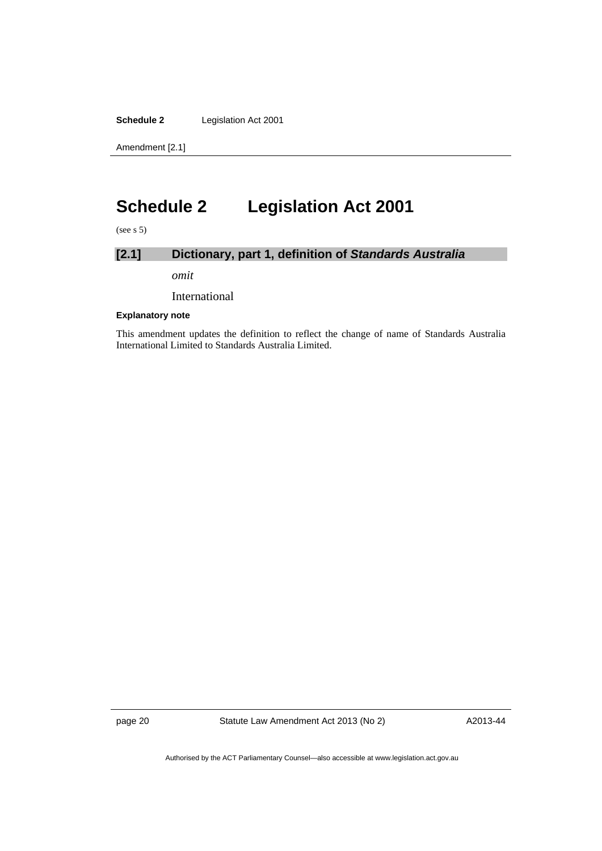**Schedule 2** Legislation Act 2001

Amendment [2.1]

## <span id="page-23-0"></span>**Schedule 2 Legislation Act 2001**

(see s 5)

## **[2.1] Dictionary, part 1, definition of** *Standards Australia*

*omit* 

International

### **Explanatory note**

This amendment updates the definition to reflect the change of name of Standards Australia International Limited to Standards Australia Limited.

page 20 Statute Law Amendment Act 2013 (No 2)

A2013-44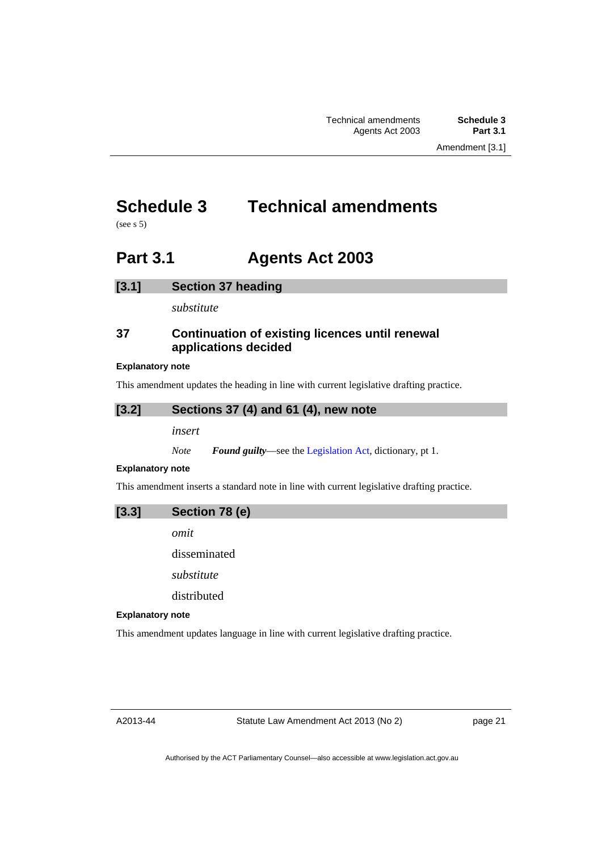## <span id="page-24-0"></span>**Schedule 3 Technical amendments**

(see s 5)

## <span id="page-24-1"></span>**Part 3.1 Agents Act 2003**

## **[3.1] Section 37 heading**

*substitute* 

## **37 Continuation of existing licences until renewal applications decided**

### **Explanatory note**

This amendment updates the heading in line with current legislative drafting practice.

## **[3.2] Sections 37 (4) and 61 (4), new note**

*insert* 

*Note Found guilty*––see the [Legislation Act,](http://www.legislation.act.gov.au/a/2001-14) dictionary, pt 1.

### **Explanatory note**

This amendment inserts a standard note in line with current legislative drafting practice.

**[3.3] Section 78 (e)** 

*omit* 

disseminated

*substitute* 

distributed

### **Explanatory note**

This amendment updates language in line with current legislative drafting practice.

A2013-44

Statute Law Amendment Act 2013 (No 2)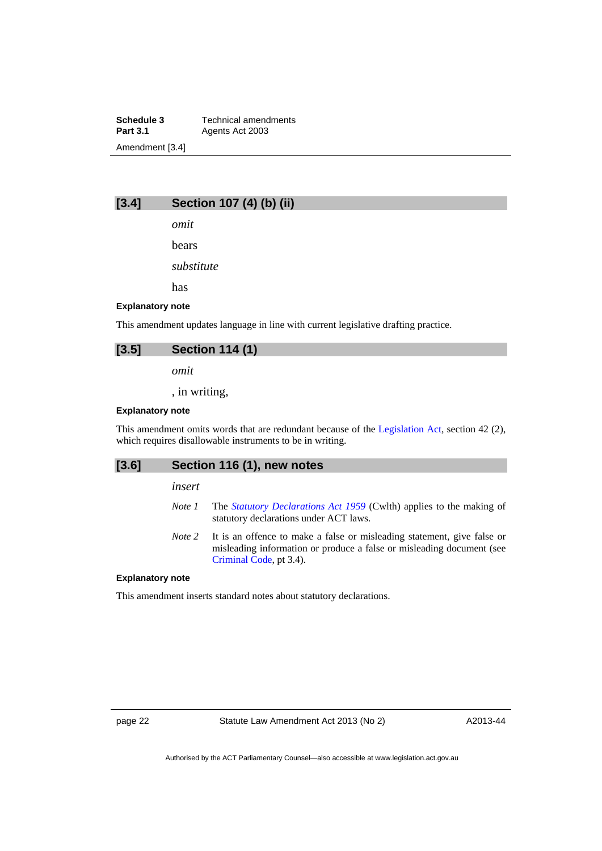**Schedule 3 Technical amendments**<br>**Part 3.1 Agents Act 2003** Agents Act 2003 Amendment [3.4]

## **[3.4] Section 107 (4) (b) (ii)**

*omit* 

bears

*substitute* 

has

### **Explanatory note**

This amendment updates language in line with current legislative drafting practice.

| [3.5] | <b>Section 114 (1)</b> |
|-------|------------------------|
|       | omit                   |

, in writing,

### **Explanatory note**

This amendment omits words that are redundant because of the [Legislation Act,](http://www.legislation.act.gov.au/a/2001-14) section 42 (2), which requires disallowable instruments to be in writing.

## **[3.6] Section 116 (1), new notes**

*insert* 

- *Note 1* The *[Statutory Declarations Act 1959](http://www.comlaw.gov.au/Series/C2004A07365)* (Cwlth) applies to the making of statutory declarations under ACT laws.
- *Note 2* It is an offence to make a false or misleading statement, give false or misleading information or produce a false or misleading document (see [Criminal Code](http://www.legislation.act.gov.au/a/2002-51), pt 3.4).

#### **Explanatory note**

This amendment inserts standard notes about statutory declarations.

page 22 Statute Law Amendment Act 2013 (No 2)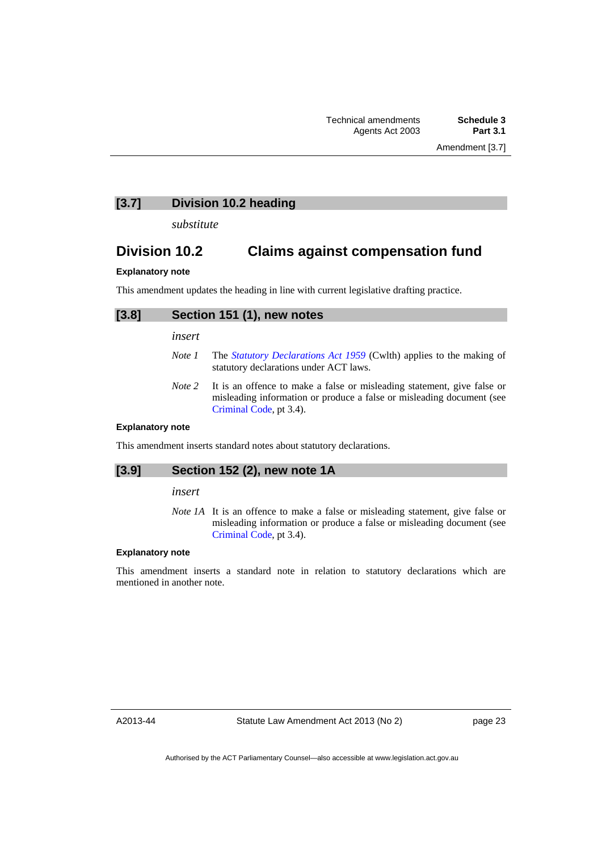**[3.7] Division 10.2 heading** 

*substitute* 

## **Division 10.2 Claims against compensation fund**

### **Explanatory note**

This amendment updates the heading in line with current legislative drafting practice.

| $[3.8]$ | Section 151 (1), new notes                                                            |
|---------|---------------------------------------------------------------------------------------|
|         | insert                                                                                |
|         | The <i>Statutory Declarations Act 1959 (Cwith)</i> applies to the making of<br>Note 1 |

- *Note 1* The *[Statutory Declarations Act 1959](http://www.comlaw.gov.au/Series/C2004A07365)* (Cwlth) applies to the making of statutory declarations under ACT laws.
- *Note 2* It is an offence to make a false or misleading statement, give false or misleading information or produce a false or misleading document (see [Criminal Code](http://www.legislation.act.gov.au/a/2002-51), pt 3.4).

### **Explanatory note**

This amendment inserts standard notes about statutory declarations.

### **[3.9] Section 152 (2), new note 1A**

## *insert*

*Note 1A* It is an offence to make a false or misleading statement, give false or misleading information or produce a false or misleading document (see [Criminal Code](http://www.legislation.act.gov.au/a/2002-51), pt 3.4).

### **Explanatory note**

This amendment inserts a standard note in relation to statutory declarations which are mentioned in another note.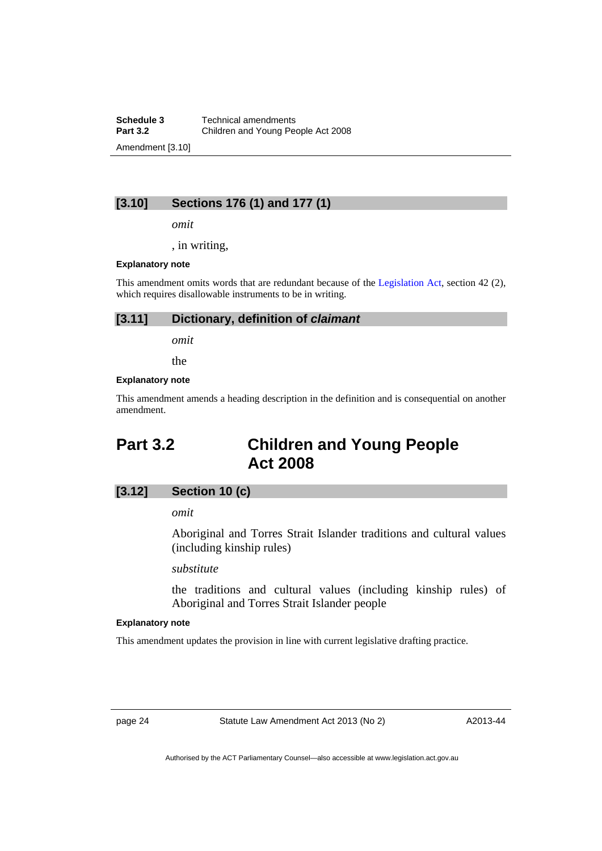**Schedule 3 Technical amendments**<br>**Part 3.2 Children and Young Perent Part 3.2** Children and Young People Act 2008 Amendment [3.10]

## **[3.10] Sections 176 (1) and 177 (1)**

*omit* 

, in writing,

#### **Explanatory note**

This amendment omits words that are redundant because of the [Legislation Act,](http://www.legislation.act.gov.au/a/2001-14) section 42 (2), which requires disallowable instruments to be in writing.

### **[3.11] Dictionary, definition of** *claimant*

*omit* 

the

### **Explanatory note**

This amendment amends a heading description in the definition and is consequential on another amendment.

## <span id="page-27-0"></span>**Part 3.2 Children and Young People Act 2008**

## **[3.12] Section 10 (c)**

*omit* 

Aboriginal and Torres Strait Islander traditions and cultural values (including kinship rules)

*substitute* 

the traditions and cultural values (including kinship rules) of Aboriginal and Torres Strait Islander people

### **Explanatory note**

This amendment updates the provision in line with current legislative drafting practice.

page 24 Statute Law Amendment Act 2013 (No 2)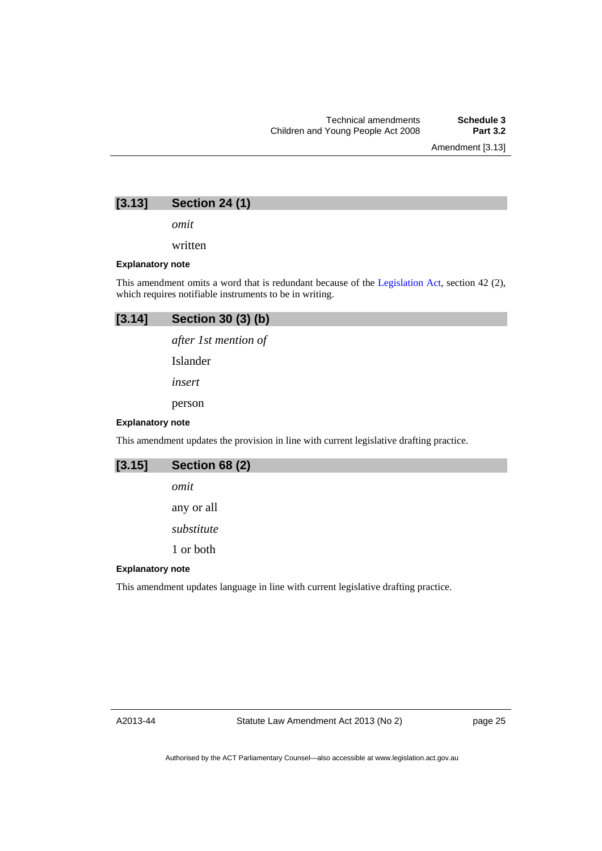Amendment [3.13]

## **[3.13] Section 24 (1)**

*omit* 

written

### **Explanatory note**

This amendment omits a word that is redundant because of the [Legislation Act](http://www.legislation.act.gov.au/a/2001-14), section 42 (2), which requires notifiable instruments to be in writing.

## **[3.14] Section 30 (3) (b)**

*after 1st mention of* 

Islander

*insert* 

person

### **Explanatory note**

This amendment updates the provision in line with current legislative drafting practice.

| [3.15]                  | <b>Section 68 (2)</b>                                                               |
|-------------------------|-------------------------------------------------------------------------------------|
|                         | omit                                                                                |
|                         | any or all                                                                          |
|                         | substitute                                                                          |
|                         | 1 or both                                                                           |
| <b>Explanatory note</b> |                                                                                     |
|                         | This amendment updates language in line with current legislative drafting practice. |

A2013-44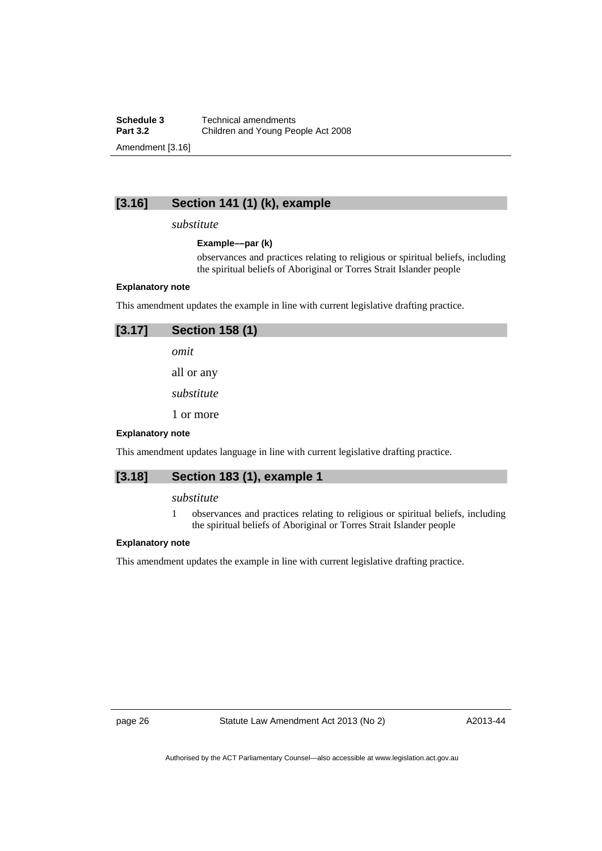**Schedule 3 Technical amendments**<br>**Part 3.2 Children and Young Pec Part 3.2** Children and Young People Act 2008 Amendment [3.16]

## **[3.16] Section 141 (1) (k), example**

## *substitute*

### **Example––par (k)**

observances and practices relating to religious or spiritual beliefs, including the spiritual beliefs of Aboriginal or Torres Strait Islander people

### **Explanatory note**

This amendment updates the example in line with current legislative drafting practice.

| [3.17]                                                                              | <b>Section 158 (1)</b> |  |
|-------------------------------------------------------------------------------------|------------------------|--|
|                                                                                     | omit                   |  |
|                                                                                     | all or any             |  |
|                                                                                     | substitute             |  |
|                                                                                     | 1 or more              |  |
| <b>Explanatory note</b>                                                             |                        |  |
| This amendment updates language in line with current legislative drafting practice. |                        |  |

## **[3.18] Section 183 (1), example 1**

### *substitute*

1 observances and practices relating to religious or spiritual beliefs, including the spiritual beliefs of Aboriginal or Torres Strait Islander people

### **Explanatory note**

This amendment updates the example in line with current legislative drafting practice.

page 26 Statute Law Amendment Act 2013 (No 2)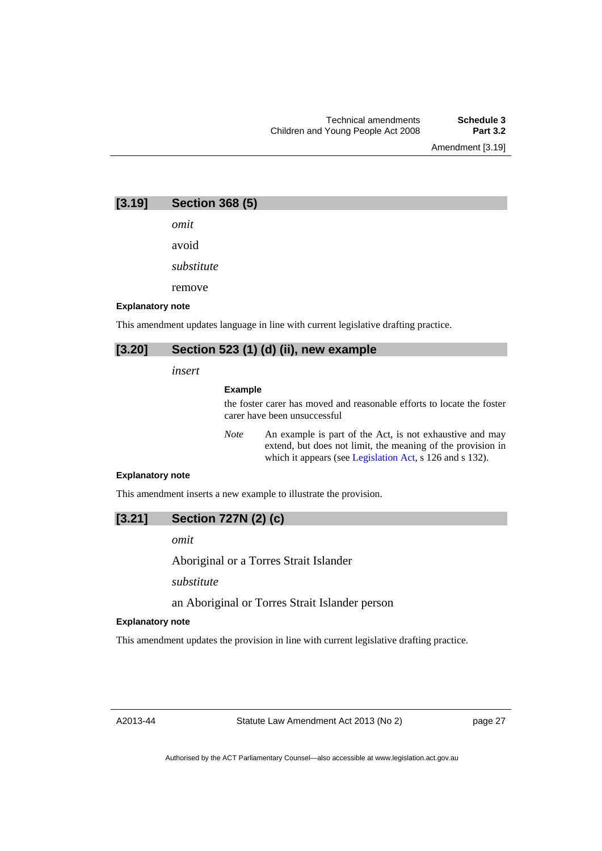Amendment [3.19]

**[3.19] Section 368 (5)** 

*omit*  avoid

*substitute* 

remove

### **Explanatory note**

This amendment updates language in line with current legislative drafting practice.

## **[3.20] Section 523 (1) (d) (ii), new example**

*insert* 

### **Example**

the foster carer has moved and reasonable efforts to locate the foster carer have been unsuccessful

*Note* An example is part of the Act, is not exhaustive and may extend, but does not limit, the meaning of the provision in which it appears (see [Legislation Act,](http://www.legislation.act.gov.au/a/2001-14) s 126 and s 132).

### **Explanatory note**

This amendment inserts a new example to illustrate the provision.

## **[3.21] Section 727N (2) (c)**

*omit* 

Aboriginal or a Torres Strait Islander

*substitute* 

## an Aboriginal or Torres Strait Islander person

### **Explanatory note**

This amendment updates the provision in line with current legislative drafting practice.

A2013-44

page 27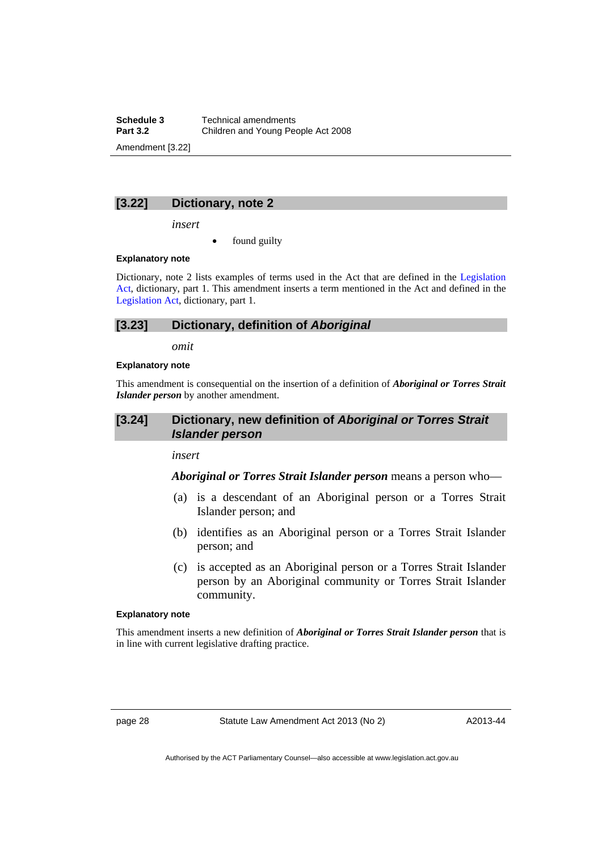**Schedule 3 Technical amendments**<br>**Part 3.2 Children and Young Perent Part 3.2** Children and Young People Act 2008 Amendment [3.22]

## **[3.22] Dictionary, note 2**

*insert* 

found guilty

### **Explanatory note**

Dictionary, note 2 lists examples of terms used in the Act that are defined in the [Legislation](http://www.legislation.act.gov.au/a/2001-14)  [Act,](http://www.legislation.act.gov.au/a/2001-14) dictionary, part 1. This amendment inserts a term mentioned in the Act and defined in the [Legislation Act,](http://www.legislation.act.gov.au/a/2001-14) dictionary, part 1.

### **[3.23] Dictionary, definition of** *Aboriginal*

*omit* 

### **Explanatory note**

This amendment is consequential on the insertion of a definition of *Aboriginal or Torres Strait Islander person* by another amendment.

## **[3.24] Dictionary, new definition of** *Aboriginal or Torres Strait Islander person*

*insert* 

## *Aboriginal or Torres Strait Islander person* means a person who––

- (a) is a descendant of an Aboriginal person or a Torres Strait Islander person; and
- (b) identifies as an Aboriginal person or a Torres Strait Islander person; and
- (c) is accepted as an Aboriginal person or a Torres Strait Islander person by an Aboriginal community or Torres Strait Islander community.

### **Explanatory note**

This amendment inserts a new definition of *Aboriginal or Torres Strait Islander person* that is in line with current legislative drafting practice.

page 28 Statute Law Amendment Act 2013 (No 2)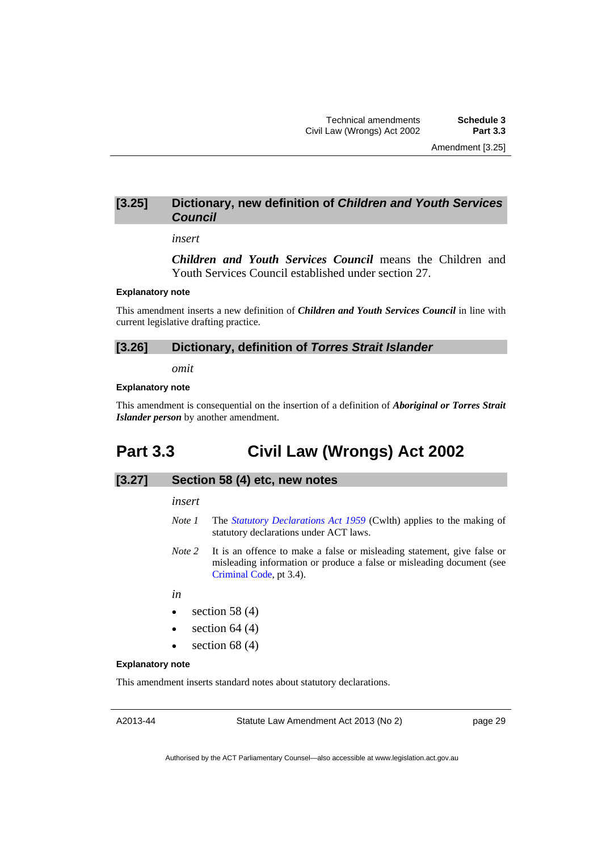## **[3.25] Dictionary, new definition of** *Children and Youth Services Council*

### *insert*

*Children and Youth Services Council* means the Children and Youth Services Council established under section 27.

### **Explanatory note**

This amendment inserts a new definition of *Children and Youth Services Council* in line with current legislative drafting practice.

### **[3.26] Dictionary, definition of** *Torres Strait Islander*

*omit* 

### **Explanatory note**

This amendment is consequential on the insertion of a definition of *Aboriginal or Torres Strait Islander person* by another amendment.

## <span id="page-32-0"></span>**Part 3.3 Civil Law (Wrongs) Act 2002**

### **[3.27] Section 58 (4) etc, new notes**

#### *insert*

- *Note 1* The *[Statutory Declarations Act 1959](http://www.comlaw.gov.au/Series/C2004A07365)* (Cwlth) applies to the making of statutory declarations under ACT laws.
- *Note 2* It is an offence to make a false or misleading statement, give false or misleading information or produce a false or misleading document (see [Criminal Code](http://www.legislation.act.gov.au/a/2002-51), pt 3.4).
- *in*
- $\bullet$  section 58 (4)
- $\bullet$  section 64 (4)
- $\bullet$  section 68 (4)

### **Explanatory note**

This amendment inserts standard notes about statutory declarations.

Statute Law Amendment Act 2013 (No 2)

page 29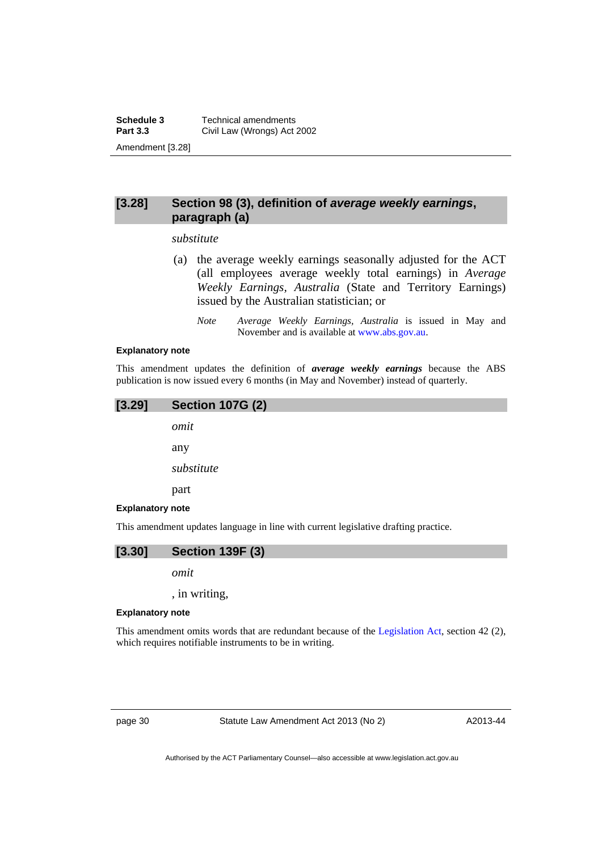## **[3.28] Section 98 (3), definition of** *average weekly earnings***, paragraph (a)**

### *substitute*

- (a) the average weekly earnings seasonally adjusted for the ACT (all employees average weekly total earnings) in *Average Weekly Earnings, Australia* (State and Territory Earnings) issued by the Australian statistician; or
	- *Note Average Weekly Earnings, Australia* is issued in May and November and is available at [www.abs.gov.au](http://www.abs.gov.au/).

#### **Explanatory note**

This amendment updates the definition of *average weekly earnings* because the ABS publication is now issued every 6 months (in May and November) instead of quarterly.

## **[3.29] Section 107G (2)**

*omit*  any

*substitute* 

part

### **Explanatory note**

This amendment updates language in line with current legislative drafting practice.



*omit* 

, in writing,

### **Explanatory note**

This amendment omits words that are redundant because of the [Legislation Act,](http://www.legislation.act.gov.au/a/2001-14) section 42 (2), which requires notifiable instruments to be in writing.

page 30 Statute Law Amendment Act 2013 (No 2)

A2013-44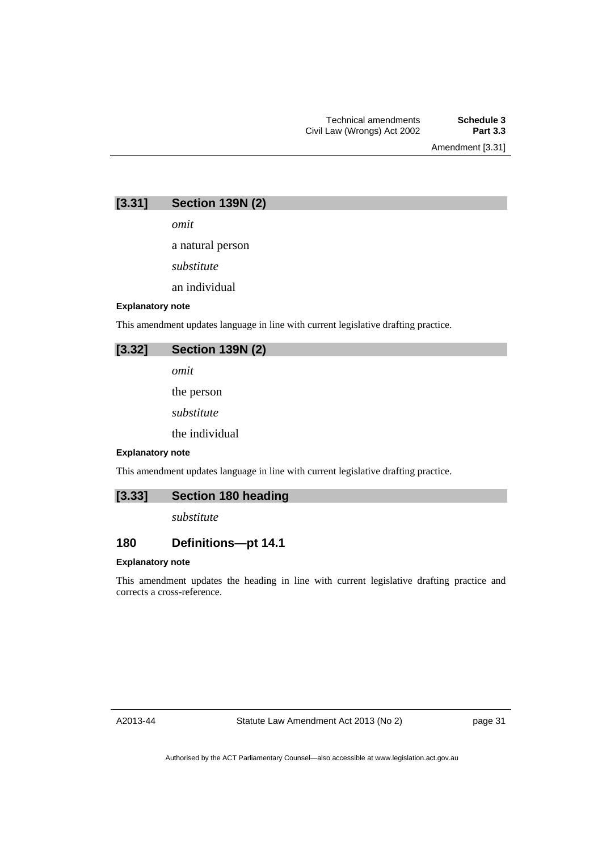Amendment [3.31]

| [3.31] | <b>Section 139N (2)</b> |  |  |
|--------|-------------------------|--|--|
|--------|-------------------------|--|--|

*omit* 

a natural person

*substitute* 

an individual

### **Explanatory note**

This amendment updates language in line with current legislative drafting practice.

|  | $[3.32]$ Section 139N $(2)$ |  |  |
|--|-----------------------------|--|--|
|  | omit                        |  |  |
|  | the person                  |  |  |

*substitute* 

the individual

### **Explanatory note**

This amendment updates language in line with current legislative drafting practice.

## **[3.33] Section 180 heading**

*substitute* 

## **180 Definitions—pt 14.1**

### **Explanatory note**

This amendment updates the heading in line with current legislative drafting practice and corrects a cross-reference.

A2013-44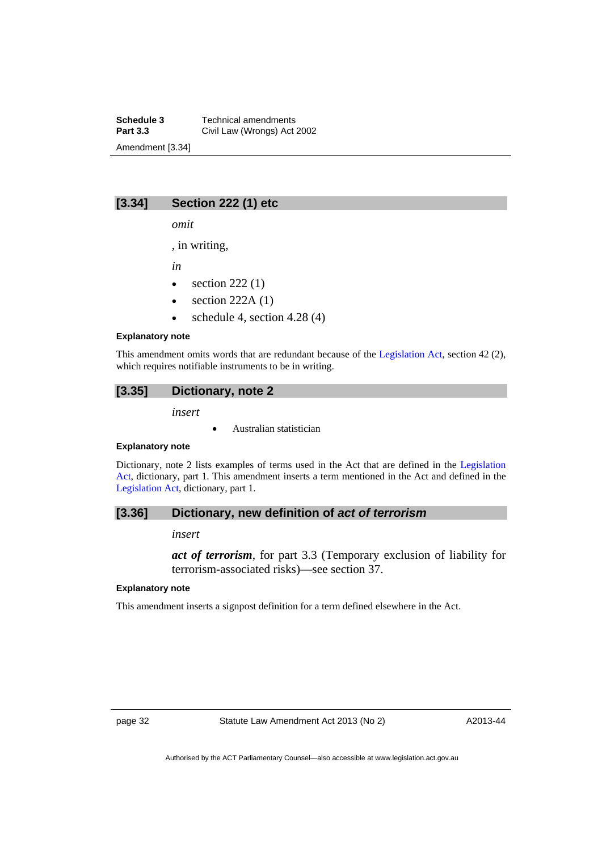**Schedule 3 Technical amendments**<br>**Part 3.3 Civil Law (Wrongs) Act Civil Law (Wrongs) Act 2002** Amendment [3.34]

## **[3.34] Section 222 (1) etc**

*omit* 

, in writing,

*in* 

- $\bullet$  section 222 (1)
- $\bullet$  section 222A (1)
- $\bullet$  schedule 4, section 4.28 (4)

### **Explanatory note**

This amendment omits words that are redundant because of the [Legislation Act,](http://www.legislation.act.gov.au/a/2001-14) section 42 (2), which requires notifiable instruments to be in writing.

## **[3.35] Dictionary, note 2**

*insert* 

Australian statistician

### **Explanatory note**

Dictionary, note 2 lists examples of terms used in the Act that are defined in the [Legislation](http://www.legislation.act.gov.au/a/2001-14)  [Act,](http://www.legislation.act.gov.au/a/2001-14) dictionary, part 1. This amendment inserts a term mentioned in the Act and defined in the [Legislation Act,](http://www.legislation.act.gov.au/a/2001-14) dictionary, part 1.

### **[3.36] Dictionary, new definition of** *act of terrorism*

*insert* 

*act of terrorism*, for part 3.3 (Temporary exclusion of liability for terrorism-associated risks)—see section 37.

#### **Explanatory note**

This amendment inserts a signpost definition for a term defined elsewhere in the Act.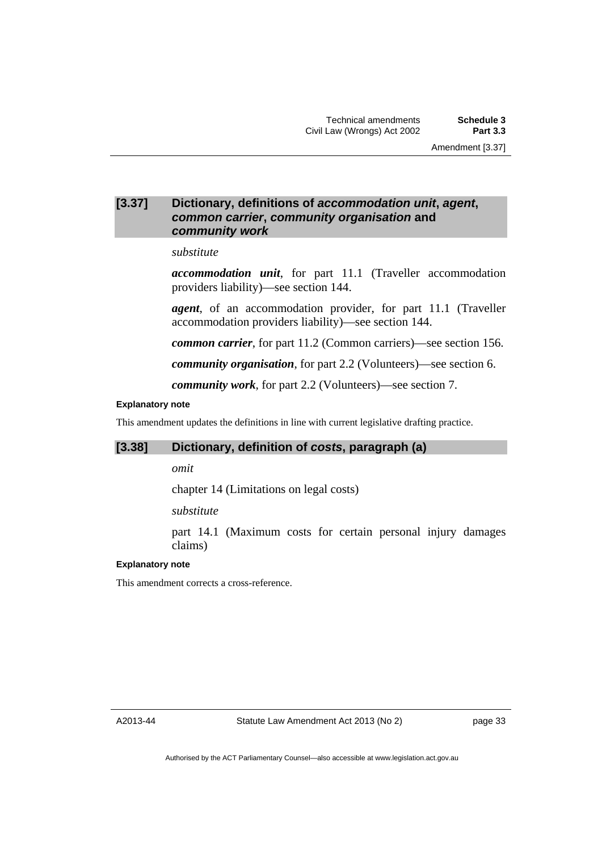## **[3.37] Dictionary, definitions of** *accommodation unit***,** *agent***,**  *common carrier***,** *community organisation* **and**  *community work*

#### *substitute*

*accommodation unit*, for part 11.1 (Traveller accommodation providers liability)—see section 144.

*agent*, of an accommodation provider, for part 11.1 (Traveller accommodation providers liability)—see section 144.

*common carrier*, for part 11.2 (Common carriers)—see section 156.

*community organisation*, for part 2.2 (Volunteers)—see section 6.

*community work*, for part 2.2 (Volunteers)—see section 7.

#### **Explanatory note**

This amendment updates the definitions in line with current legislative drafting practice.

## **[3.38] Dictionary, definition of** *costs***, paragraph (a)**

*omit* 

chapter 14 (Limitations on legal costs)

*substitute* 

part 14.1 (Maximum costs for certain personal injury damages claims)

#### **Explanatory note**

This amendment corrects a cross-reference.

A2013-44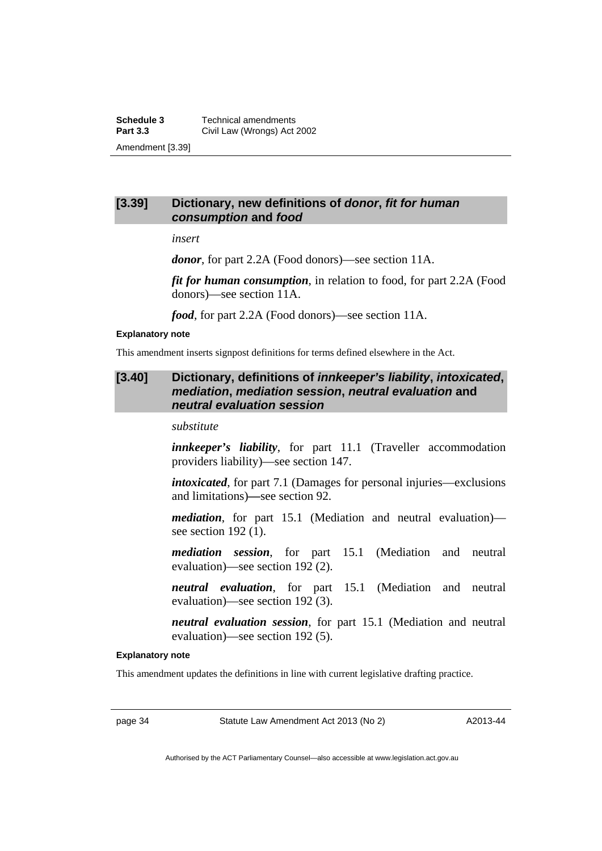**Schedule 3 Technical amendments**<br>**Part 3.3 Civil Law (Wrongs) Act 2 Civil Law (Wrongs) Act 2002** Amendment [3.39]

## **[3.39] Dictionary, new definitions of** *donor***,** *fit for human consumption* **and** *food*

*insert* 

*donor*, for part 2.2A (Food donors)—see section 11A.

*fit for human consumption*, in relation to food, for part 2.2A (Food donors)—see section 11A.

*food*, for part 2.2A (Food donors)—see section 11A.

#### **Explanatory note**

This amendment inserts signpost definitions for terms defined elsewhere in the Act.

## **[3.40] Dictionary, definitions of** *innkeeper's liability***,** *intoxicated***,**  *mediation***,** *mediation session***,** *neutral evaluation* **and**  *neutral evaluation session*

*substitute* 

*innkeeper's liability*, for part 11.1 (Traveller accommodation providers liability)—see section 147.

*intoxicated*, for part 7.1 (Damages for personal injuries—exclusions and limitations)*—*see section 92.

*mediation*, for part 15.1 (Mediation and neutral evaluation) see section 192 (1).

*mediation session*, for part 15.1 (Mediation and neutral evaluation)—see section 192 (2).

*neutral evaluation*, for part 15.1 (Mediation and neutral evaluation)—see section 192 (3).

*neutral evaluation session*, for part 15.1 (Mediation and neutral evaluation)—see section 192 (5).

#### **Explanatory note**

This amendment updates the definitions in line with current legislative drafting practice.

page 34 Statute Law Amendment Act 2013 (No 2)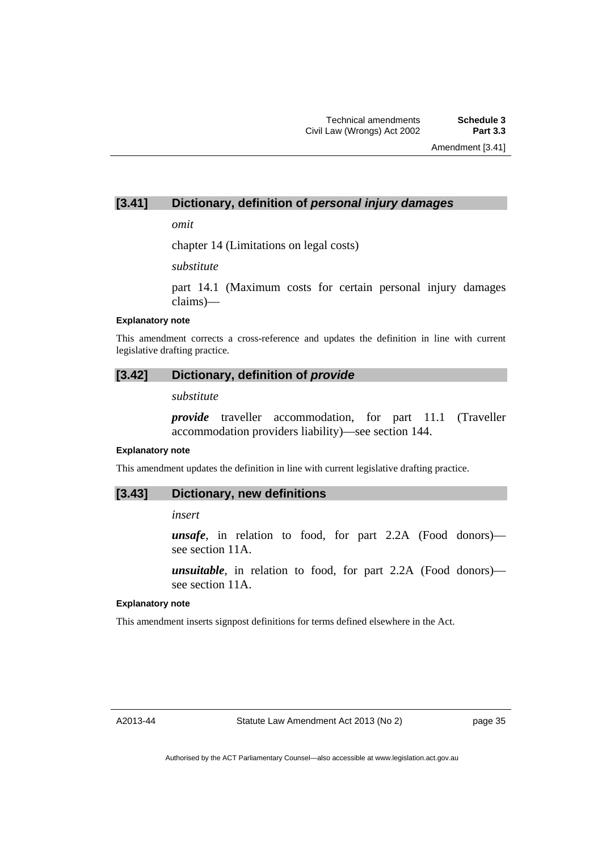## **[3.41] Dictionary, definition of** *personal injury damages*

*omit* 

chapter 14 (Limitations on legal costs)

*substitute* 

part 14.1 (Maximum costs for certain personal injury damages claims)—

#### **Explanatory note**

This amendment corrects a cross-reference and updates the definition in line with current legislative drafting practice.

## **[3.42] Dictionary, definition of** *provide*

*substitute* 

*provide* traveller accommodation, for part 11.1 (Traveller accommodation providers liability)—see section 144.

#### **Explanatory note**

This amendment updates the definition in line with current legislative drafting practice.

## **[3.43] Dictionary, new definitions**

*insert* 

*unsafe*, in relation to food, for part 2.2A (Food donors) see section 11A.

*unsuitable*, in relation to food, for part 2.2A (Food donors) see section 11A.

#### **Explanatory note**

This amendment inserts signpost definitions for terms defined elsewhere in the Act.

A2013-44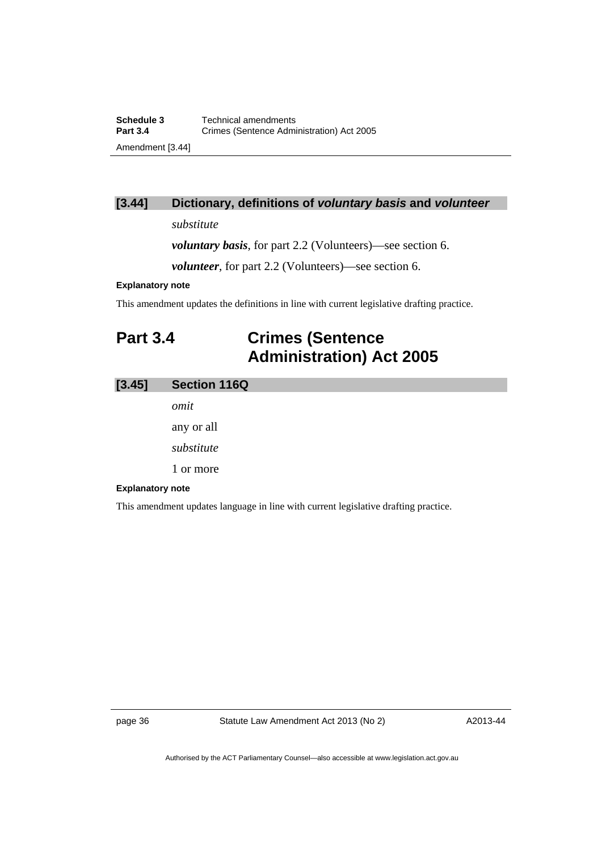## **[3.44] Dictionary, definitions of** *voluntary basis* **and** *volunteer*

## *substitute*

*voluntary basis*, for part 2.2 (Volunteers)—see section 6.

*volunteer*, for part 2.2 (Volunteers)—see section 6.

## **Explanatory note**

This amendment updates the definitions in line with current legislative drafting practice.

# **Part 3.4 Crimes (Sentence Administration) Act 2005**

| [3.45]                                                                              | <b>Section 116Q</b> |
|-------------------------------------------------------------------------------------|---------------------|
|                                                                                     | omit                |
|                                                                                     | any or all          |
|                                                                                     | substitute          |
|                                                                                     | 1 or more           |
| <b>Explanatory note</b>                                                             |                     |
| This amendment updates language in line with current legislative drafting practice. |                     |

page 36 Statute Law Amendment Act 2013 (No 2)

A2013-44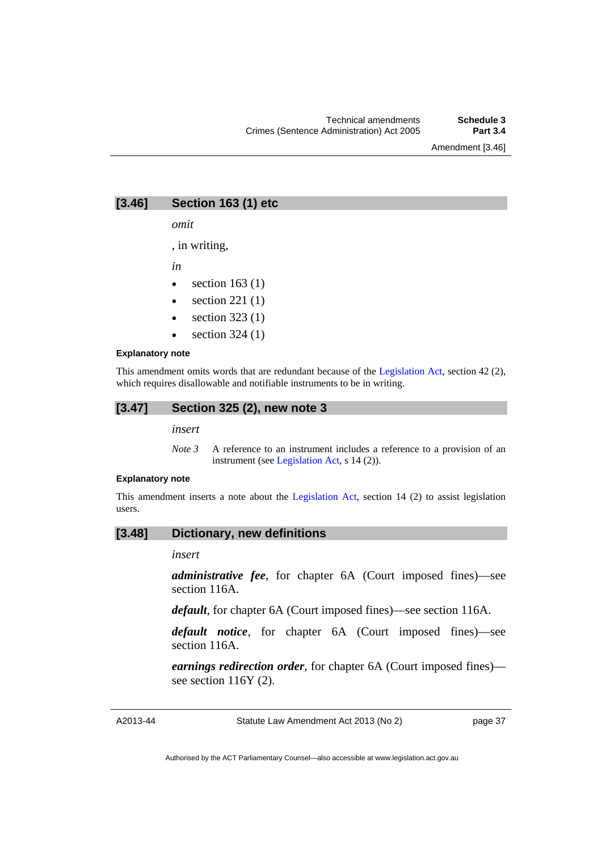Amendment [3.46]

## **[3.46] Section 163 (1) etc**

*omit* 

, in writing,

*in* 

- $\bullet$  section 163 (1)
- $\bullet$  section 221 (1)
- section 323 (1)
- section 324 (1)

#### **Explanatory note**

This amendment omits words that are redundant because of the [Legislation Act,](http://www.legislation.act.gov.au/a/2001-14) section 42 (2), which requires disallowable and notifiable instruments to be in writing.

#### **[3.47] Section 325 (2), new note 3**

*insert* 

*Note 3* A reference to an instrument includes a reference to a provision of an instrument (see [Legislation Act,](http://www.legislation.act.gov.au/a/2001-14) s 14 (2)).

#### **Explanatory note**

This amendment inserts a note about the [Legislation Act,](http://www.legislation.act.gov.au/a/2001-14) section 14 (2) to assist legislation users.

#### **[3.48] Dictionary, new definitions**

*insert* 

*administrative fee*, for chapter 6A (Court imposed fines)––see section 116A.

*default*, for chapter 6A (Court imposed fines)––see section 116A.

*default notice*, for chapter 6A (Court imposed fines)––see section 116A.

*earnings redirection order*, for chapter 6A (Court imposed fines)–– see section 116Y (2).

Statute Law Amendment Act 2013 (No 2)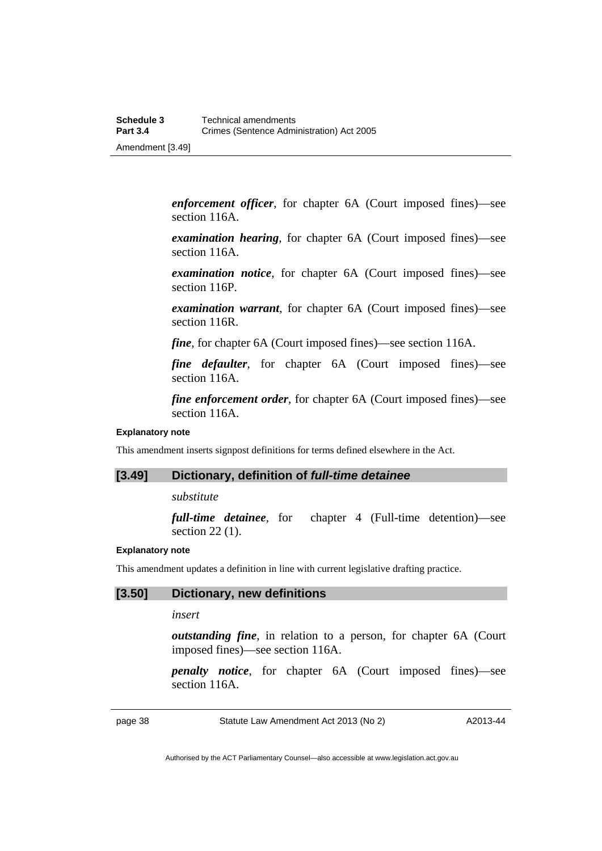*enforcement officer*, for chapter 6A (Court imposed fines)––see section 116A.

*examination hearing*, for chapter 6A (Court imposed fines)––see section 116A.

*examination notice*, for chapter 6A (Court imposed fines)––see section 116P.

*examination warrant*, for chapter 6A (Court imposed fines)––see section 116R.

*fine*, for chapter 6A (Court imposed fines)—see section 116A.

*fine defaulter*, for chapter 6A (Court imposed fines)—see section 116A.

*fine enforcement order*, for chapter 6A (Court imposed fines)—see section 116A.

#### **Explanatory note**

This amendment inserts signpost definitions for terms defined elsewhere in the Act.

## **[3.49] Dictionary, definition of** *full-time detainee*

*substitute* 

*full-time detainee*, for chapter 4 (Full-time detention)—see section 22 (1).

#### **Explanatory note**

This amendment updates a definition in line with current legislative drafting practice.

#### **[3.50] Dictionary, new definitions**

#### *insert*

*outstanding fine*, in relation to a person, for chapter 6A (Court imposed fines)––see section 116A.

*penalty notice*, for chapter 6A (Court imposed fines)—see section 116A.

page 38 Statute Law Amendment Act 2013 (No 2)

A2013-44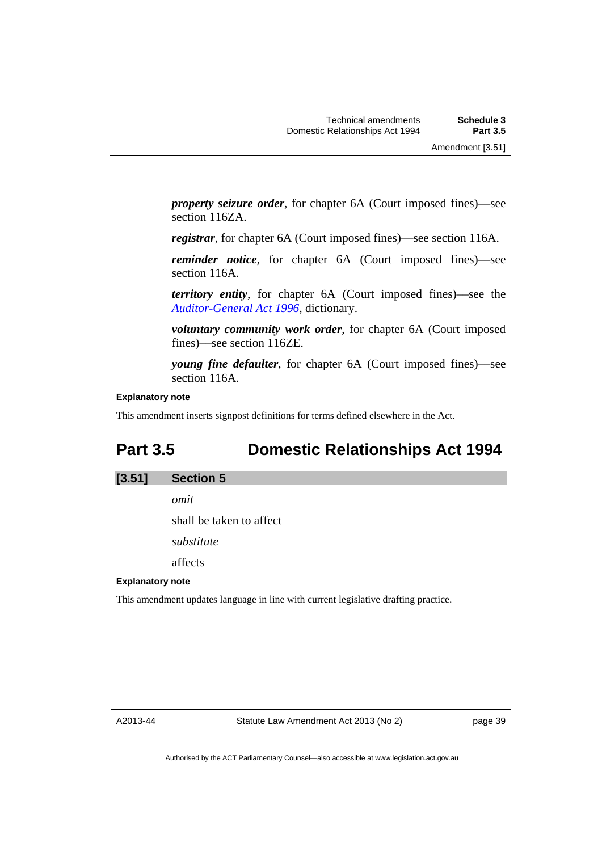*property seizure order*, for chapter 6A (Court imposed fines)––see section 116ZA.

*registrar*, for chapter 6A (Court imposed fines)––see section 116A.

*reminder notice*, for chapter 6A (Court imposed fines)—see section 116A.

*territory entity*, for chapter 6A (Court imposed fines)––see the *[Auditor-General Act 1996](http://www.legislation.act.gov.au/a/1996-23)*, dictionary.

*voluntary community work order*, for chapter 6A (Court imposed fines)––see section 116ZE.

*young fine defaulter*, for chapter 6A (Court imposed fines)—see section 116A.

#### **Explanatory note**

This amendment inserts signpost definitions for terms defined elsewhere in the Act.

## **Part 3.5 Domestic Relationships Act 1994**

#### **[3.51] Section 5**

*omit* 

shall be taken to affect

*substitute* 

affects

#### **Explanatory note**

This amendment updates language in line with current legislative drafting practice.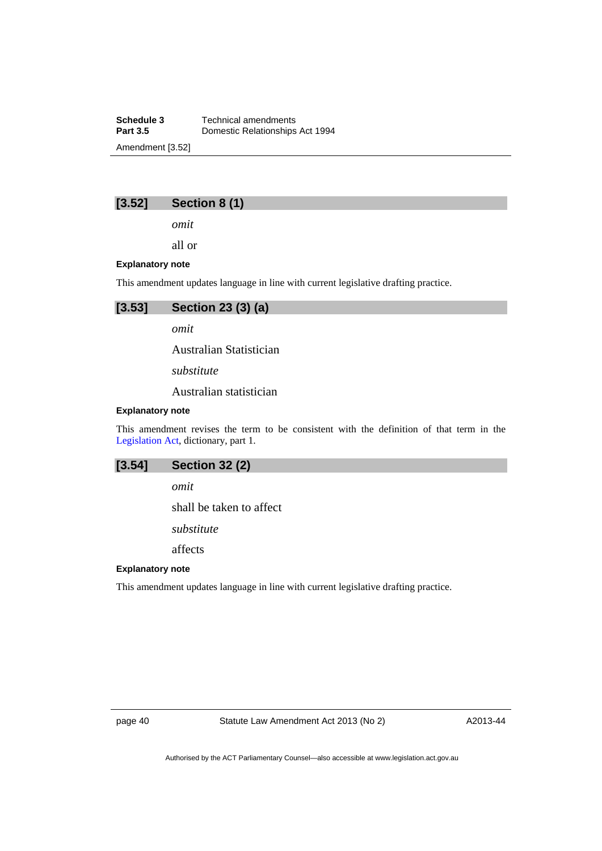**Schedule 3 Technical amendments**<br>**Part 3.5 Domestic Relationships Domestic Relationships Act 1994** Amendment [3.52]

## **[3.52] Section 8 (1)**

*omit* 

all or

#### **Explanatory note**

This amendment updates language in line with current legislative drafting practice.



*omit* 

Australian Statistician

*substitute* 

Australian statistician

#### **Explanatory note**

This amendment revises the term to be consistent with the definition of that term in the [Legislation Act,](http://www.legislation.act.gov.au/a/2001-14) dictionary, part 1.

## **[3.54] Section 32 (2)**

*omit* 

shall be taken to affect

*substitute* 

affects

## **Explanatory note**

This amendment updates language in line with current legislative drafting practice.

page 40 Statute Law Amendment Act 2013 (No 2)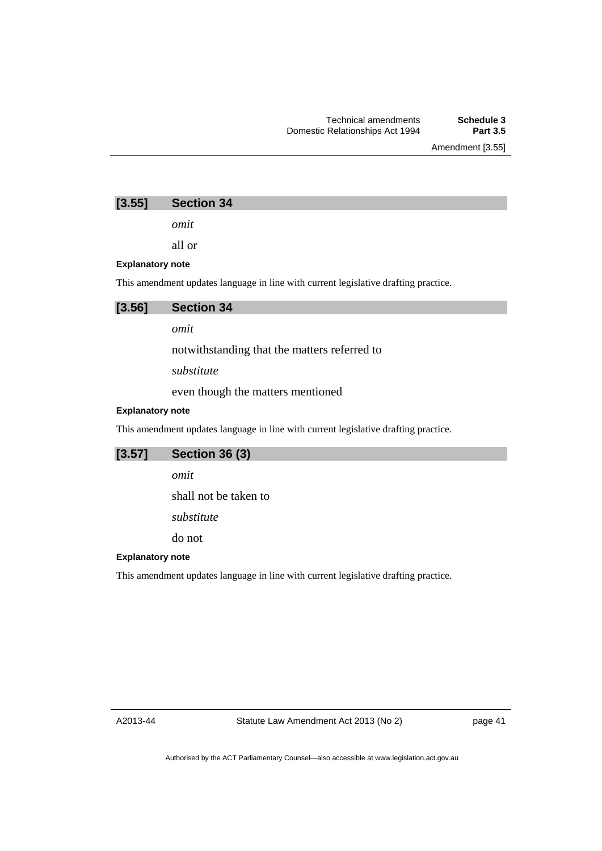Amendment [3.55]

## **[3.55] Section 34**

*omit* 

all or

## **Explanatory note**

This amendment updates language in line with current legislative drafting practice.



*omit* 

notwithstanding that the matters referred to

*substitute* 

even though the matters mentioned

## **Explanatory note**

This amendment updates language in line with current legislative drafting practice.

## **[3.57] Section 36 (3)**

*omit* 

shall not be taken to

*substitute* 

do not

#### **Explanatory note**

This amendment updates language in line with current legislative drafting practice.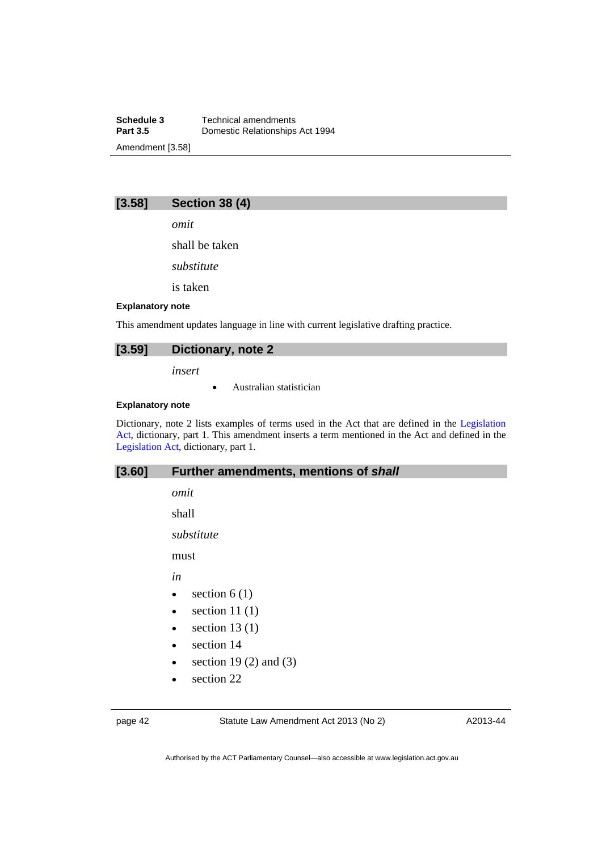**Schedule 3 Technical amendments**<br>**Part 3.5 Domestic Relationships Part 3.5** Domestic Relationships Act 1994 Amendment [3.58]

## **[3.58] Section 38 (4)**

*omit* 

shall be taken

*substitute* 

is taken

#### **Explanatory note**

This amendment updates language in line with current legislative drafting practice.

### **[3.59] Dictionary, note 2**

*insert* 

Australian statistician

#### **Explanatory note**

Dictionary, note 2 lists examples of terms used in the Act that are defined in the [Legislation](http://www.legislation.act.gov.au/a/2001-14)  [Act,](http://www.legislation.act.gov.au/a/2001-14) dictionary, part 1. This amendment inserts a term mentioned in the Act and defined in the [Legislation Act,](http://www.legislation.act.gov.au/a/2001-14) dictionary, part 1.

## **[3.60] Further amendments, mentions of** *shall*

*omit* 

shall

*substitute* 

must

*in* 

- $\bullet$  section 6 (1)
- $\bullet$  section 11 (1)
- $\bullet$  section 13 (1)
- section 14
- $\bullet$  section 19 (2) and (3)
- section 22

page 42 Statute Law Amendment Act 2013 (No 2)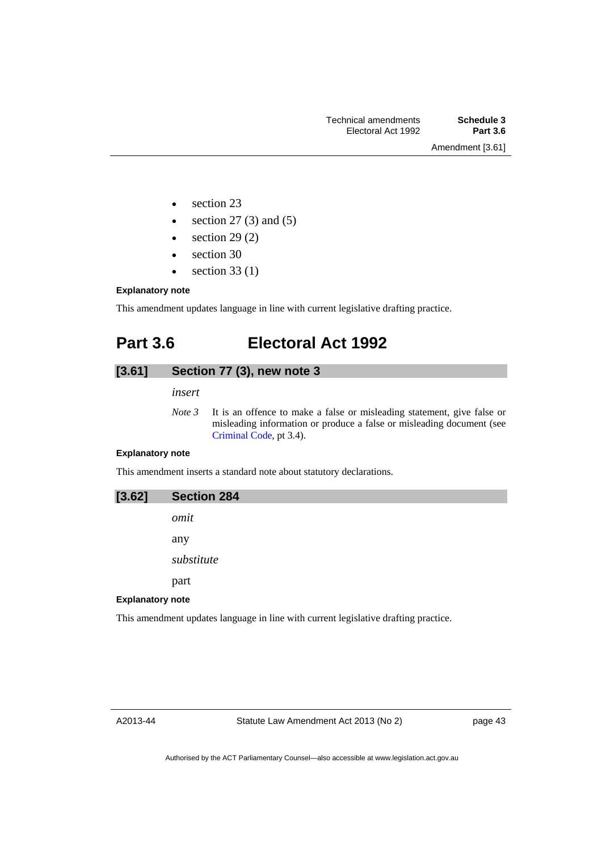Amendment [3.61]

- section 23
- $\bullet$  section 27 (3) and (5)
- $\bullet$  section 29 (2)
- section 30
- $\bullet$  section 33 (1)

## **Explanatory note**

This amendment updates language in line with current legislative drafting practice.

# **Part 3.6 Electoral Act 1992**

## **[3.61] Section 77 (3), new note 3**

*insert* 

*Note 3* It is an offence to make a false or misleading statement, give false or misleading information or produce a false or misleading document (see [Criminal Code](http://www.legislation.act.gov.au/a/2002-51), pt 3.4).

#### **Explanatory note**

This amendment inserts a standard note about statutory declarations.

| [3.62]                  | <b>Section 284</b> |
|-------------------------|--------------------|
|                         | omit               |
|                         | any                |
|                         | substitute         |
|                         | part               |
| <b>Explanatory note</b> |                    |

This amendment updates language in line with current legislative drafting practice.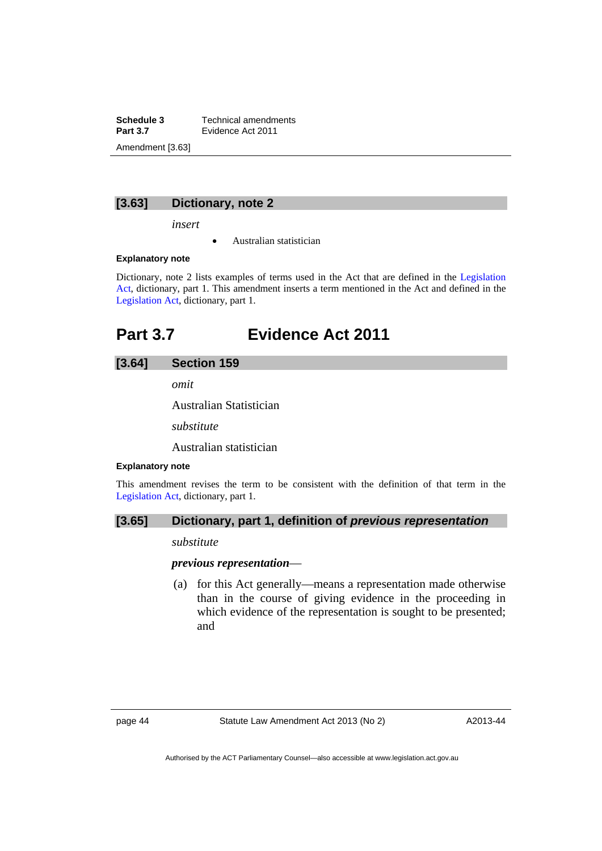**Schedule 3 Technical amendments**<br>**Part 3.7 Evidence Act 2011 Part 3.7** Evidence Act 2011 Amendment [3.63]

## **[3.63] Dictionary, note 2**

*insert* 

Australian statistician

#### **Explanatory note**

Dictionary, note 2 lists examples of terms used in the Act that are defined in the [Legislation](http://www.legislation.act.gov.au/a/2001-14)  [Act,](http://www.legislation.act.gov.au/a/2001-14) dictionary, part 1. This amendment inserts a term mentioned in the Act and defined in the [Legislation Act,](http://www.legislation.act.gov.au/a/2001-14) dictionary, part 1.

## **Part 3.7 Evidence Act 2011**

## **[3.64] Section 159**

*omit* 

Australian Statistician

*substitute* 

Australian statistician

## **Explanatory note**

This amendment revises the term to be consistent with the definition of that term in the [Legislation Act,](http://www.legislation.act.gov.au/a/2001-14) dictionary, part 1.

## **[3.65] Dictionary, part 1, definition of** *previous representation*

*substitute* 

*previous representation*—

 (a) for this Act generally—means a representation made otherwise than in the course of giving evidence in the proceeding in which evidence of the representation is sought to be presented; and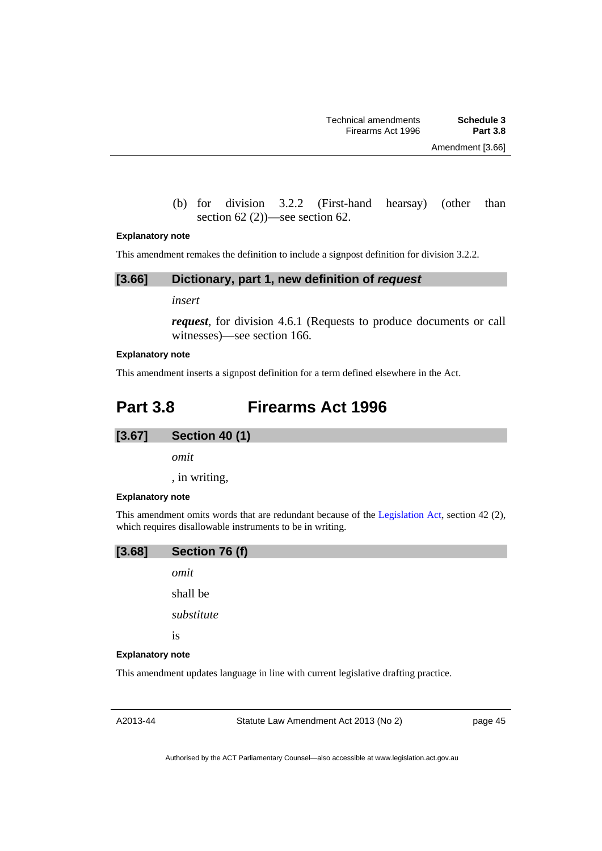(b) for division 3.2.2 (First-hand hearsay) (other than section 62 (2))—see section 62.

#### **Explanatory note**

This amendment remakes the definition to include a signpost definition for division 3.2.2.

#### **[3.66] Dictionary, part 1, new definition of** *request*

*insert* 

*request*, for division 4.6.1 (Requests to produce documents or call witnesses)—see section 166.

#### **Explanatory note**

This amendment inserts a signpost definition for a term defined elsewhere in the Act.

## **Part 3.8 Firearms Act 1996**

## **[3.67] Section 40 (1)**

*omit* 

, in writing,

#### **Explanatory note**

This amendment omits words that are redundant because of the [Legislation Act,](http://www.legislation.act.gov.au/a/2001-14) section 42 (2), which requires disallowable instruments to be in writing.



#### **Explanatory note**

This amendment updates language in line with current legislative drafting practice.

A2013-44

Statute Law Amendment Act 2013 (No 2)

page 45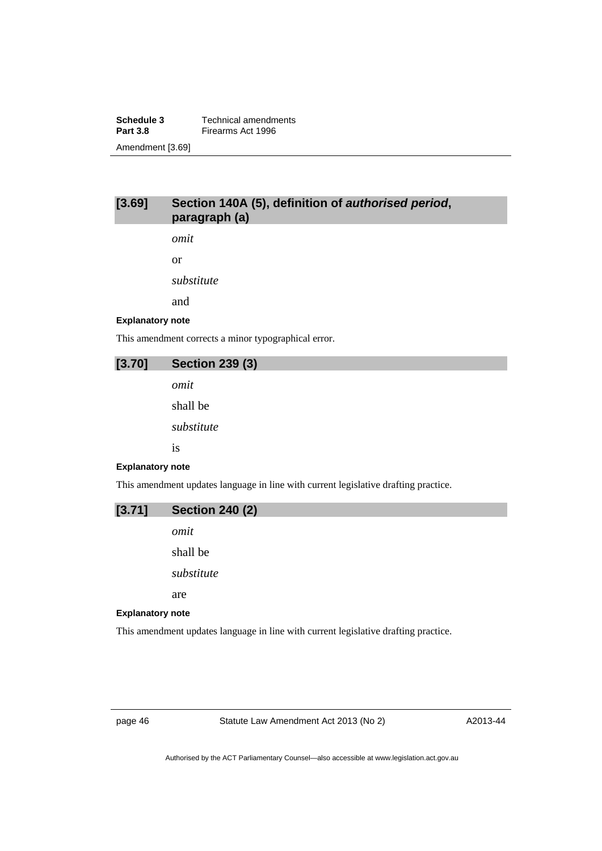**Schedule 3 Technical amendments**<br>**Part 3.8 Firearms Act 1996 Firearms Act 1996** Amendment [3.69]

## **[3.69] Section 140A (5), definition of** *authorised period***, paragraph (a)**

*omit* 

or

*substitute* 

and

#### **Explanatory note**

This amendment corrects a minor typographical error.

## **[3.70] Section 239 (3)**

*omit*  shall be *substitute*  is

#### **Explanatory note**

This amendment updates language in line with current legislative drafting practice.

# **[3.71] Section 240 (2)**  *omit*  shall be *substitute*  are

#### **Explanatory note**

This amendment updates language in line with current legislative drafting practice.

page 46 Statute Law Amendment Act 2013 (No 2)

A2013-44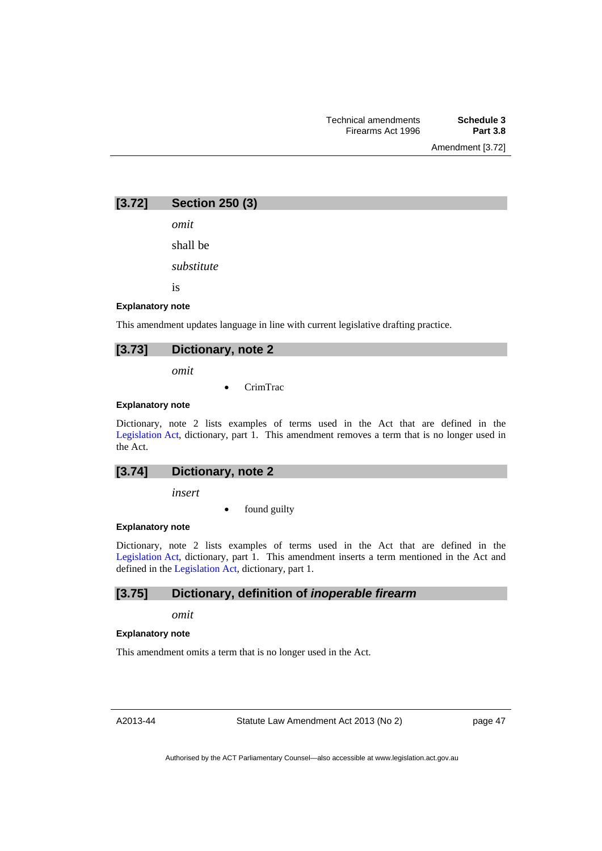Amendment [3.72]

**[3.72] Section 250 (3)** 

*omit* 

shall be

*substitute* 

is

#### **Explanatory note**

This amendment updates language in line with current legislative drafting practice.

#### **[3.73] Dictionary, note 2**

*omit* 

CrimTrac

#### **Explanatory note**

Dictionary, note 2 lists examples of terms used in the Act that are defined in the [Legislation Act,](http://www.legislation.act.gov.au/a/2001-14) dictionary, part 1. This amendment removes a term that is no longer used in the Act.

### **[3.74] Dictionary, note 2**

*insert* 

found guilty

### **Explanatory note**

Dictionary, note 2 lists examples of terms used in the Act that are defined in the [Legislation Act,](http://www.legislation.act.gov.au/a/2001-14) dictionary, part 1. This amendment inserts a term mentioned in the Act and defined in the [Legislation Act](http://www.legislation.act.gov.au/a/2001-14), dictionary, part 1.

### **[3.75] Dictionary, definition of** *inoperable firearm*

*omit* 

#### **Explanatory note**

This amendment omits a term that is no longer used in the Act.

A2013-44

Statute Law Amendment Act 2013 (No 2)

page 47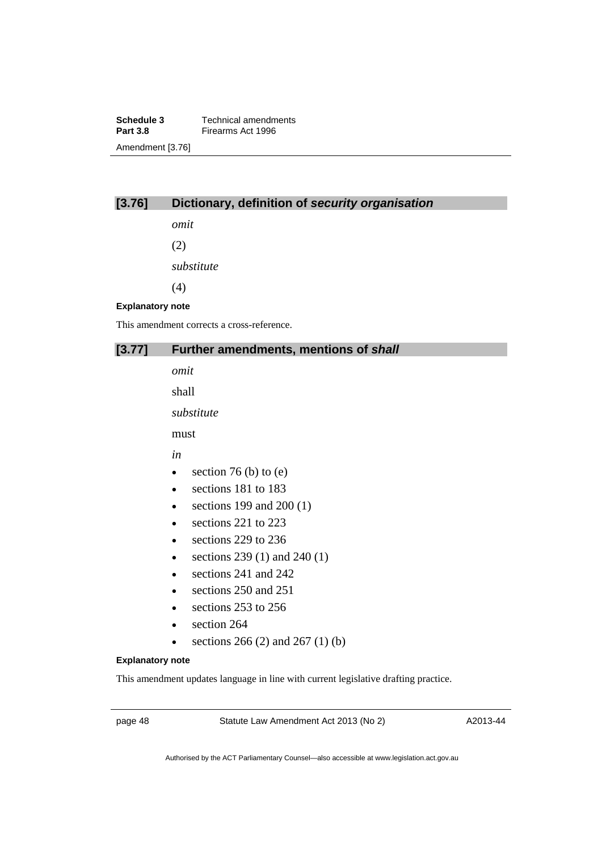**Schedule 3 Technical amendments**<br>**Part 3.8 Firearms Act 1996 Firearms Act 1996** Amendment [3.76]

## **[3.76] Dictionary, definition of** *security organisation*

*omit* 

(2)

*substitute* 

(4)

#### **Explanatory note**

This amendment corrects a cross-reference.

## **[3.77] Further amendments, mentions of** *shall*

*omit* 

shall

*substitute* 

must

*in* 

- $\bullet$  section 76 (b) to (e)
- sections 181 to 183
- $\bullet$  sections 199 and 200 (1)
- sections 221 to 223
- $\cdot$  sections 229 to 236
- sections  $239(1)$  and  $240(1)$
- sections 241 and 242
- sections 250 and 251
- $\cdot$  sections 253 to 256
- section 264
- e sections 266 (2) and 267 (1) (b)

### **Explanatory note**

This amendment updates language in line with current legislative drafting practice.

page 48 Statute Law Amendment Act 2013 (No 2)

A2013-44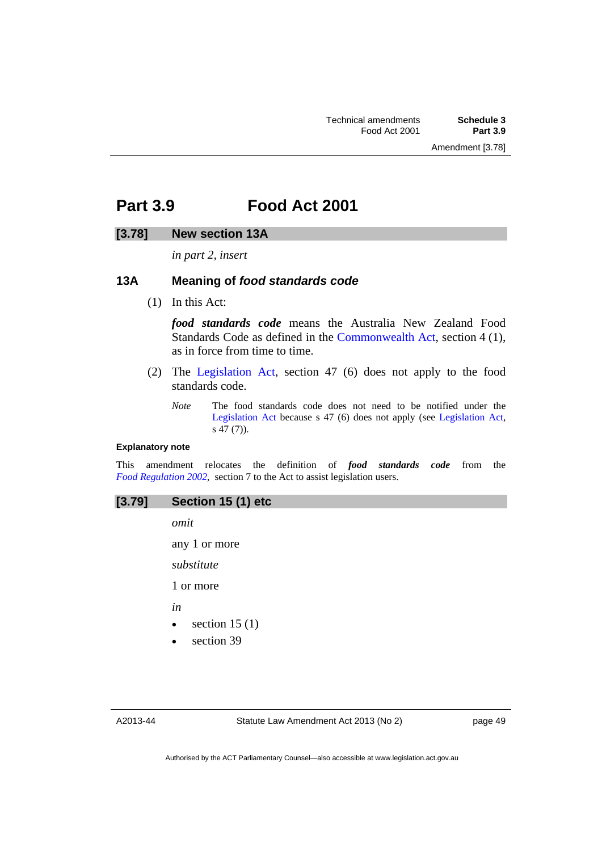## **Part 3.9 Food Act 2001**

#### **[3.78] New section 13A**

*in part 2, insert* 

## **13A Meaning of** *food standards code*

(1) In this Act:

*food standards code* means the Australia New Zealand Food Standards Code as defined in the [Commonwealth Act,](http://www.comlaw.gov.au/Series/C2004A04193) section 4 (1), as in force from time to time.

- (2) The [Legislation Act](http://www.legislation.act.gov.au/a/2001-14), section 47 (6) does not apply to the food standards code.
	- *Note* The food standards code does not need to be notified under the [Legislation Act](http://www.legislation.act.gov.au/a/2001-14) because s 47 (6) does not apply (see [Legislation Act,](http://www.legislation.act.gov.au/a/2001-14)  $s$  47 $(7)$ ).

#### **Explanatory note**

This amendment relocates the definition of *food standards code* from the *[Food Regulation 2002](http://www.legislation.act.gov.au/sl/2002-10)*, section 7 to the Act to assist legislation users.

#### **[3.79] Section 15 (1) etc**

*omit* 

any 1 or more

*substitute* 

1 or more

*in* 

- $\bullet$  section 15 (1)
- section 39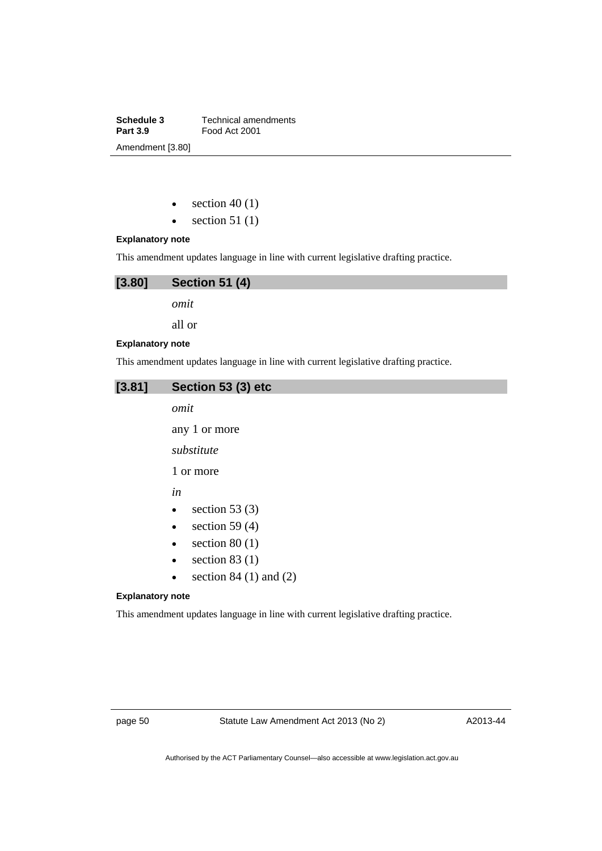**Schedule 3 Technical amendments**<br>**Part 3.9 Food Act 2001 Part 3.9** Food Act 2001 Amendment [3.80]

- $\bullet$  section 40 (1)
- $\bullet$  section 51 (1)

## **Explanatory note**

This amendment updates language in line with current legislative drafting practice.

| [3.80]                  | <b>Section 51 (4)</b> |
|-------------------------|-----------------------|
|                         | omit                  |
|                         | all or                |
| <b>Explanatory note</b> |                       |

This amendment updates language in line with current legislative drafting practice.

## **[3.81] Section 53 (3) etc**

*omit* 

any 1 or more

*substitute* 

1 or more

*in* 

- $\bullet$  section 53 (3)
- $\bullet$  section 59 (4)
- $\bullet$  section 80 (1)
- $\bullet$  section 83 (1)
- $\bullet$  section 84 (1) and (2)

#### **Explanatory note**

This amendment updates language in line with current legislative drafting practice.

page 50 Statute Law Amendment Act 2013 (No 2)

A2013-44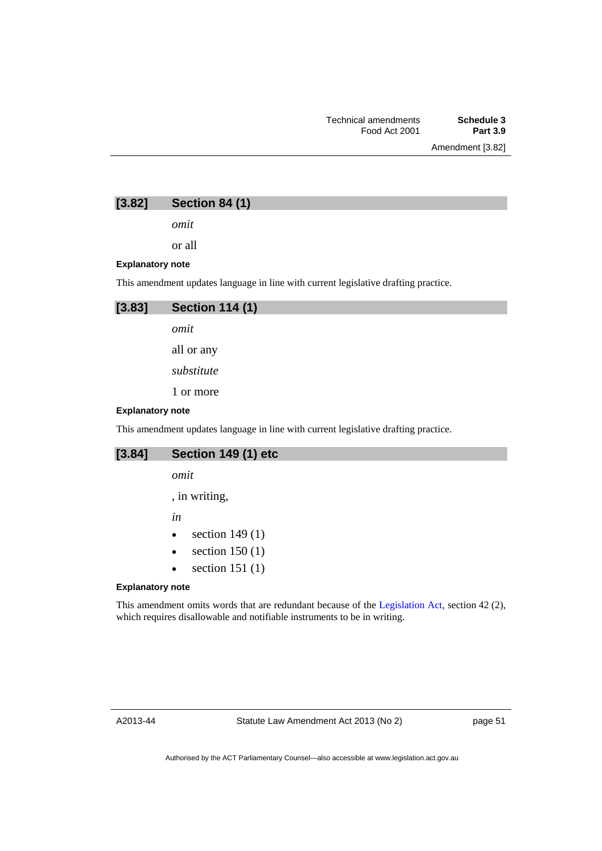Amendment [3.82]

**[3.82] Section 84 (1)** 

*omit* 

or all

#### **Explanatory note**

This amendment updates language in line with current legislative drafting practice.



*omit* 

all or any

*substitute* 

1 or more

#### **Explanatory note**

This amendment updates language in line with current legislative drafting practice.

## **[3.84] Section 149 (1) etc**

*omit* 

, in writing,

*in* 

- $\bullet$  section 149 $(1)$
- $\bullet$  section 150 (1)
- $\bullet$  section 151 (1)

#### **Explanatory note**

This amendment omits words that are redundant because of the [Legislation Act,](http://www.legislation.act.gov.au/a/2001-14) section 42 (2), which requires disallowable and notifiable instruments to be in writing.

A2013-44

page 51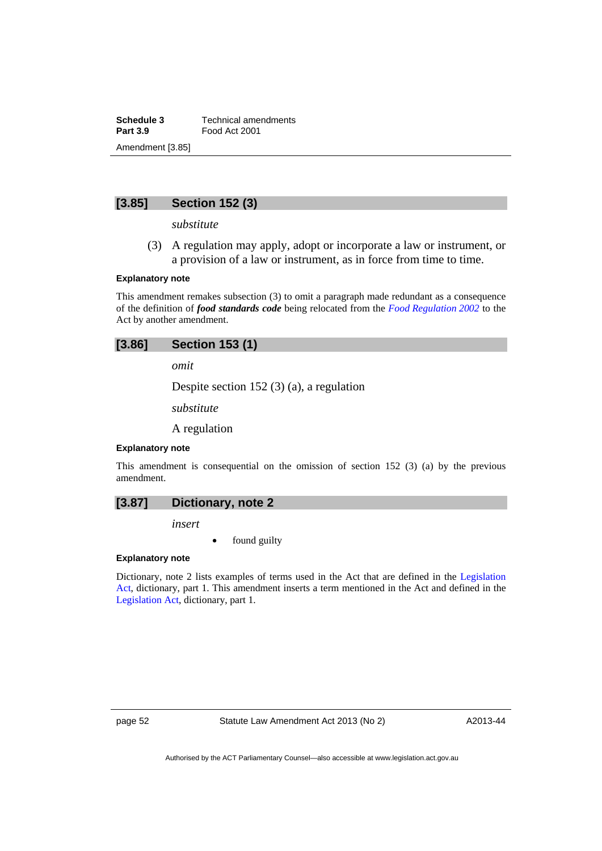**Schedule 3 Technical amendments**<br>**Part 3.9 Food Act 2001 Part 3.9** Food Act 2001 Amendment [3.85]

## **[3.85] Section 152 (3)**

*substitute* 

 (3) A regulation may apply, adopt or incorporate a law or instrument, or a provision of a law or instrument, as in force from time to time.

#### **Explanatory note**

This amendment remakes subsection (3) to omit a paragraph made redundant as a consequence of the definition of *food standards code* being relocated from the *[Food Regulation 2002](http://www.legislation.act.gov.au/sl/2002-10)* to the Act by another amendment.

## **[3.86] Section 153 (1)**

*omit* 

Despite section 152 (3) (a), a regulation

*substitute* 

A regulation

#### **Explanatory note**

This amendment is consequential on the omission of section 152 (3) (a) by the previous amendment.

*insert* 

found guilty

### **Explanatory note**

Dictionary, note 2 lists examples of terms used in the Act that are defined in the [Legislation](http://www.legislation.act.gov.au/a/2001-14)  [Act,](http://www.legislation.act.gov.au/a/2001-14) dictionary, part 1. This amendment inserts a term mentioned in the Act and defined in the [Legislation Act,](http://www.legislation.act.gov.au/a/2001-14) dictionary, part 1.

page 52 Statute Law Amendment Act 2013 (No 2)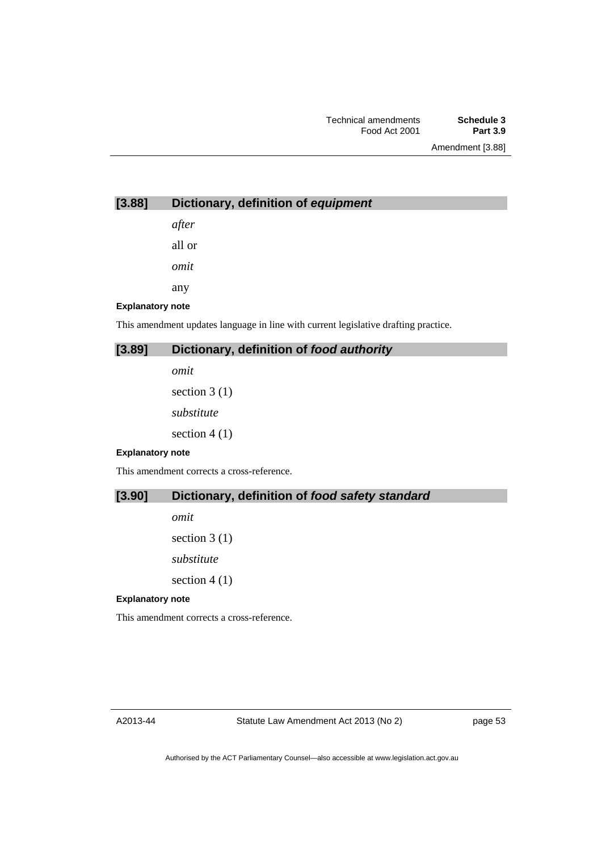Amendment [3.88]

## **[3.88] Dictionary, definition of** *equipment*

*after* 

all or

*omit* 

any

**Explanatory note** 

This amendment updates language in line with current legislative drafting practice.

## **[3.89] Dictionary, definition of** *food authority*

*omit* 

section 3 (1) *substitute*  section 4 (1)

#### **Explanatory note**

This amendment corrects a cross-reference.

## **[3.90] Dictionary, definition of** *food safety standard*

*omit*  section 3 (1) *substitute*  section  $4(1)$ 

#### **Explanatory note**

This amendment corrects a cross-reference.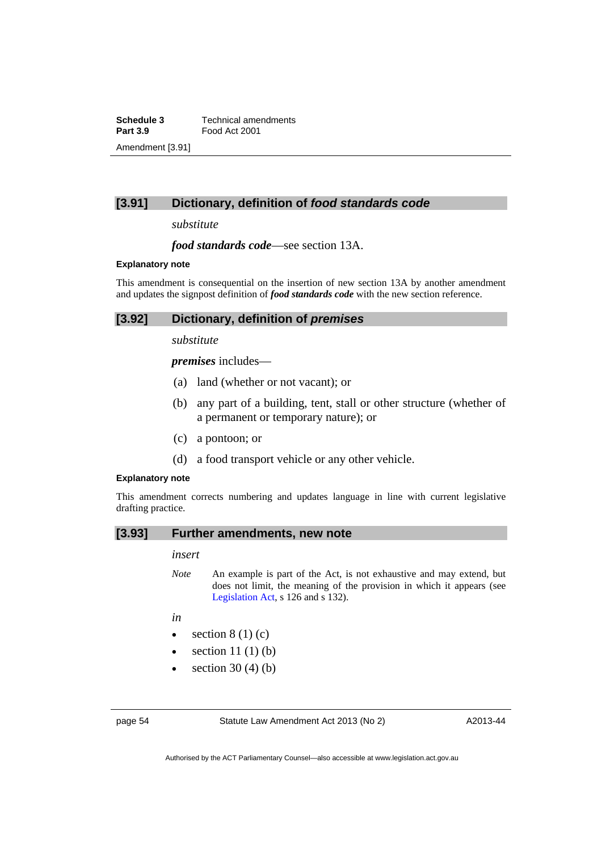**Schedule 3 Technical amendments**<br>**Part 3.9 Food Act 2001 Part 3.9** Food Act 2001 Amendment [3.91]

## **[3.91] Dictionary, definition of** *food standards code*

*substitute* 

*food standards code*—see section 13A.

#### **Explanatory note**

This amendment is consequential on the insertion of new section 13A by another amendment and updates the signpost definition of *food standards code* with the new section reference.

### **[3.92] Dictionary, definition of** *premises*

*substitute* 

*premises* includes—

- (a) land (whether or not vacant); or
- (b) any part of a building, tent, stall or other structure (whether of a permanent or temporary nature); or
- (c) a pontoon; or
- (d) a food transport vehicle or any other vehicle.

#### **Explanatory note**

This amendment corrects numbering and updates language in line with current legislative drafting practice.

## **[3.93] Further amendments, new note**

#### *insert*

*Note* An example is part of the Act, is not exhaustive and may extend, but does not limit, the meaning of the provision in which it appears (see [Legislation Act,](http://www.legislation.act.gov.au/a/2001-14) s 126 and s 132).

*in* 

- $\bullet$  section 8 (1) (c)
- $\bullet$  section 11 (1) (b)
- section 30 (4) (b)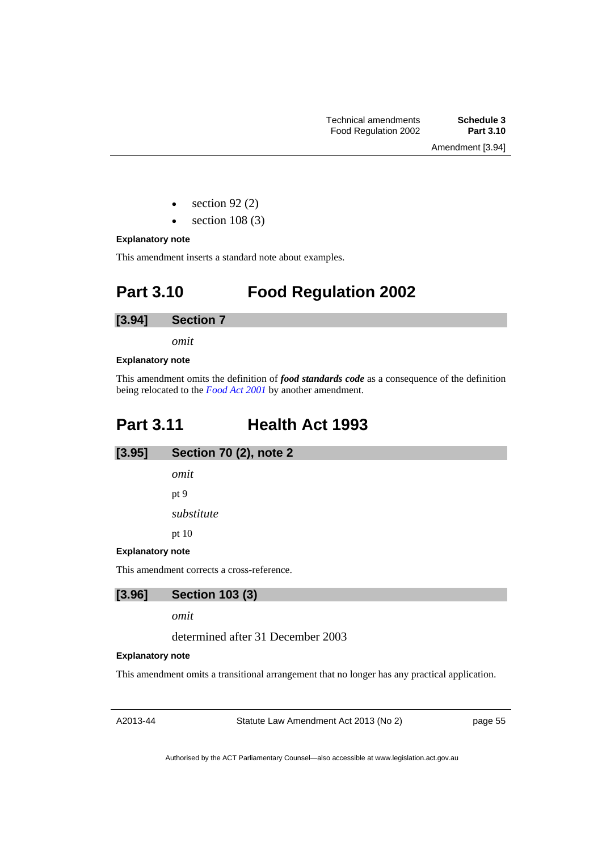Amendment [3.94]

- section 92 (2)
- section 108 (3)

#### **Explanatory note**

This amendment inserts a standard note about examples.

# **Part 3.10 Food Regulation 2002**

## **[3.94] Section 7**

*omit* 

#### **Explanatory note**

This amendment omits the definition of *food standards code* as a consequence of the definition being relocated to the *[Food Act 2001](http://www.legislation.act.gov.au/a/2001-66)* by another amendment.

# **Part 3.11 Health Act 1993**

## **[3.95] Section 70 (2), note 2**

*omit* 

pt 9

*substitute* 

pt 10

**Explanatory note** 

This amendment corrects a cross-reference.

## **[3.96] Section 103 (3)**

*omit* 

determined after 31 December 2003

#### **Explanatory note**

This amendment omits a transitional arrangement that no longer has any practical application.

A2013-44

Statute Law Amendment Act 2013 (No 2)

page 55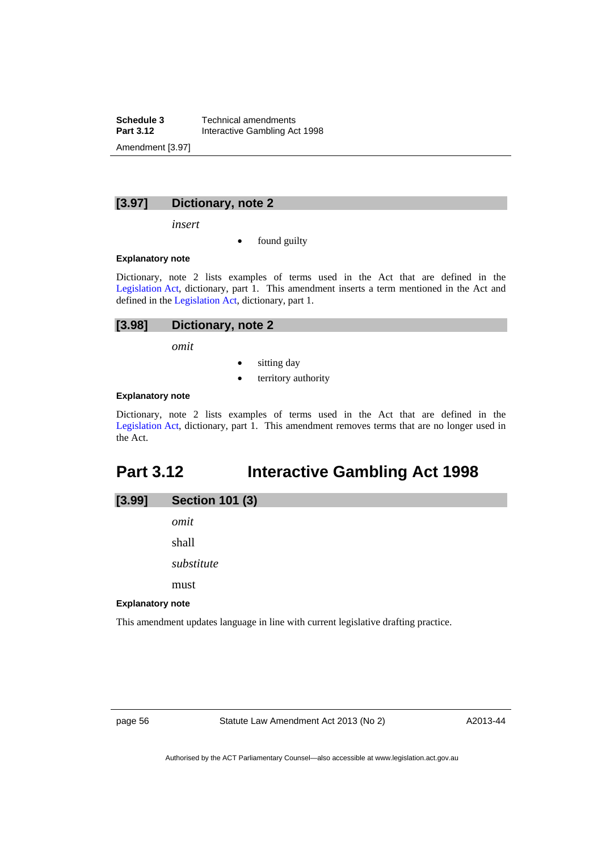**Schedule 3 Technical amendments**<br>**Part 3.12 Interactive Gambling Ac Part 3.12** Interactive Gambling Act 1998 Amendment [3.97]

## **[3.97] Dictionary, note 2**

*insert* 

found guilty

#### **Explanatory note**

Dictionary, note 2 lists examples of terms used in the Act that are defined in the [Legislation Act,](http://www.legislation.act.gov.au/a/2001-14) dictionary, part 1. This amendment inserts a term mentioned in the Act and defined in the [Legislation Act](http://www.legislation.act.gov.au/a/2001-14), dictionary, part 1.

| $[3.98]$ | Dictionary, note 2 |
|----------|--------------------|
|----------|--------------------|

*omit* 

- sitting day
- territory authority

### **Explanatory note**

Dictionary, note 2 lists examples of terms used in the Act that are defined in the [Legislation Act,](http://www.legislation.act.gov.au/a/2001-14) dictionary, part 1. This amendment removes terms that are no longer used in the Act.

# **Part 3.12 Interactive Gambling Act 1998**

| [3.99] | <b>Section 101 (3)</b> |
|--------|------------------------|
|        | omit                   |
|        | shall                  |
|        | substitute             |
|        | must                   |

#### **Explanatory note**

This amendment updates language in line with current legislative drafting practice.

page 56 Statute Law Amendment Act 2013 (No 2)

A2013-44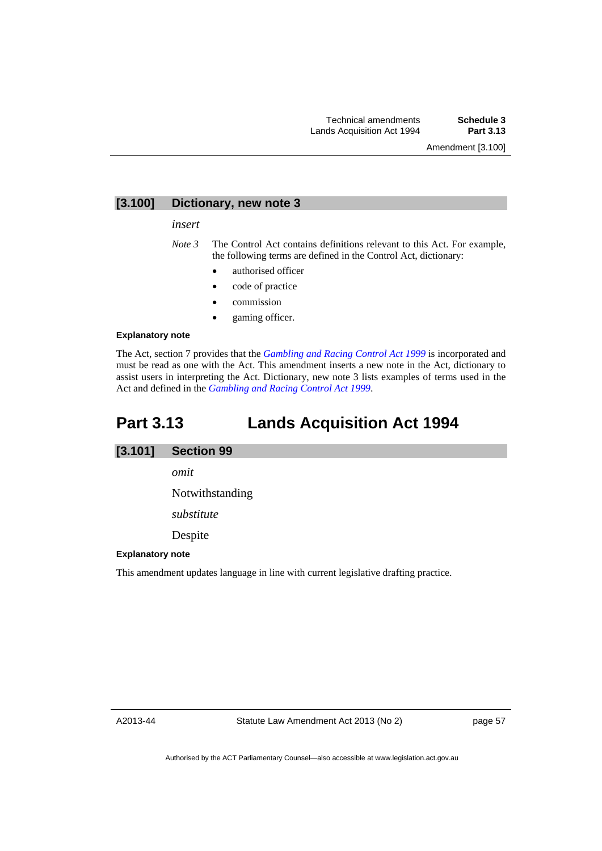## **[3.100] Dictionary, new note 3**

#### *insert*

*Note 3* The Control Act contains definitions relevant to this Act. For example, the following terms are defined in the Control Act, dictionary:

- authorised officer
- code of practice
- commission
- gaming officer.

#### **Explanatory note**

The Act, section 7 provides that the *[Gambling and Racing Control Act 1999](http://www.legislation.act.gov.au/a/1999-46)* is incorporated and must be read as one with the Act. This amendment inserts a new note in the Act, dictionary to assist users in interpreting the Act. Dictionary, new note 3 lists examples of terms used in the Act and defined in the *[Gambling and Racing Control Act 1999](http://www.legislation.act.gov.au/a/1999-46)*.

## **Part 3.13 Lands Acquisition Act 1994**

## **[3.101] Section 99**

*omit* 

Notwithstanding

*substitute* 

Despite

#### **Explanatory note**

This amendment updates language in line with current legislative drafting practice.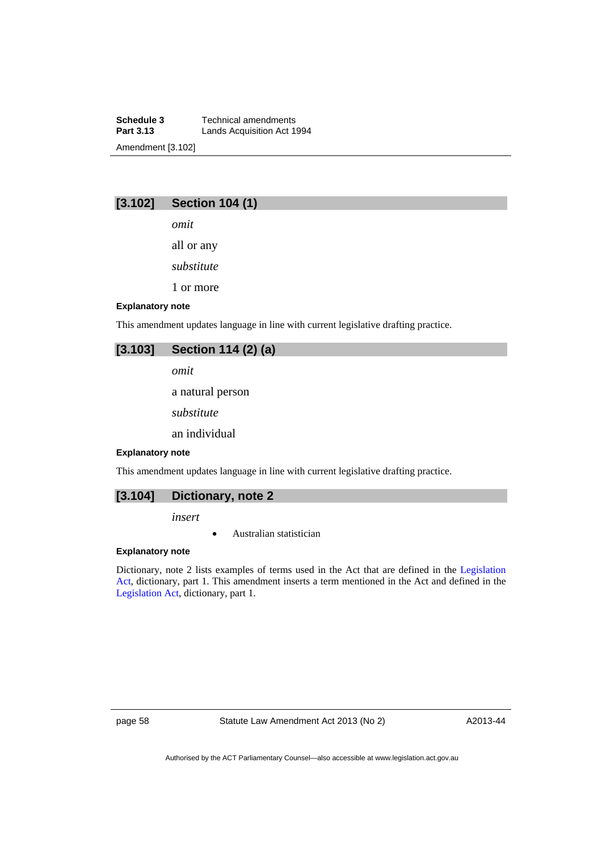**Schedule 3 Technical amendments**<br>**Part 3.13 Lands Acquisition Act 19 Lands Acquisition Act 1994** Amendment [3.102]

## **[3.102] Section 104 (1)**

*omit* 

all or any

*substitute* 

1 or more

#### **Explanatory note**

This amendment updates language in line with current legislative drafting practice.

## **[3.103] Section 114 (2) (a)**

*omit* 

a natural person

*substitute* 

an individual

#### **Explanatory note**

This amendment updates language in line with current legislative drafting practice.



*insert* 

Australian statistician

#### **Explanatory note**

Dictionary, note 2 lists examples of terms used in the Act that are defined in the [Legislation](http://www.legislation.act.gov.au/a/2001-14)  [Act,](http://www.legislation.act.gov.au/a/2001-14) dictionary, part 1. This amendment inserts a term mentioned in the Act and defined in the [Legislation Act,](http://www.legislation.act.gov.au/a/2001-14) dictionary, part 1.

page 58 Statute Law Amendment Act 2013 (No 2)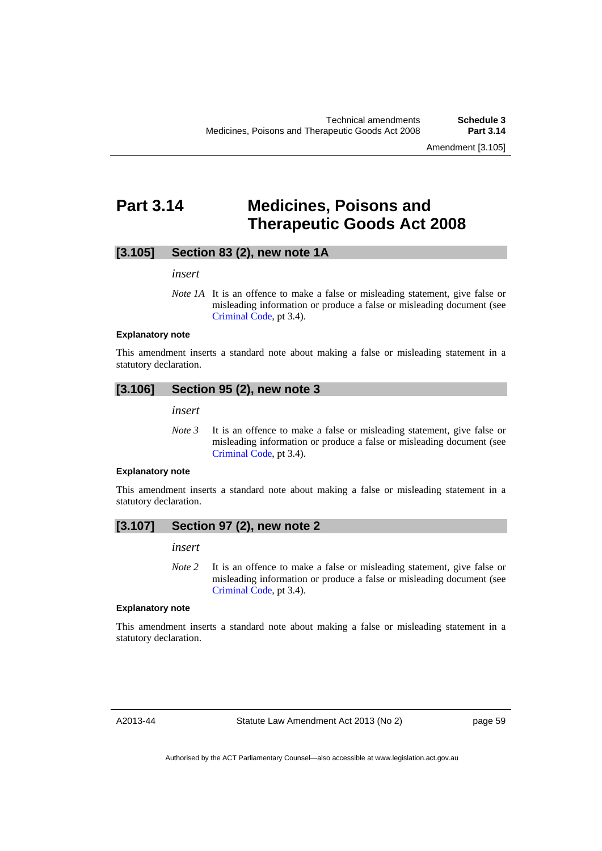Amendment [3.105]

## **Part 3.14 Medicines, Poisons and Therapeutic Goods Act 2008**

## **[3.105] Section 83 (2), new note 1A**

#### *insert*

*Note 1A* It is an offence to make a false or misleading statement, give false or misleading information or produce a false or misleading document (see [Criminal Code](http://www.legislation.act.gov.au/a/2002-51), pt 3.4).

#### **Explanatory note**

This amendment inserts a standard note about making a false or misleading statement in a statutory declaration.

#### **[3.106] Section 95 (2), new note 3**

*insert* 

*Note 3* It is an offence to make a false or misleading statement, give false or misleading information or produce a false or misleading document (see [Criminal Code](http://www.legislation.act.gov.au/a/2002-51), pt 3.4).

#### **Explanatory note**

This amendment inserts a standard note about making a false or misleading statement in a statutory declaration.

## **[3.107] Section 97 (2), new note 2**

#### *insert*

*Note* 2 It is an offence to make a false or misleading statement, give false or misleading information or produce a false or misleading document (see [Criminal Code](http://www.legislation.act.gov.au/a/2002-51), pt 3.4).

#### **Explanatory note**

This amendment inserts a standard note about making a false or misleading statement in a statutory declaration.

A2013-44

Statute Law Amendment Act 2013 (No 2)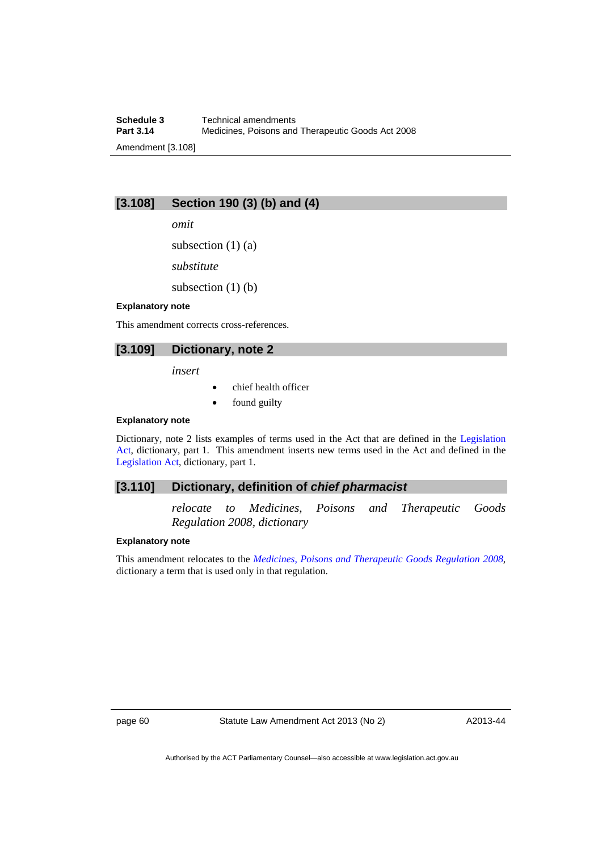## **[3.108] Section 190 (3) (b) and (4)**

*omit* 

subsection  $(1)$   $(a)$ 

*substitute* 

subsection  $(1)$  (b)

#### **Explanatory note**

This amendment corrects cross-references.

## **[3.109] Dictionary, note 2**

*insert* 

- chief health officer
- found guilty

#### **Explanatory note**

Dictionary, note 2 lists examples of terms used in the Act that are defined in the [Legislation](http://www.legislation.act.gov.au/a/2001-14)  [Act,](http://www.legislation.act.gov.au/a/2001-14) dictionary, part 1. This amendment inserts new terms used in the Act and defined in the [Legislation Act,](http://www.legislation.act.gov.au/a/2001-14) dictionary, part 1.

#### **[3.110] Dictionary, definition of** *chief pharmacist*

*relocate to Medicines, Poisons and Therapeutic Goods Regulation 2008, dictionary* 

#### **Explanatory note**

This amendment relocates to the *[Medicines, Poisons and Therapeutic Goods Regulation 2008](http://www.legislation.act.gov.au/sl/2008-42)*, dictionary a term that is used only in that regulation.

page 60 Statute Law Amendment Act 2013 (No 2)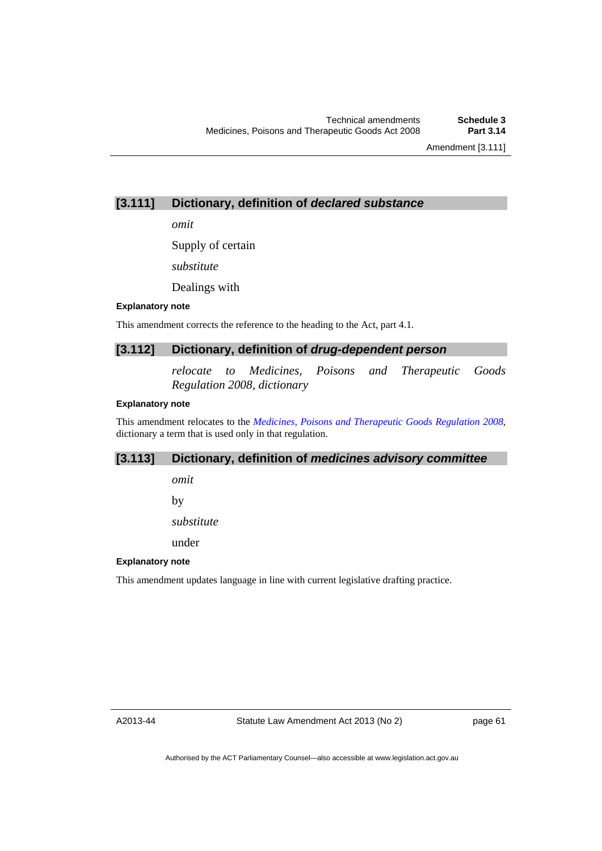Amendment [3.111]

## **[3.111] Dictionary, definition of** *declared substance*

*omit* 

Supply of certain

*substitute* 

Dealings with

#### **Explanatory note**

This amendment corrects the reference to the heading to the Act, part 4.1.

## **[3.112] Dictionary, definition of** *drug-dependent person*

*relocate to Medicines, Poisons and Therapeutic Goods Regulation 2008, dictionary* 

## **Explanatory note**

This amendment relocates to the *[Medicines, Poisons and Therapeutic Goods Regulation 2008](http://www.legislation.act.gov.au/sl/2008-42)*, dictionary a term that is used only in that regulation.

## **[3.113] Dictionary, definition of** *medicines advisory committee*

*omit* 

by

*substitute* 

under

## **Explanatory note**

This amendment updates language in line with current legislative drafting practice.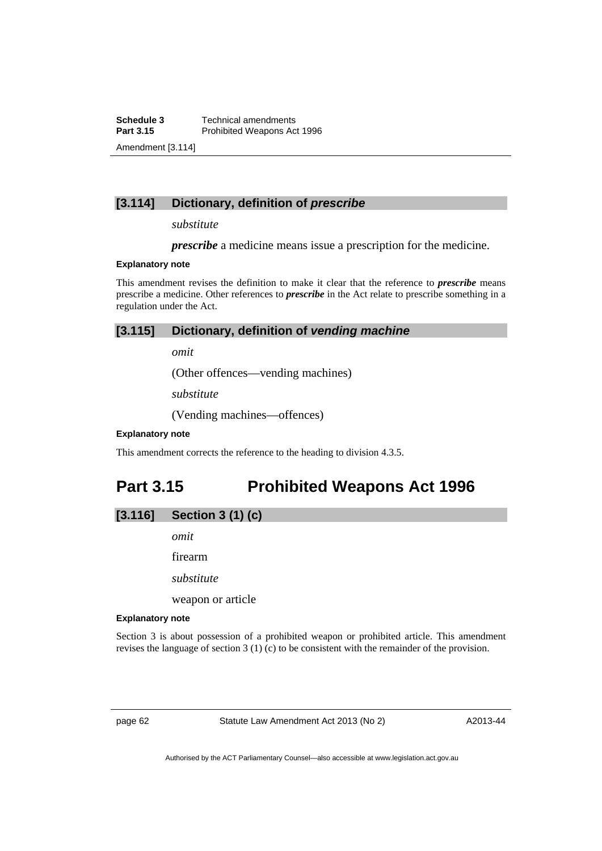**Schedule 3 Technical amendments**<br>**Part 3.15 Prohibited Weapons Ac Prohibited Weapons Act 1996** Amendment [3.114]

## **[3.114] Dictionary, definition of** *prescribe*

#### *substitute*

*prescribe* a medicine means issue a prescription for the medicine.

#### **Explanatory note**

This amendment revises the definition to make it clear that the reference to *prescribe* means prescribe a medicine. Other references to *prescribe* in the Act relate to prescribe something in a regulation under the Act.

## **[3.115] Dictionary, definition of** *vending machine*

*omit* 

(Other offences—vending machines)

*substitute* 

(Vending machines—offences)

#### **Explanatory note**

This amendment corrects the reference to the heading to division 4.3.5.

## **Part 3.15 Prohibited Weapons Act 1996**

## **[3.116] Section 3 (1) (c)**

*omit* 

firearm

*substitute* 

weapon or article

#### **Explanatory note**

Section 3 is about possession of a prohibited weapon or prohibited article. This amendment revises the language of section 3 (1) (c) to be consistent with the remainder of the provision.

page 62 Statute Law Amendment Act 2013 (No 2)

A2013-44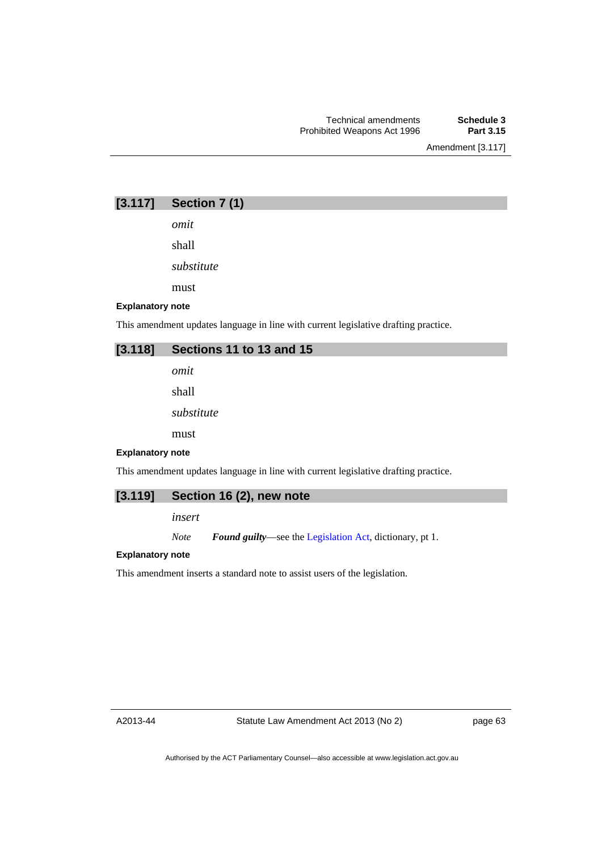Amendment [3.117]

## **[3.117] Section 7 (1)**

*omit* 

shall

*substitute* 

must

#### **Explanatory note**

This amendment updates language in line with current legislative drafting practice.

## **[3.118] Sections 11 to 13 and 15**

*omit* 

shall

*substitute* 

must

#### **Explanatory note**

This amendment updates language in line with current legislative drafting practice.

## **[3.119] Section 16 (2), new note**

*insert* 

*Note Found guilty*—see the [Legislation Act,](http://www.legislation.act.gov.au/a/2001-14) dictionary, pt 1.

#### **Explanatory note**

This amendment inserts a standard note to assist users of the legislation.

A2013-44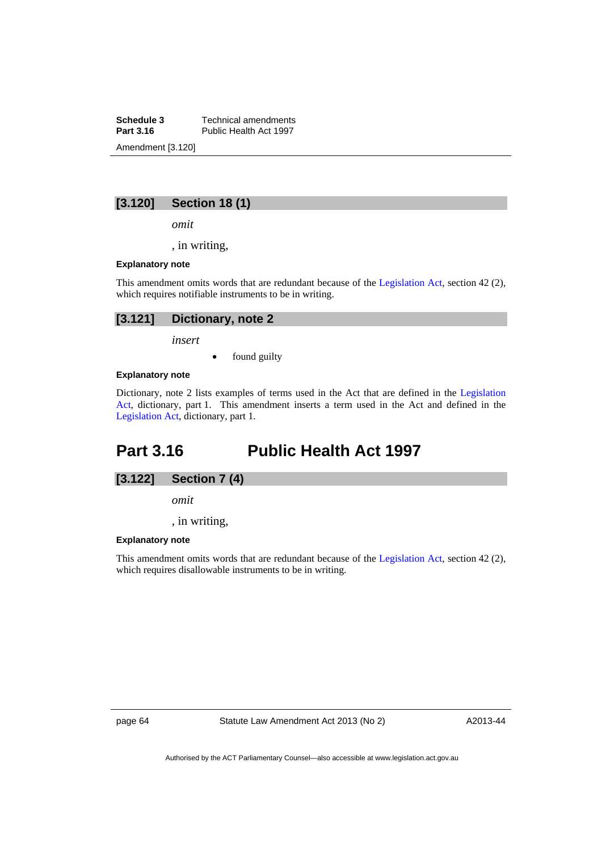**Schedule 3 Technical amendments**<br>**Part 3.16 Public Health Act 1997** Public Health Act 1997 Amendment [3.120]

## **[3.120] Section 18 (1)**

*omit* 

, in writing,

#### **Explanatory note**

This amendment omits words that are redundant because of the [Legislation Act,](http://www.legislation.act.gov.au/a/2001-14) section 42 (2), which requires notifiable instruments to be in writing.

| [3.121] Dictionary, note 2 |
|----------------------------|
| insert                     |

found guilty

#### **Explanatory note**

Dictionary, note 2 lists examples of terms used in the Act that are defined in the [Legislation](http://www.legislation.act.gov.au/a/2001-14)  [Act,](http://www.legislation.act.gov.au/a/2001-14) dictionary, part 1. This amendment inserts a term used in the Act and defined in the [Legislation Act,](http://www.legislation.act.gov.au/a/2001-14) dictionary, part 1.

## **Part 3.16 Public Health Act 1997**



*omit* 

, in writing,

#### **Explanatory note**

This amendment omits words that are redundant because of the [Legislation Act,](http://www.legislation.act.gov.au/a/2001-14) section 42 (2), which requires disallowable instruments to be in writing.

page 64 Statute Law Amendment Act 2013 (No 2)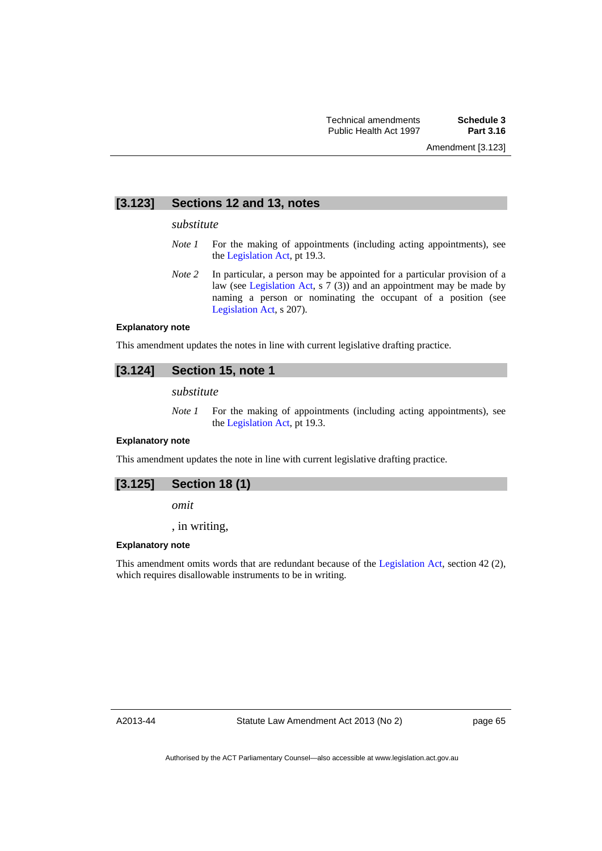## **[3.123] Sections 12 and 13, notes**

#### *substitute*

- *Note 1* For the making of appointments (including acting appointments), see the [Legislation Act,](http://www.legislation.act.gov.au/a/2001-14) pt 19.3.
- *Note* 2 In particular, a person may be appointed for a particular provision of a law (see [Legislation Act,](http://www.legislation.act.gov.au/a/2001-14) s 7 (3)) and an appointment may be made by naming a person or nominating the occupant of a position (see [Legislation Act,](http://www.legislation.act.gov.au/a/2001-14) s 207).

#### **Explanatory note**

This amendment updates the notes in line with current legislative drafting practice.

## **[3.124] Section 15, note 1**

*substitute* 

*Note 1* For the making of appointments (including acting appointments), see the [Legislation Act,](http://www.legislation.act.gov.au/a/2001-14) pt 19.3.

#### **Explanatory note**

This amendment updates the note in line with current legislative drafting practice.

## **[3.125] Section 18 (1)**

*omit* 

, in writing,

#### **Explanatory note**

This amendment omits words that are redundant because of the [Legislation Act,](http://www.legislation.act.gov.au/a/2001-14) section 42 (2), which requires disallowable instruments to be in writing.

A2013-44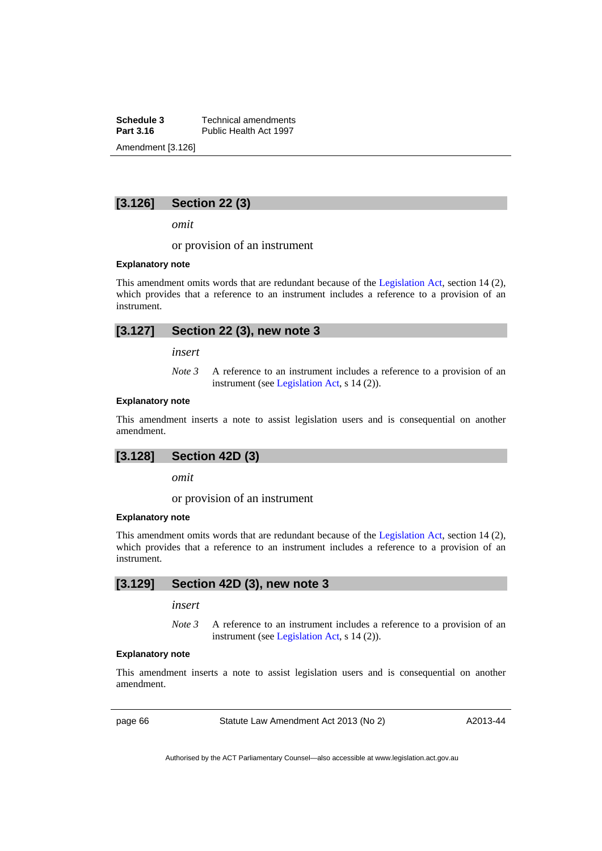**Schedule 3 Technical amendments**<br>**Part 3.16 Public Health Act 1997** Public Health Act 1997 Amendment [3.126]

## **[3.126] Section 22 (3)**

*omit* 

or provision of an instrument

#### **Explanatory note**

This amendment omits words that are redundant because of the [Legislation Act,](http://www.legislation.act.gov.au/a/2001-14) section 14 (2), which provides that a reference to an instrument includes a reference to a provision of an instrument.

## **[3.127] Section 22 (3), new note 3**

*insert* 

*Note 3* A reference to an instrument includes a reference to a provision of an instrument (see [Legislation Act,](http://www.legislation.act.gov.au/a/2001-14) s 14 (2)).

#### **Explanatory note**

This amendment inserts a note to assist legislation users and is consequential on another amendment.

## **[3.128] Section 42D (3)**

*omit* 

or provision of an instrument

#### **Explanatory note**

This amendment omits words that are redundant because of the [Legislation Act,](http://www.legislation.act.gov.au/a/2001-14) section 14 (2), which provides that a reference to an instrument includes a reference to a provision of an instrument.

## **[3.129] Section 42D (3), new note 3**

*insert* 

*Note 3* A reference to an instrument includes a reference to a provision of an instrument (see [Legislation Act,](http://www.legislation.act.gov.au/a/2001-14) s 14 (2)).

#### **Explanatory note**

This amendment inserts a note to assist legislation users and is consequential on another amendment.

page 66 Statute Law Amendment Act 2013 (No 2)

A2013-44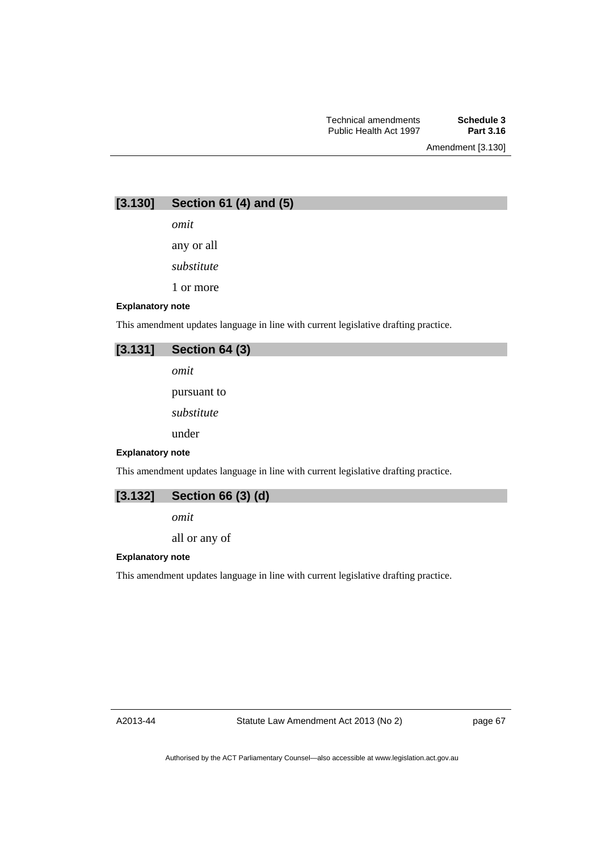**[3.130] Section 61 (4) and (5)** 

*omit* 

any or all

*substitute* 

1 or more

#### **Explanatory note**

This amendment updates language in line with current legislative drafting practice.

## **[3.131] Section 64 (3)**

*omit* 

pursuant to

*substitute* 

under

#### **Explanatory note**

This amendment updates language in line with current legislative drafting practice.

## **[3.132] Section 66 (3) (d)**

*omit* 

all or any of

#### **Explanatory note**

This amendment updates language in line with current legislative drafting practice.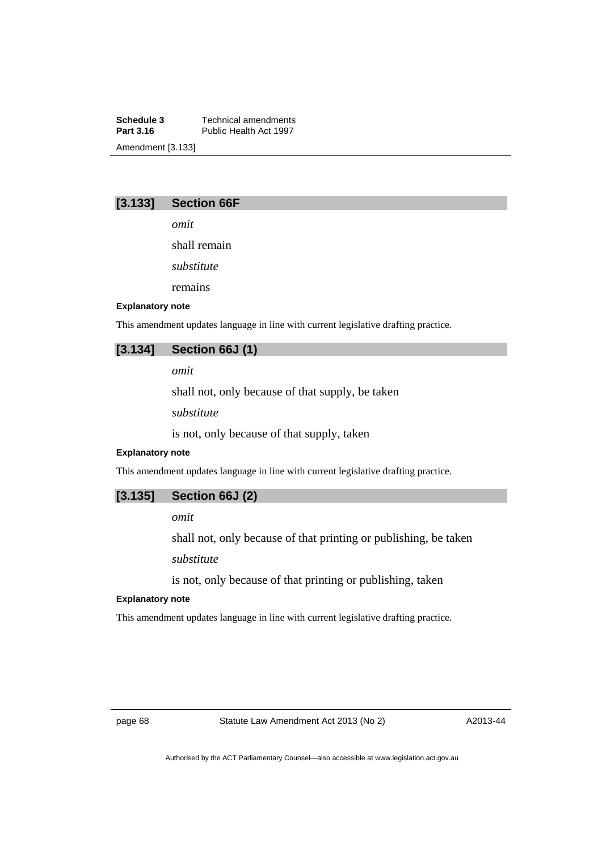**Schedule 3 Technical amendments**<br>**Part 3.16 Public Health Act 1997** Public Health Act 1997 Amendment [3.133]

## **[3.133] Section 66F**

*omit* 

shall remain

*substitute* 

remains

#### **Explanatory note**

This amendment updates language in line with current legislative drafting practice.

## **[3.134] Section 66J (1)**

*omit* 

shall not, only because of that supply, be taken

*substitute* 

is not, only because of that supply, taken

#### **Explanatory note**

This amendment updates language in line with current legislative drafting practice.

## **[3.135] Section 66J (2)**

*omit* 

shall not, only because of that printing or publishing, be taken *substitute* 

is not, only because of that printing or publishing, taken

#### **Explanatory note**

This amendment updates language in line with current legislative drafting practice.

page 68 Statute Law Amendment Act 2013 (No 2)

A2013-44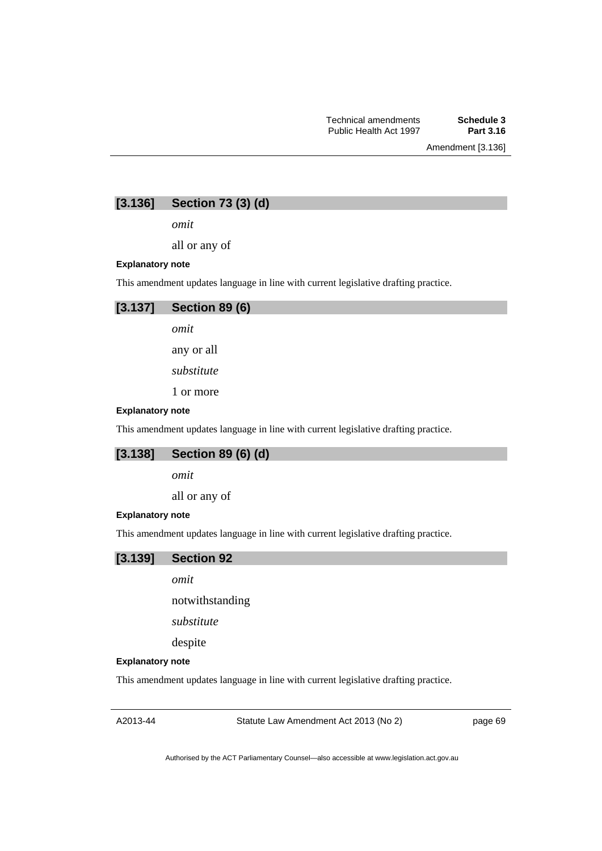# **[3.136] Section 73 (3) (d)**

*omit* 

all or any of

### **Explanatory note**

This amendment updates language in line with current legislative drafting practice.



*omit* 

any or all

*substitute* 

1 or more

#### **Explanatory note**

This amendment updates language in line with current legislative drafting practice.

# **[3.138] Section 89 (6) (d)**

*omit* 

all or any of

#### **Explanatory note**

This amendment updates language in line with current legislative drafting practice.

### **[3.139] Section 92**

*omit* 

notwithstanding

*substitute* 

despite

#### **Explanatory note**

This amendment updates language in line with current legislative drafting practice.

A2013-44

Statute Law Amendment Act 2013 (No 2)

page 69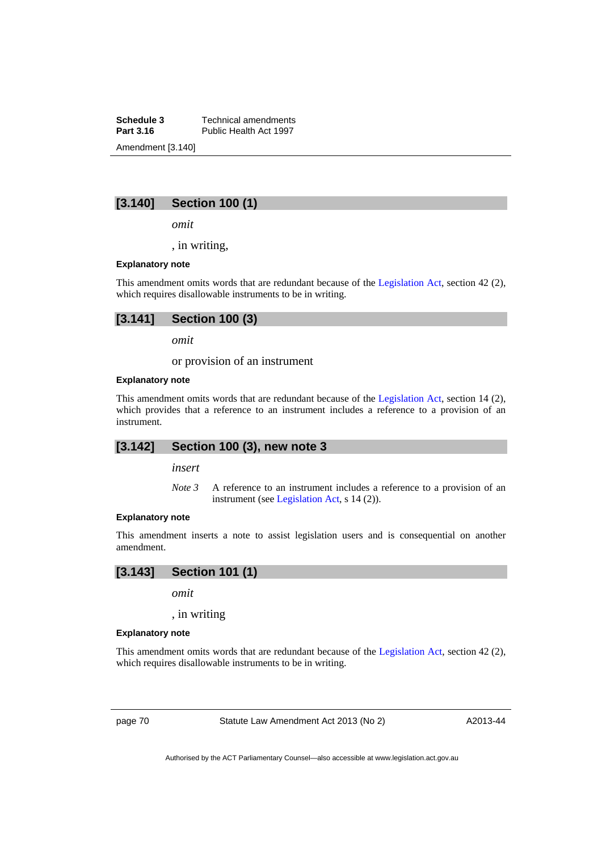**Schedule 3 Technical amendments**<br>**Part 3.16 Public Health Act 1997** Public Health Act 1997 Amendment [3.140]

# **[3.140] Section 100 (1)**

*omit* 

, in writing,

### **Explanatory note**

This amendment omits words that are redundant because of the [Legislation Act,](http://www.legislation.act.gov.au/a/2001-14) section 42 (2), which requires disallowable instruments to be in writing.

*omit* 

or provision of an instrument

#### **Explanatory note**

This amendment omits words that are redundant because of the [Legislation Act,](http://www.legislation.act.gov.au/a/2001-14) section 14 (2), which provides that a reference to an instrument includes a reference to a provision of an instrument.

### **[3.142] Section 100 (3), new note 3**

*insert* 

*Note 3* A reference to an instrument includes a reference to a provision of an instrument (see [Legislation Act,](http://www.legislation.act.gov.au/a/2001-14) s 14 (2)).

### **Explanatory note**

This amendment inserts a note to assist legislation users and is consequential on another amendment.

# **[3.143] Section 101 (1)**

*omit* 

, in writing

#### **Explanatory note**

This amendment omits words that are redundant because of the [Legislation Act,](http://www.legislation.act.gov.au/a/2001-14) section 42 (2), which requires disallowable instruments to be in writing.

page 70 Statute Law Amendment Act 2013 (No 2)

A2013-44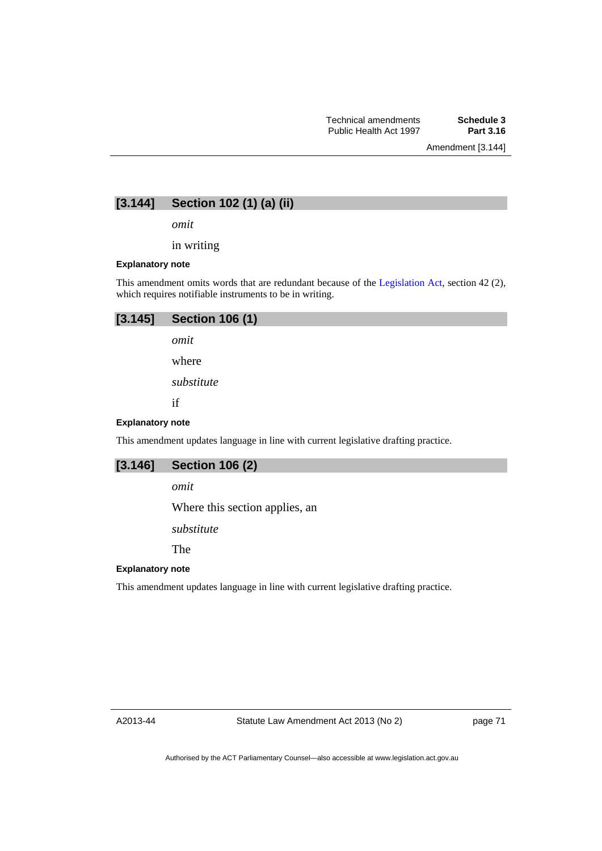Amendment [3.144]

# **[3.144] Section 102 (1) (a) (ii)**

*omit* 

in writing

### **Explanatory note**

This amendment omits words that are redundant because of the [Legislation Act,](http://www.legislation.act.gov.au/a/2001-14) section 42 (2), which requires notifiable instruments to be in writing.

| [3.145]                 | <b>Section 106 (1)</b>                                                              |
|-------------------------|-------------------------------------------------------------------------------------|
|                         | omit                                                                                |
|                         | where                                                                               |
|                         | substitute                                                                          |
|                         | if                                                                                  |
| <b>Explanatory note</b> |                                                                                     |
|                         | This amendment updates language in line with current legislative drafting practice. |
| [3.146]                 | <b>Section 106 (2)</b>                                                              |

*omit* 

Where this section applies, an

*substitute* 

The

# **Explanatory note**

This amendment updates language in line with current legislative drafting practice.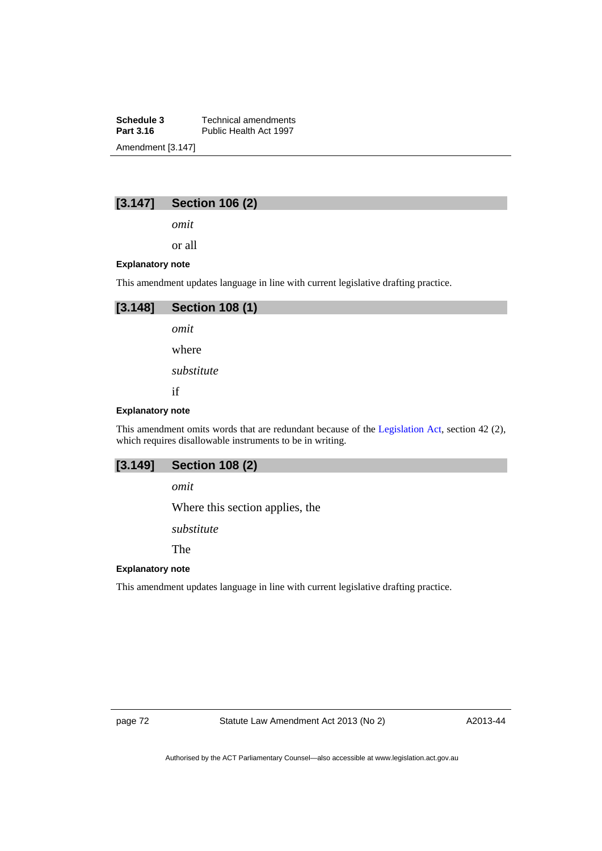**Schedule 3 Technical amendments**<br>**Part 3.16 Public Health Act 1997** Public Health Act 1997 Amendment [3.147]

# **[3.147] Section 106 (2)**

*omit* 

or all

### **Explanatory note**

This amendment updates language in line with current legislative drafting practice.



#### **Explanatory note**

This amendment omits words that are redundant because of the [Legislation Act,](http://www.legislation.act.gov.au/a/2001-14) section 42 (2), which requires disallowable instruments to be in writing.

### **[3.149] Section 108 (2)**

*omit* 

Where this section applies, the

*substitute* 

The

# **Explanatory note**

This amendment updates language in line with current legislative drafting practice.

page 72 Statute Law Amendment Act 2013 (No 2)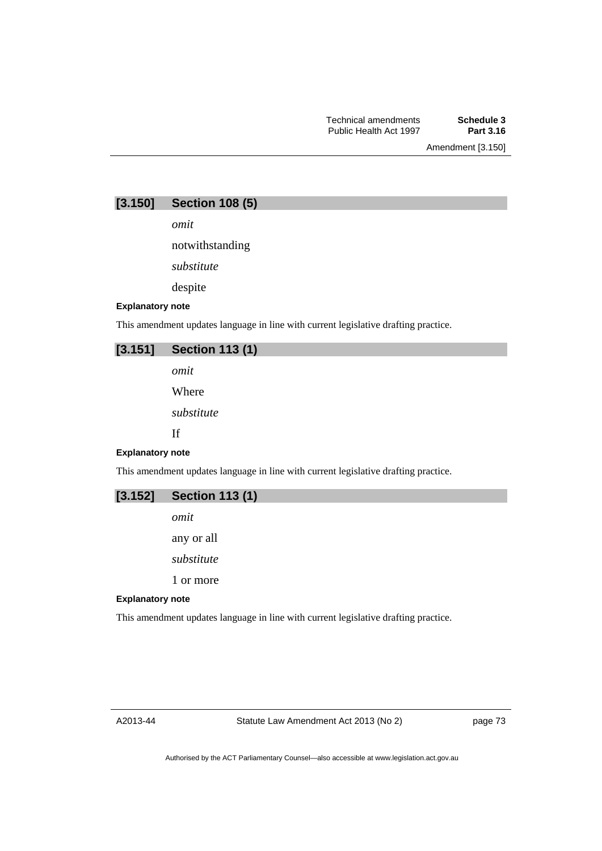| [3.150] | <b>Section 108 (5)</b> |  |  |  |
|---------|------------------------|--|--|--|
|---------|------------------------|--|--|--|

*omit* 

notwithstanding

*substitute* 

despite

## **Explanatory note**

This amendment updates language in line with current legislative drafting practice.

| $[3.151]$ Section 113 (1) |  |
|---------------------------|--|
|                           |  |

*omit* 

Where

*substitute* 

If

### **Explanatory note**

This amendment updates language in line with current legislative drafting practice.

| $[3.152]$ Section 113 (1) |
|---------------------------|
| omit                      |

any or all *substitute* 

1 or more

#### **Explanatory note**

This amendment updates language in line with current legislative drafting practice.

A2013-44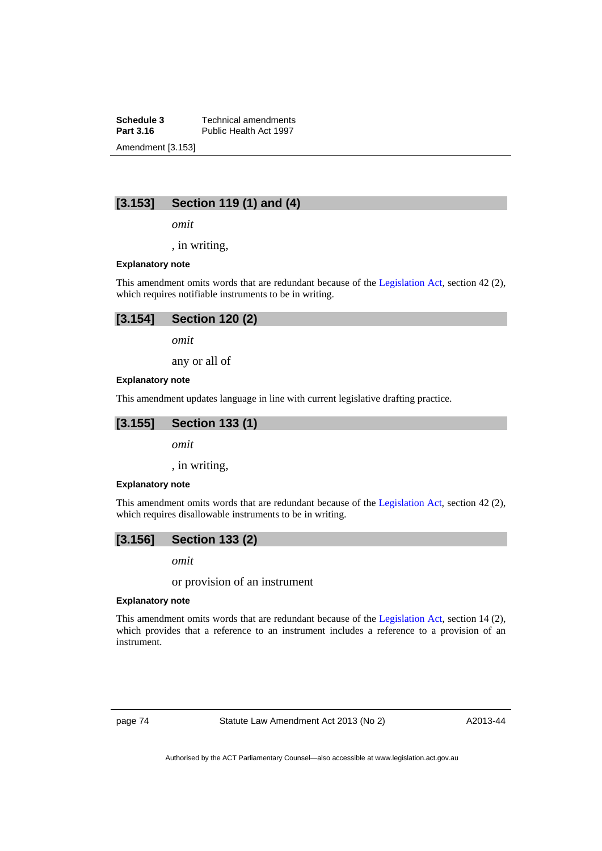**Schedule 3 Technical amendments**<br>**Part 3.16 Public Health Act 1997** Public Health Act 1997 Amendment [3.153]

# **[3.153] Section 119 (1) and (4)**

*omit* 

, in writing,

#### **Explanatory note**

This amendment omits words that are redundant because of the [Legislation Act,](http://www.legislation.act.gov.au/a/2001-14) section 42 (2), which requires notifiable instruments to be in writing.

| $[3.154]$ Section 120 (2) |  |
|---------------------------|--|
| omit                      |  |

any or all of

#### **Explanatory note**

This amendment updates language in line with current legislative drafting practice.



*omit* 

, in writing,

#### **Explanatory note**

This amendment omits words that are redundant because of the [Legislation Act](http://www.legislation.act.gov.au/a/2001-14), section 42 (2), which requires disallowable instruments to be in writing.

# **[3.156] Section 133 (2)**

*omit* 

or provision of an instrument

#### **Explanatory note**

This amendment omits words that are redundant because of the [Legislation Act,](http://www.legislation.act.gov.au/a/2001-14) section 14 (2), which provides that a reference to an instrument includes a reference to a provision of an instrument.

page 74 Statute Law Amendment Act 2013 (No 2)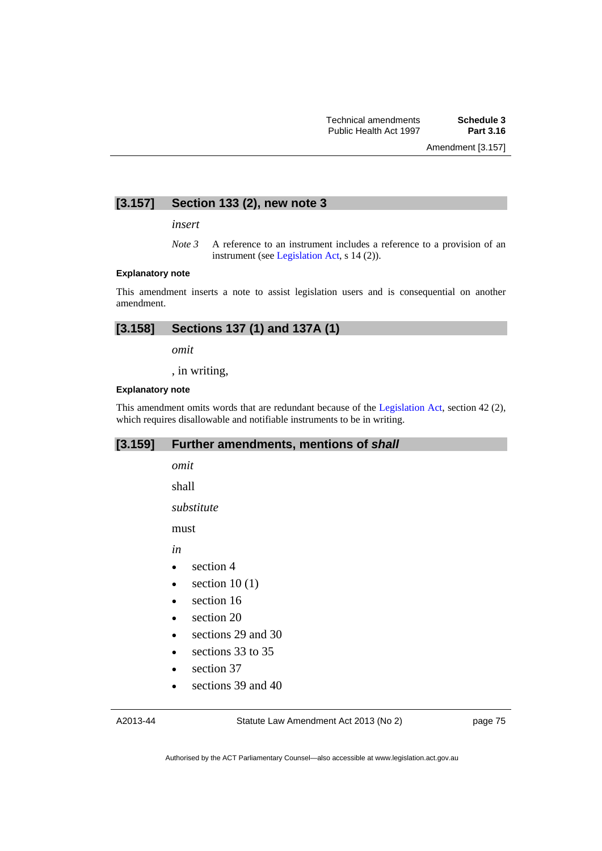# **[3.157] Section 133 (2), new note 3**

*insert* 

*Note 3* A reference to an instrument includes a reference to a provision of an instrument (see [Legislation Act,](http://www.legislation.act.gov.au/a/2001-14) s 14 (2)).

### **Explanatory note**

This amendment inserts a note to assist legislation users and is consequential on another amendment.

| [3.158]<br>Sections 137 (1) and 137A (1) |
|------------------------------------------|
|------------------------------------------|

*omit* 

, in writing,

#### **Explanatory note**

This amendment omits words that are redundant because of the [Legislation Act,](http://www.legislation.act.gov.au/a/2001-14) section 42 (2), which requires disallowable and notifiable instruments to be in writing.

# **[3.159] Further amendments, mentions of** *shall*

*omit* 

shall

*substitute* 

must

*in* 

- section 4
- $\bullet$  section 10 (1)
- section 16
- section 20
- sections 29 and 30
- e sections 33 to 35
- section 37
- sections 39 and 40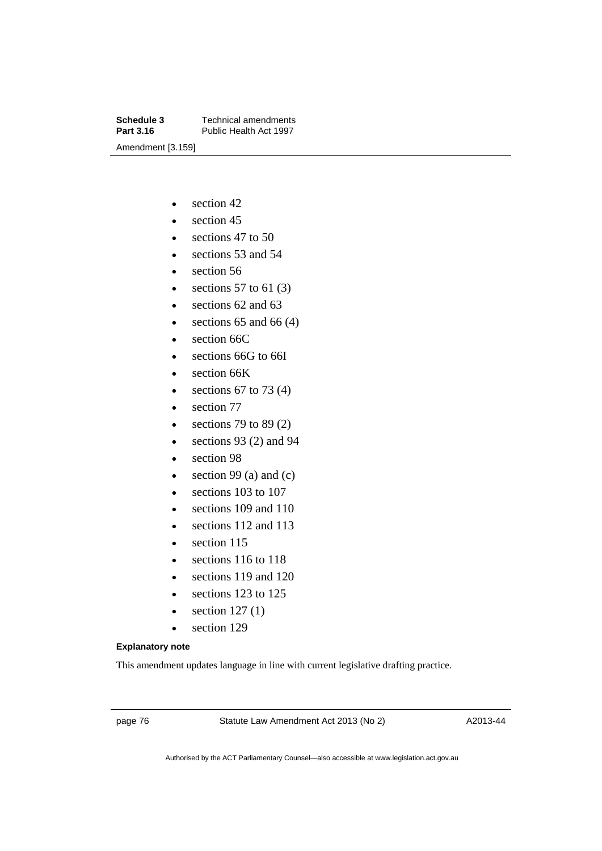**Schedule 3 Technical amendments**<br>**Part 3.16 Public Health Act 1997** Public Health Act 1997 Amendment [3.159]

- $\bullet$  section 42
- $\bullet$  section 45
- $\cdot$  sections 47 to 50
- sections 53 and 54
- section 56
- e sections 57 to 61 $(3)$
- e sections 62 and 63
- $\bullet$  sections 65 and 66 (4)
- section 66C
- sections 66G to 66I
- section 66K
- e sections 67 to 73  $(4)$
- section 77
- $\bullet$  sections 79 to 89 (2)
- $\bullet$  sections 93 (2) and 94
- section 98
- $\bullet$  section 99 (a) and (c)
- e sections 103 to 107
- sections 109 and 110
- sections 112 and 113
- section 115
- e sections 116 to 118
- sections 119 and 120
- e sections 123 to 125
- $\bullet$  section 127 $(1)$
- section 129

### **Explanatory note**

This amendment updates language in line with current legislative drafting practice.

page 76 Statute Law Amendment Act 2013 (No 2)

A2013-44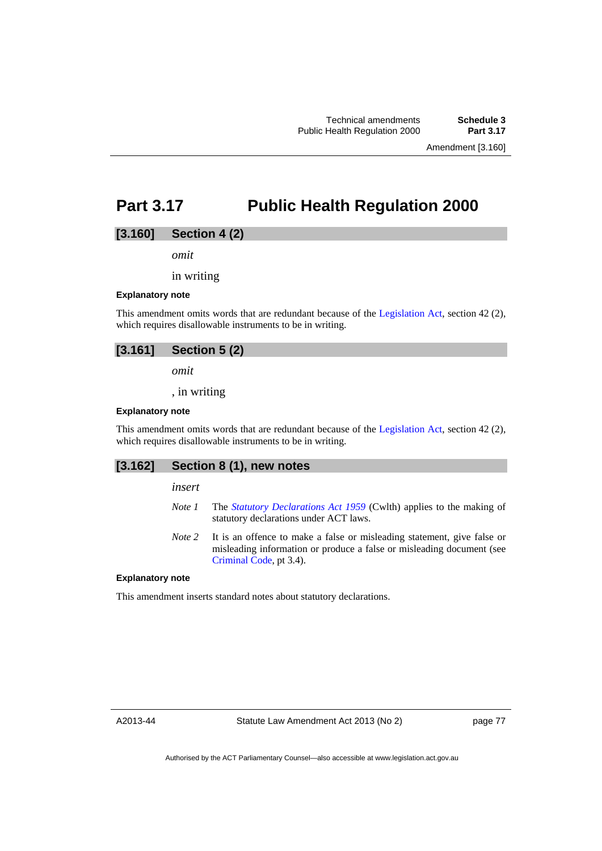# **Part 3.17 Public Health Regulation 2000**

## **[3.160] Section 4 (2)**

*omit* 

in writing

#### **Explanatory note**

This amendment omits words that are redundant because of the [Legislation Act,](http://www.legislation.act.gov.au/a/2001-14) section 42 (2), which requires disallowable instruments to be in writing.

# **[3.161] Section 5 (2)**

*omit* 

, in writing

#### **Explanatory note**

This amendment omits words that are redundant because of the [Legislation Act,](http://www.legislation.act.gov.au/a/2001-14) section 42 (2), which requires disallowable instruments to be in writing.

## **[3.162] Section 8 (1), new notes**

*insert* 

- *Note 1* The *[Statutory Declarations Act 1959](http://www.comlaw.gov.au/Series/C2004A07365)* (Cwlth) applies to the making of statutory declarations under ACT laws.
- *Note 2* It is an offence to make a false or misleading statement, give false or misleading information or produce a false or misleading document (see [Criminal Code](http://www.legislation.act.gov.au/a/2002-51), pt 3.4).

#### **Explanatory note**

This amendment inserts standard notes about statutory declarations.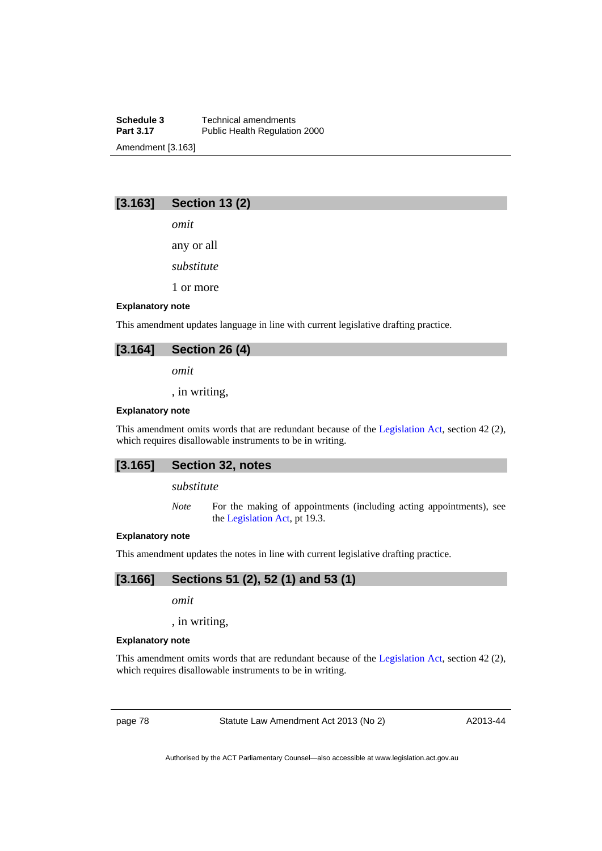**Schedule 3 Technical amendments**<br>**Part 3.17 Public Health Regulation** Public Health Regulation 2000 Amendment [3.163]

# **[3.163] Section 13 (2)**

*omit* 

any or all

*substitute* 

1 or more

### **Explanatory note**

This amendment updates language in line with current legislative drafting practice.

## **[3.164] Section 26 (4)**

*omit* 

, in writing,

#### **Explanatory note**

This amendment omits words that are redundant because of the [Legislation Act,](http://www.legislation.act.gov.au/a/2001-14) section 42 (2), which requires disallowable instruments to be in writing.

### **[3.165] Section 32, notes**

*substitute* 

*Note* For the making of appointments (including acting appointments), see the [Legislation Act,](http://www.legislation.act.gov.au/a/2001-14) pt 19.3.

### **Explanatory note**

This amendment updates the notes in line with current legislative drafting practice.

# **[3.166] Sections 51 (2), 52 (1) and 53 (1)**

*omit* 

, in writing,

#### **Explanatory note**

This amendment omits words that are redundant because of the [Legislation Act,](http://www.legislation.act.gov.au/a/2001-14) section 42 (2), which requires disallowable instruments to be in writing.

page 78 Statute Law Amendment Act 2013 (No 2)

A2013-44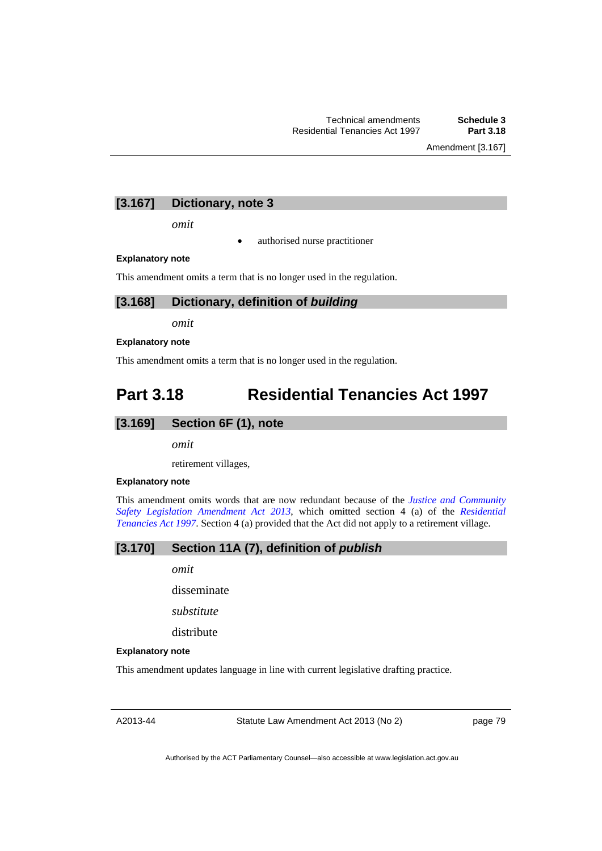Amendment [3.167]

# **[3.167] Dictionary, note 3**

*omit* 

authorised nurse practitioner

#### **Explanatory note**

This amendment omits a term that is no longer used in the regulation.

### **[3.168] Dictionary, definition of** *building*

*omit* 

#### **Explanatory note**

This amendment omits a term that is no longer used in the regulation.

# **Part 3.18 Residential Tenancies Act 1997**

## **[3.169] Section 6F (1), note**

*omit* 

retirement villages,

### **Explanatory note**

This amendment omits words that are now redundant because of the *[Justice and Community](http://www.legislation.act.gov.au/a/2013-7/default.asp)  [Safety Legislation Amendment Act 2013](http://www.legislation.act.gov.au/a/2013-7/default.asp)*, which omitted section 4 (a) of the *[Residential](http://www.legislation.act.gov.au/a/1997-84)  [Tenancies Act 1997](http://www.legislation.act.gov.au/a/1997-84)*. Section 4 (a) provided that the Act did not apply to a retirement village.

# **[3.170] Section 11A (7), definition of** *publish*

*omit* 

disseminate

*substitute* 

distribute

#### **Explanatory note**

This amendment updates language in line with current legislative drafting practice.

A2013-44

Statute Law Amendment Act 2013 (No 2)

page 79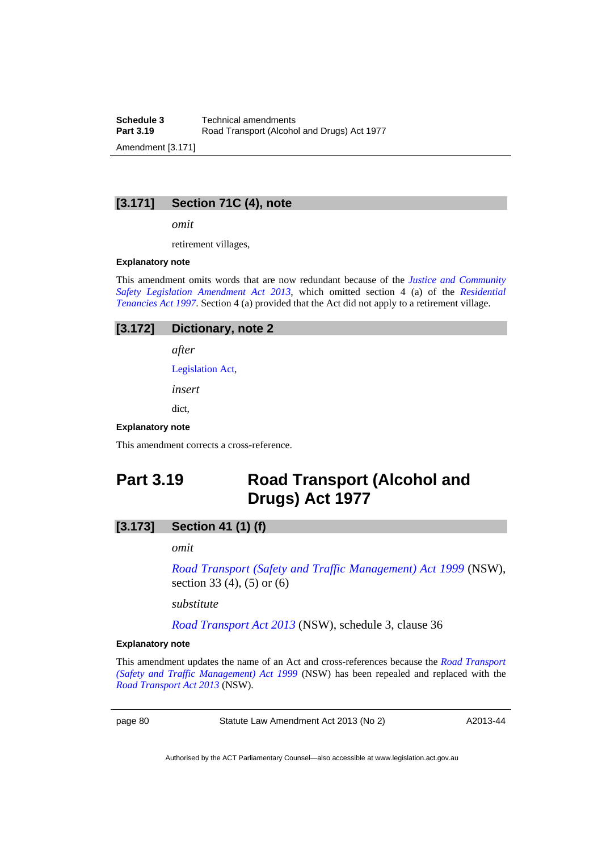**Schedule 3 Technical amendments**<br>**Part 3.19 Road Transport (Alcohors)** Road Transport (Alcohol and Drugs) Act 1977 Amendment [3.171]

# **[3.171] Section 71C (4), note**

*omit* 

retirement villages,

#### **Explanatory note**

This amendment omits words that are now redundant because of the *[Justice and Community](http://www.legislation.act.gov.au/a/2013-7/default.asp)  [Safety Legislation Amendment Act 2013](http://www.legislation.act.gov.au/a/2013-7/default.asp)*, which omitted section 4 (a) of the *[Residential](http://www.legislation.act.gov.au/a/1997-84)  [Tenancies Act 1997](http://www.legislation.act.gov.au/a/1997-84)*. Section 4 (a) provided that the Act did not apply to a retirement village.

| [3.172] Dictionary, note 2 |
|----------------------------|
| after                      |

[Legislation Act,](http://www.legislation.act.gov.au/a/2001-14)

*insert* 

dict,

#### **Explanatory note**

This amendment corrects a cross-reference.

# **Part 3.19 Road Transport (Alcohol and Drugs) Act 1977**

# **[3.173] Section 41 (1) (f)**

*omit* 

*[Road Transport \(Safety and Traffic Management\) Act 1999](http://www.legislation.nsw.gov.au/maintop/view/repealed/act+20+1999+cd+0+Y)* (NSW), section 33 (4), (5) or (6)

*substitute* 

*[Road Transport Act 2013](http://www.legislation.nsw.gov.au/maintop/view/inforce/act+18+2013+cd+0+N)* (NSW), schedule 3, clause 36

#### **Explanatory note**

This amendment updates the name of an Act and cross-references because the *[Road Transport](http://www.legislation.nsw.gov.au/maintop/view/repealed/act+20+1999+cd+0+Y)  [\(Safety and Traffic Management\) Act 1999](http://www.legislation.nsw.gov.au/maintop/view/repealed/act+20+1999+cd+0+Y)* (NSW) has been repealed and replaced with the *[Road Transport Act 2013](http://www.legislation.nsw.gov.au/maintop/view/inforce/act+18+2013+cd+0+N)* (NSW).

page 80 Statute Law Amendment Act 2013 (No 2)

A2013-44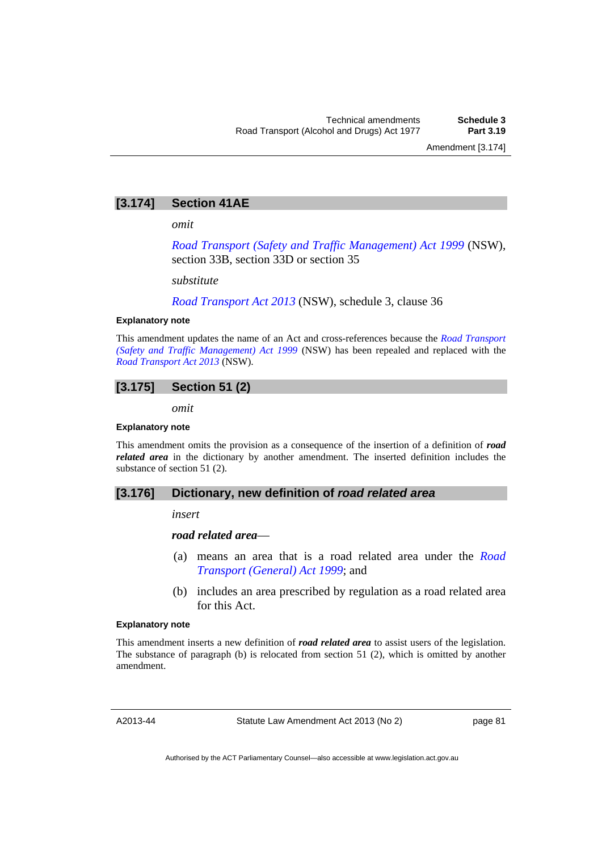# **[3.174] Section 41AE**

*omit* 

*[Road Transport \(Safety and Traffic Management\) Act 1999](http://www.legislation.nsw.gov.au/maintop/view/repealed/act+20+1999+cd+0+Y)* (NSW), section 33B, section 33D or section 35

*substitute* 

*[Road Transport Act 2013](http://www.legislation.nsw.gov.au/maintop/view/inforce/act+18+2013+cd+0+N)* (NSW), schedule 3, clause 36

#### **Explanatory note**

This amendment updates the name of an Act and cross-references because the *[Road Transport](http://www.legislation.nsw.gov.au/maintop/view/repealed/act+20+1999+cd+0+Y)  [\(Safety and Traffic Management\) Act 1999](http://www.legislation.nsw.gov.au/maintop/view/repealed/act+20+1999+cd+0+Y)* (NSW) has been repealed and replaced with the *[Road Transport Act 2013](http://www.legislation.nsw.gov.au/maintop/view/inforce/act+18+2013+cd+0+N)* (NSW).

# **[3.175] Section 51 (2)**

*omit* 

### **Explanatory note**

This amendment omits the provision as a consequence of the insertion of a definition of *road related area* in the dictionary by another amendment. The inserted definition includes the substance of section 51 (2).

# **[3.176] Dictionary, new definition of** *road related area*

*insert* 

### *road related area*—

- (a) means an area that is a road related area under the *[Road](http://www.legislation.act.gov.au/a/1999-77)  [Transport \(General\) Act 1999](http://www.legislation.act.gov.au/a/1999-77)*; and
- (b) includes an area prescribed by regulation as a road related area for this Act.

### **Explanatory note**

This amendment inserts a new definition of *road related area* to assist users of the legislation. The substance of paragraph (b) is relocated from section 51 (2), which is omitted by another amendment.

A2013-44

Statute Law Amendment Act 2013 (No 2)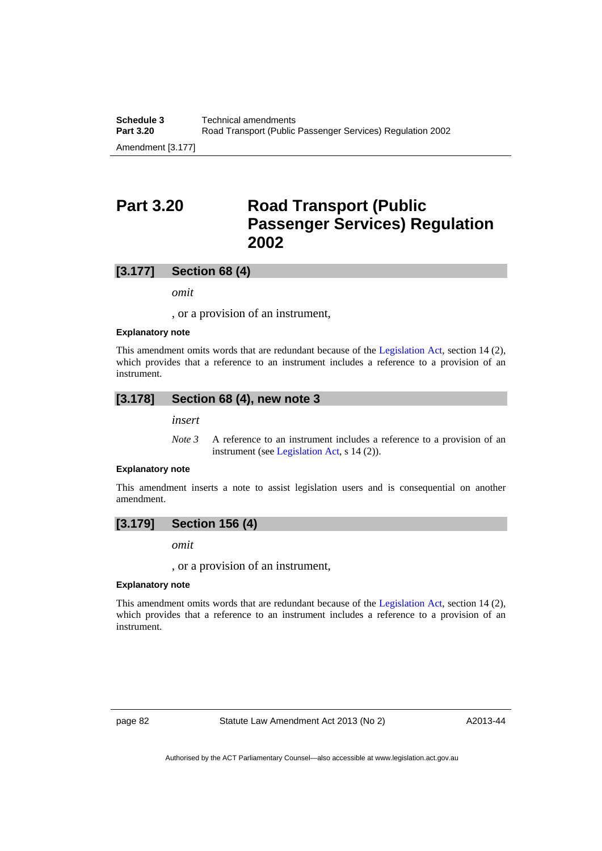# **Part 3.20 Road Transport (Public Passenger Services) Regulation 2002**

## **[3.177] Section 68 (4)**

*omit* 

, or a provision of an instrument,

#### **Explanatory note**

This amendment omits words that are redundant because of the [Legislation Act,](http://www.legislation.act.gov.au/a/2001-14) section 14 (2), which provides that a reference to an instrument includes a reference to a provision of an instrument.

### **[3.178] Section 68 (4), new note 3**

*insert* 

*Note* 3 A reference to an instrument includes a reference to a provision of an instrument (see [Legislation Act,](http://www.legislation.act.gov.au/a/2001-14) s 14 (2)).

### **Explanatory note**

This amendment inserts a note to assist legislation users and is consequential on another amendment.

## **[3.179] Section 156 (4)**

*omit* 

, or a provision of an instrument,

#### **Explanatory note**

This amendment omits words that are redundant because of the [Legislation Act,](http://www.legislation.act.gov.au/a/2001-14) section 14 (2), which provides that a reference to an instrument includes a reference to a provision of an instrument.

page 82 Statute Law Amendment Act 2013 (No 2)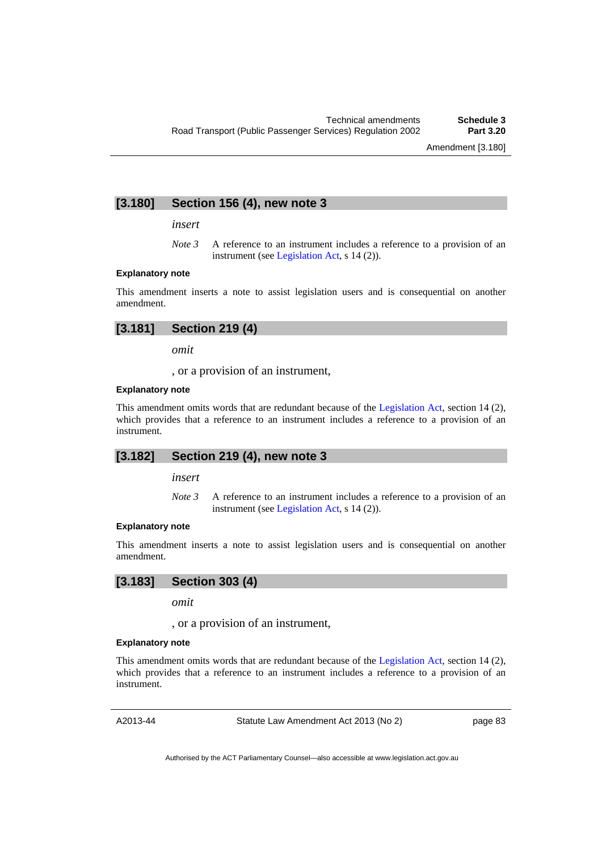# **[3.180] Section 156 (4), new note 3**

*insert* 

*Note 3* A reference to an instrument includes a reference to a provision of an instrument (see [Legislation Act,](http://www.legislation.act.gov.au/a/2001-14) s 14 (2)).

### **Explanatory note**

This amendment inserts a note to assist legislation users and is consequential on another amendment.

*omit* 

, or a provision of an instrument,

#### **Explanatory note**

This amendment omits words that are redundant because of the [Legislation Act,](http://www.legislation.act.gov.au/a/2001-14) section 14 (2), which provides that a reference to an instrument includes a reference to a provision of an instrument.

### **[3.182] Section 219 (4), new note 3**

*insert* 

*Note 3* A reference to an instrument includes a reference to a provision of an instrument (see [Legislation Act,](http://www.legislation.act.gov.au/a/2001-14) s 14 (2)).

#### **Explanatory note**

This amendment inserts a note to assist legislation users and is consequential on another amendment.

# **[3.183] Section 303 (4)**

*omit* 

, or a provision of an instrument,

#### **Explanatory note**

This amendment omits words that are redundant because of the [Legislation Act,](http://www.legislation.act.gov.au/a/2001-14) section 14 (2), which provides that a reference to an instrument includes a reference to a provision of an instrument.

A2013-44

Statute Law Amendment Act 2013 (No 2)

page 83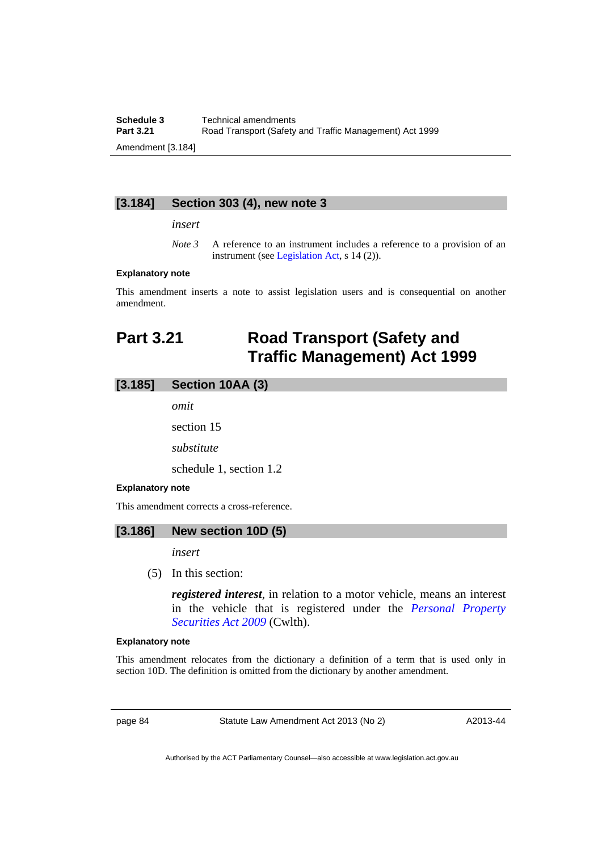**Schedule 3 Technical amendments**<br>**Part 3.21 Road Transport (Safety Part 3.21** Road Transport (Safety and Traffic Management) Act 1999 Amendment [3.184]

# **[3.184] Section 303 (4), new note 3**

*insert* 

*Note 3* A reference to an instrument includes a reference to a provision of an instrument (see [Legislation Act,](http://www.legislation.act.gov.au/a/2001-14) s 14 (2)).

### **Explanatory note**

This amendment inserts a note to assist legislation users and is consequential on another amendment.

# **Part 3.21 Road Transport (Safety and Traffic Management) Act 1999**

# **[3.185] Section 10AA (3)**

*omit* 

section 15

*substitute* 

schedule 1, section 1.2

#### **Explanatory note**

This amendment corrects a cross-reference.

# **[3.186] New section 10D (5)**

*insert* 

(5) In this section:

*registered interest*, in relation to a motor vehicle, means an interest in the vehicle that is registered under the *[Personal Property](http://www.comlaw.gov.au/Series/C2009A00130)  [Securities Act 2009](http://www.comlaw.gov.au/Series/C2009A00130)* (Cwlth).

### **Explanatory note**

This amendment relocates from the dictionary a definition of a term that is used only in section 10D. The definition is omitted from the dictionary by another amendment.

page 84 Statute Law Amendment Act 2013 (No 2)

A2013-44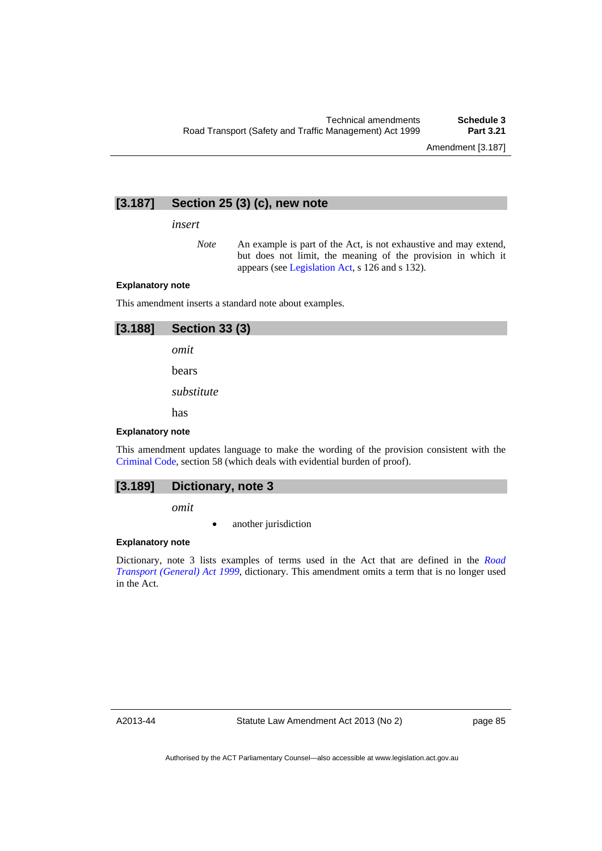# **[3.187] Section 25 (3) (c), new note**

*insert* 

*Note* An example is part of the Act, is not exhaustive and may extend, but does not limit, the meaning of the provision in which it appears (see [Legislation Act,](http://www.legislation.act.gov.au/a/2001-14) s 126 and s 132).

#### **Explanatory note**

This amendment inserts a standard note about examples.

| [3.188]                 | <b>Section 33 (3)</b>                                                                                                                                                |
|-------------------------|----------------------------------------------------------------------------------------------------------------------------------------------------------------------|
|                         | omit                                                                                                                                                                 |
|                         | bears                                                                                                                                                                |
|                         | substitute                                                                                                                                                           |
|                         | has                                                                                                                                                                  |
| <b>Explanatory note</b> |                                                                                                                                                                      |
|                         | This amendment updates language to make the wording of the provision consistent with the<br>Criminal Code, section 58 (which deals with evidential burden of proof). |

# **[3.189] Dictionary, note 3**

*omit* 

another jurisdiction

### **Explanatory note**

Dictionary, note 3 lists examples of terms used in the Act that are defined in the *[Road](http://www.legislation.act.gov.au/a/1999-77)  [Transport \(General\) Act 1999](http://www.legislation.act.gov.au/a/1999-77)*, dictionary. This amendment omits a term that is no longer used in the Act.

A2013-44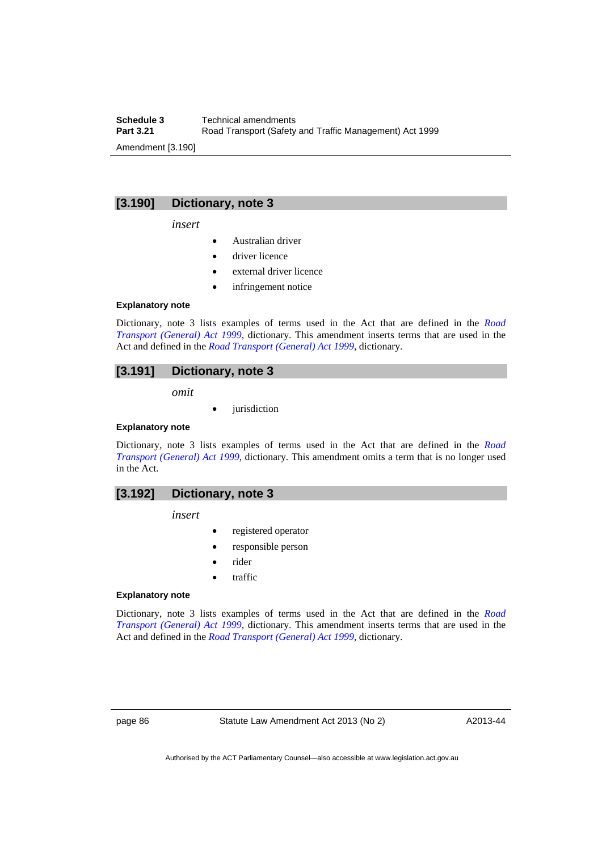**Schedule 3 Technical amendments**<br>**Part 3.21 Road Transport (Safety Part 3.21** Road Transport (Safety and Traffic Management) Act 1999 Amendment [3.190]

# **[3.190] Dictionary, note 3**

*insert* 

- Australian driver
- driver licence
- external driver licence
- infringement notice

#### **Explanatory note**

Dictionary, note 3 lists examples of terms used in the Act that are defined in the *[Road](http://www.legislation.act.gov.au/a/1999-77)  [Transport \(General\) Act 1999](http://www.legislation.act.gov.au/a/1999-77)*, dictionary. This amendment inserts terms that are used in the Act and defined in the *[Road Transport \(General\) Act 1999](http://www.legislation.act.gov.au/a/1999-77)*, dictionary.

# **[3.191] Dictionary, note 3**

*omit* 

jurisdiction

### **Explanatory note**

Dictionary, note 3 lists examples of terms used in the Act that are defined in the *[Road](http://www.legislation.act.gov.au/a/1999-77)  [Transport \(General\) Act 1999](http://www.legislation.act.gov.au/a/1999-77)*, dictionary. This amendment omits a term that is no longer used in the Act.

# **[3.192] Dictionary, note 3**

*insert* 

- registered operator
- responsible person
- rider
- traffic

#### **Explanatory note**

Dictionary, note 3 lists examples of terms used in the Act that are defined in the *[Road](http://www.legislation.act.gov.au/a/1999-77)  [Transport \(General\) Act 1999](http://www.legislation.act.gov.au/a/1999-77)*, dictionary. This amendment inserts terms that are used in the Act and defined in the *[Road Transport \(General\) Act 1999](http://www.legislation.act.gov.au/a/1999-77)*, dictionary.

page 86 Statute Law Amendment Act 2013 (No 2)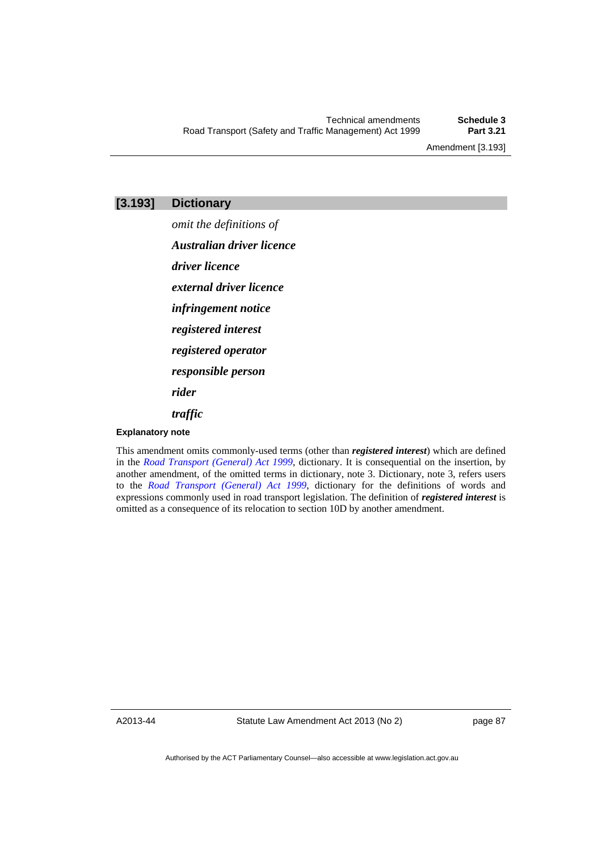Amendment [3.193]

# **[3.193] Dictionary**

*omit the definitions of Australian driver licence driver licence external driver licence infringement notice registered interest registered operator responsible person rider traffic* 

### **Explanatory note**

This amendment omits commonly-used terms (other than *registered interest*) which are defined in the *[Road Transport \(General\) Act 1999](http://www.legislation.act.gov.au/a/1999-77)*, dictionary. It is consequential on the insertion, by another amendment, of the omitted terms in dictionary, note 3. Dictionary, note 3, refers users to the *[Road Transport \(General\) Act 1999](http://www.legislation.act.gov.au/a/1999-77)*, dictionary for the definitions of words and expressions commonly used in road transport legislation. The definition of *registered interest* is omitted as a consequence of its relocation to section 10D by another amendment.

A2013-44

Statute Law Amendment Act 2013 (No 2)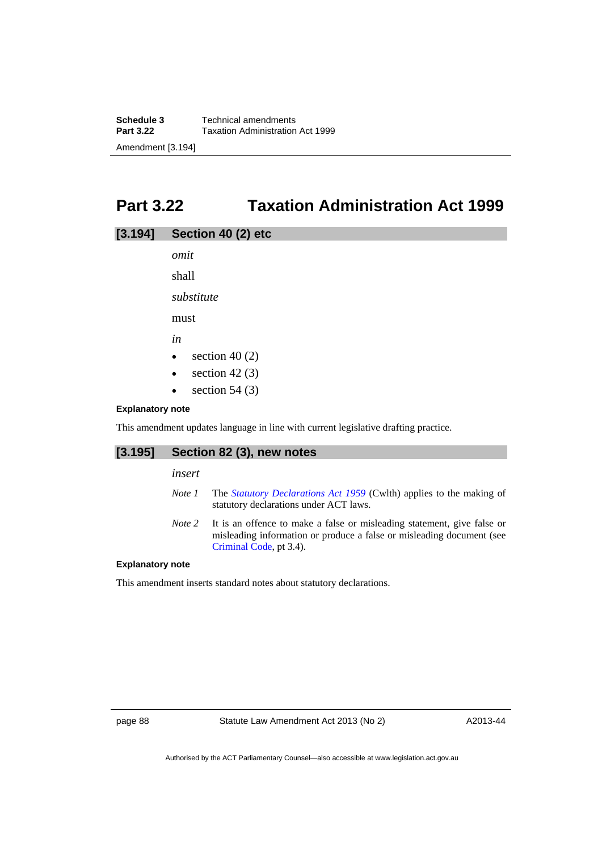# **Part 3.22 Taxation Administration Act 1999**

| [3.194] | Section 40 (2) etc |  |
|---------|--------------------|--|
|---------|--------------------|--|

*omit*  shall

*substitute* 

must

*in* 

- $\bullet$  section 40 (2)
- $\bullet$  section 42 (3)
- $\bullet$  section 54 (3)

### **Explanatory note**

This amendment updates language in line with current legislative drafting practice.

# **[3.195] Section 82 (3), new notes**

*insert* 

- *Note 1* The *[Statutory Declarations Act 1959](http://www.comlaw.gov.au/Series/C2004A07365)* (Cwlth) applies to the making of statutory declarations under ACT laws.
- *Note 2* It is an offence to make a false or misleading statement, give false or misleading information or produce a false or misleading document (see [Criminal Code](http://www.legislation.act.gov.au/a/2002-51), pt 3.4).

### **Explanatory note**

This amendment inserts standard notes about statutory declarations.

page 88 Statute Law Amendment Act 2013 (No 2)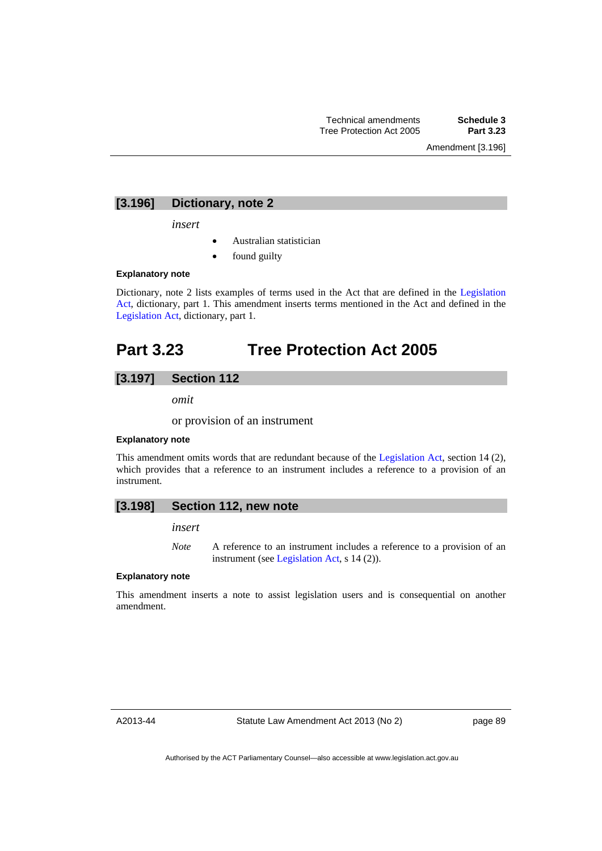Amendment [3.196]

# **[3.196] Dictionary, note 2**

*insert* 

- Australian statistician
- found guilty

### **Explanatory note**

Dictionary, note 2 lists examples of terms used in the Act that are defined in the [Legislation](http://www.legislation.act.gov.au/a/2001-14)  [Act,](http://www.legislation.act.gov.au/a/2001-14) dictionary, part 1. This amendment inserts terms mentioned in the Act and defined in the [Legislation Act,](http://www.legislation.act.gov.au/a/2001-14) dictionary, part 1.

# **Part 3.23 Tree Protection Act 2005**

# **[3.197] Section 112**

*omit* 

or provision of an instrument

### **Explanatory note**

This amendment omits words that are redundant because of the [Legislation Act,](http://www.legislation.act.gov.au/a/2001-14) section 14 (2), which provides that a reference to an instrument includes a reference to a provision of an instrument.

### **[3.198] Section 112, new note**

*insert* 

*Note* A reference to an instrument includes a reference to a provision of an instrument (see [Legislation Act,](http://www.legislation.act.gov.au/a/2001-14) s 14 (2)).

#### **Explanatory note**

This amendment inserts a note to assist legislation users and is consequential on another amendment.

A2013-44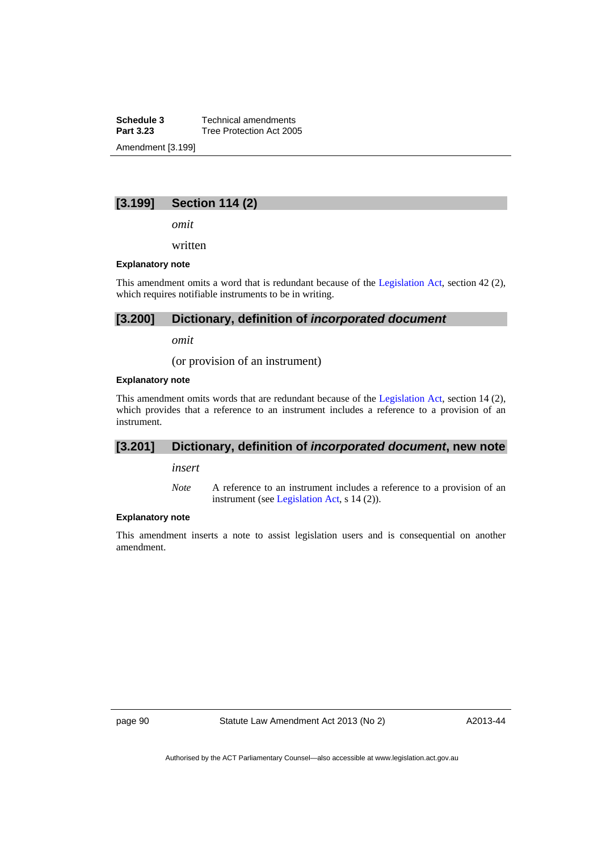**Schedule 3 Technical amendments**<br>**Part 3.23 Tree Protection Act 200 Tree Protection Act 2005** Amendment [3.199]

# **[3.199] Section 114 (2)**

*omit* 

written

#### **Explanatory note**

This amendment omits a word that is redundant because of the [Legislation Act](http://www.legislation.act.gov.au/a/2001-14), section 42 (2), which requires notifiable instruments to be in writing.

### **[3.200] Dictionary, definition of** *incorporated document*

*omit* 

(or provision of an instrument)

### **Explanatory note**

This amendment omits words that are redundant because of the [Legislation Act,](http://www.legislation.act.gov.au/a/2001-14) section 14 (2), which provides that a reference to an instrument includes a reference to a provision of an instrument.

# **[3.201] Dictionary, definition of** *incorporated document***, new note**

*insert* 

*Note* A reference to an instrument includes a reference to a provision of an instrument (see [Legislation Act,](http://www.legislation.act.gov.au/a/2001-14) s 14 (2)).

### **Explanatory note**

This amendment inserts a note to assist legislation users and is consequential on another amendment.

page 90 Statute Law Amendment Act 2013 (No 2)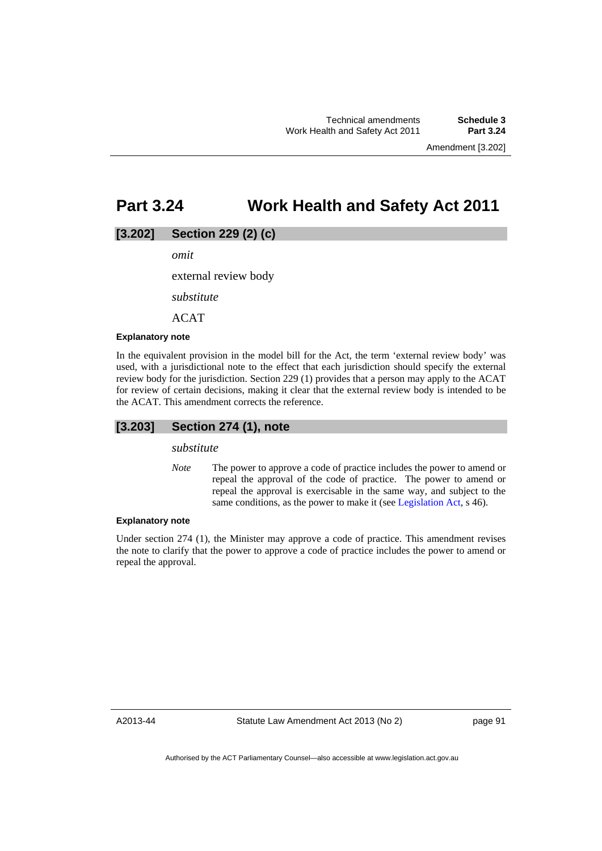# **Part 3.24 Work Health and Safety Act 2011**

## **[3.202] Section 229 (2) (c)**

*omit* 

external review body

*substitute* 

ACAT

#### **Explanatory note**

In the equivalent provision in the model bill for the Act, the term 'external review body' was used, with a jurisdictional note to the effect that each jurisdiction should specify the external review body for the jurisdiction. Section 229 (1) provides that a person may apply to the ACAT for review of certain decisions, making it clear that the external review body is intended to be the ACAT. This amendment corrects the reference.

# **[3.203] Section 274 (1), note**

*substitute* 

*Note* The power to approve a code of practice includes the power to amend or repeal the approval of the code of practice. The power to amend or repeal the approval is exercisable in the same way, and subject to the same conditions, as the power to make it (see [Legislation Act,](http://www.legislation.act.gov.au/a/2001-14) s 46).

#### **Explanatory note**

Under section 274 (1), the Minister may approve a code of practice. This amendment revises the note to clarify that the power to approve a code of practice includes the power to amend or repeal the approval.

A2013-44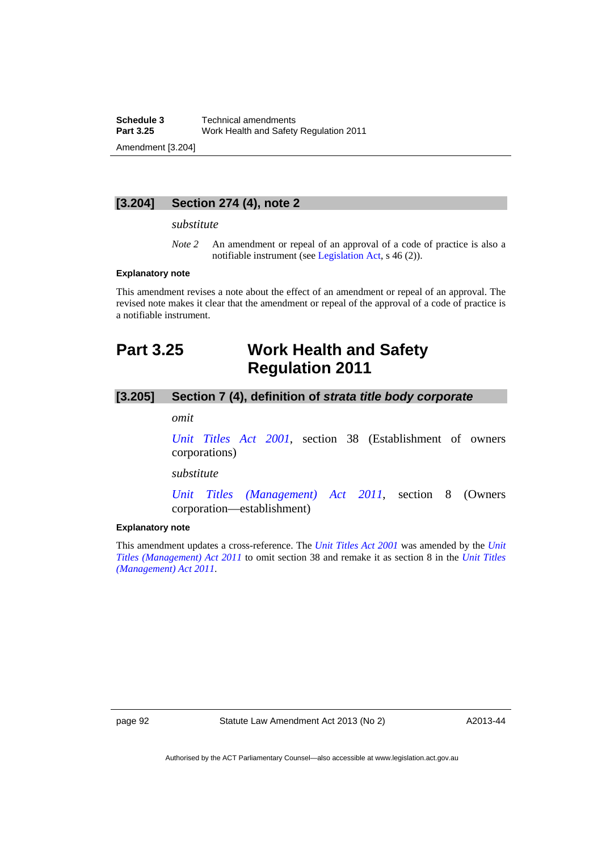**Schedule 3 Technical amendments**<br>**Part 3.25 Work Health and Safety Part 3.25** Work Health and Safety Regulation 2011 Amendment [3.204]

**[3.204] Section 274 (4), note 2** 

#### *substitute*

*Note* 2 An amendment or repeal of an approval of a code of practice is also a notifiable instrument (see [Legislation Act,](http://www.legislation.act.gov.au/a/2001-14) s 46 (2)).

### **Explanatory note**

This amendment revises a note about the effect of an amendment or repeal of an approval. The revised note makes it clear that the amendment or repeal of the approval of a code of practice is a notifiable instrument.

# **Part 3.25 Work Health and Safety Regulation 2011**

# **[3.205] Section 7 (4), definition of** *strata title body corporate*

*omit* 

*[Unit Titles Act 2001](http://www.legislation.act.gov.au/a/2001-16)*, section 38 (Establishment of owners corporations)

*substitute* 

*[Unit Titles \(Management\) Act 2011](http://www.legislation.act.gov.au/a/2011-41)*, section 8 (Owners corporation—establishment)

#### **Explanatory note**

This amendment updates a cross-reference. The *[Unit Titles Act 2001](http://www.legislation.act.gov.au/a/2001-16)* was amended by the *[Unit](http://www.legislation.act.gov.au/a/2011-41)  [Titles \(Management\) Act 2011](http://www.legislation.act.gov.au/a/2011-41)* to omit section 38 and remake it as section 8 in the *[Unit Titles](http://www.legislation.act.gov.au/a/2011-41)  [\(Management\) Act 2011](http://www.legislation.act.gov.au/a/2011-41)*.

page 92 Statute Law Amendment Act 2013 (No 2)

A2013-44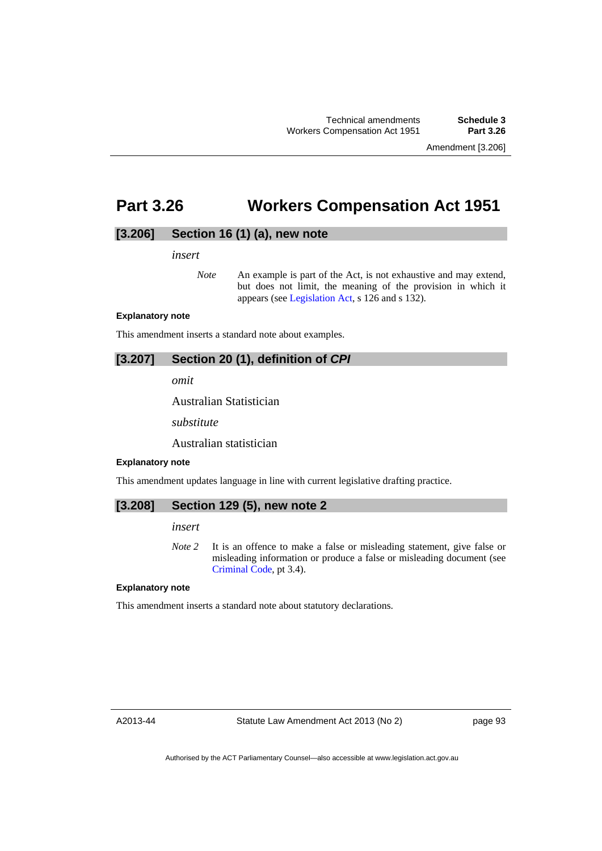Amendment [3.206]

# **Part 3.26 Workers Compensation Act 1951**

## **[3.206] Section 16 (1) (a), new note**

*insert* 

*Note* An example is part of the Act, is not exhaustive and may extend, but does not limit, the meaning of the provision in which it appears (see [Legislation Act,](http://www.legislation.act.gov.au/a/2001-14) s 126 and s 132).

#### **Explanatory note**

This amendment inserts a standard note about examples.

# **[3.207] Section 20 (1), definition of** *CPI*

*omit* 

Australian Statistician

*substitute* 

Australian statistician

#### **Explanatory note**

This amendment updates language in line with current legislative drafting practice.

### **[3.208] Section 129 (5), new note 2**

*insert* 

*Note 2* It is an offence to make a false or misleading statement, give false or misleading information or produce a false or misleading document (see [Criminal Code](http://www.legislation.act.gov.au/a/2002-51), pt 3.4).

#### **Explanatory note**

This amendment inserts a standard note about statutory declarations.

A2013-44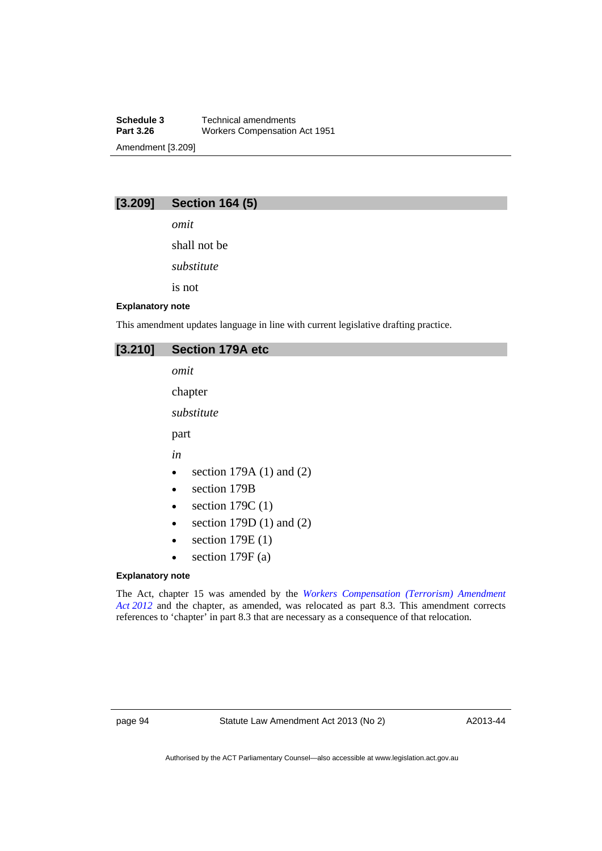**Schedule 3 Technical amendments**<br>**Part 3.26 Workers Compensation Workers Compensation Act 1951** Amendment [3.209]

# **[3.209] Section 164 (5)**

*omit* 

shall not be

*substitute* 

is not

### **Explanatory note**

This amendment updates language in line with current legislative drafting practice.

# **[3.210] Section 179A etc**

*omit* 

chapter

*substitute* 

part

*in* 

- $\bullet$  section 179A (1) and (2)
- section 179B
- $\bullet$  section 179C (1)
- $\bullet$  section 179D (1) and (2)
- $\bullet$  section 179E (1)
- $\bullet$  section 179F (a)

### **Explanatory note**

The Act, chapter 15 was amended by the *[Workers Compensation \(Terrorism\) Amendment](http://www.legislation.act.gov.au/a/2012-8/default.asp)  [Act 2012](http://www.legislation.act.gov.au/a/2012-8/default.asp)* and the chapter, as amended, was relocated as part 8.3. This amendment corrects references to 'chapter' in part 8.3 that are necessary as a consequence of that relocation.

page 94 Statute Law Amendment Act 2013 (No 2)

A2013-44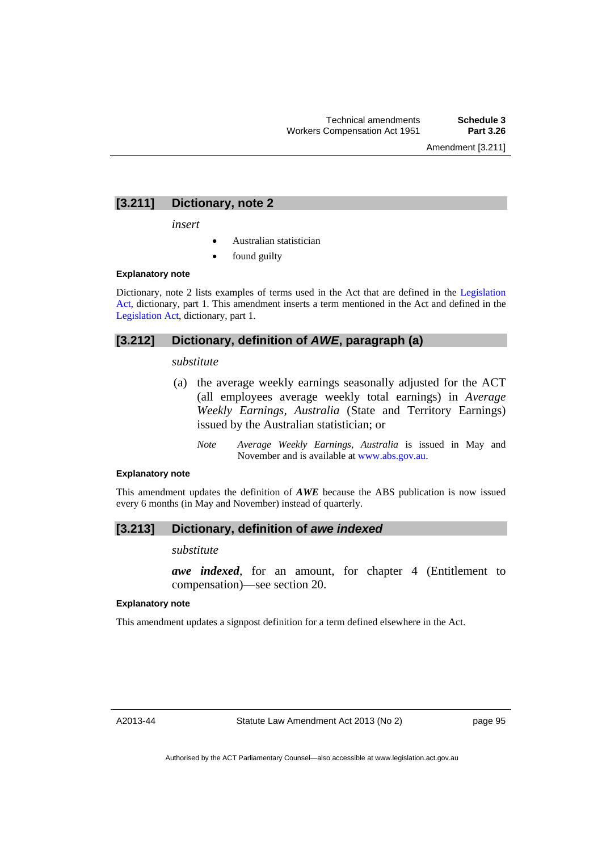# **[3.211] Dictionary, note 2**

*insert* 

- Australian statistician
- found guilty

#### **Explanatory note**

Dictionary, note 2 lists examples of terms used in the Act that are defined in the [Legislation](http://www.legislation.act.gov.au/a/2001-14)  [Act,](http://www.legislation.act.gov.au/a/2001-14) dictionary, part 1. This amendment inserts a term mentioned in the Act and defined in the [Legislation Act,](http://www.legislation.act.gov.au/a/2001-14) dictionary, part 1.

# **[3.212] Dictionary, definition of** *AWE***, paragraph (a)**

#### *substitute*

- (a) the average weekly earnings seasonally adjusted for the ACT (all employees average weekly total earnings) in *Average Weekly Earnings, Australia* (State and Territory Earnings) issued by the Australian statistician; or
	- *Note Average Weekly Earnings, Australia* is issued in May and November and is available at [www.abs.gov.au](http://www.abs.gov.au/).

### **Explanatory note**

This amendment updates the definition of *AWE* because the ABS publication is now issued every 6 months (in May and November) instead of quarterly.

# **[3.213] Dictionary, definition of** *awe indexed*

*substitute* 

*awe indexed*, for an amount, for chapter 4 (Entitlement to compensation)—see section 20.

### **Explanatory note**

This amendment updates a signpost definition for a term defined elsewhere in the Act.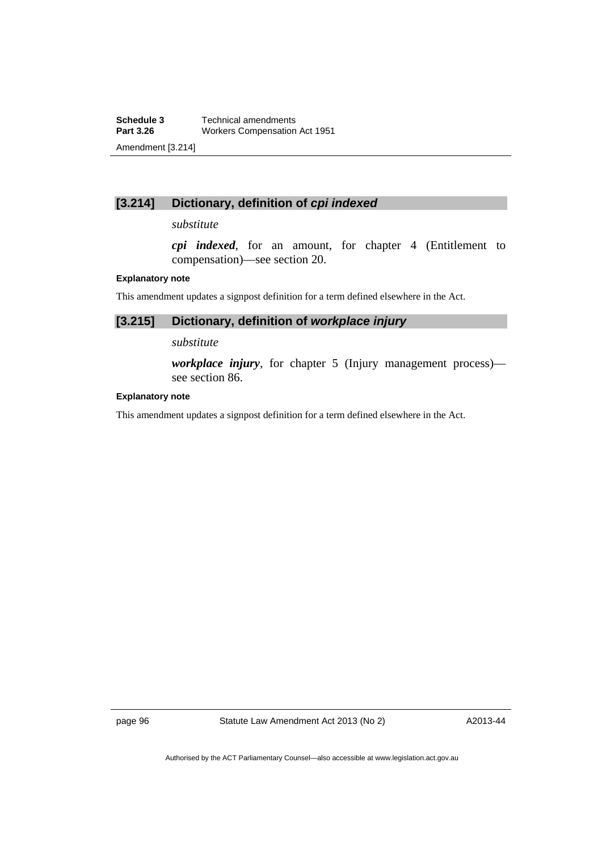# **[3.214] Dictionary, definition of** *cpi indexed*

# *substitute*

*cpi indexed*, for an amount, for chapter 4 (Entitlement to compensation)—see section 20.

### **Explanatory note**

This amendment updates a signpost definition for a term defined elsewhere in the Act.

# **[3.215] Dictionary, definition of** *workplace injury*

### *substitute*

*workplace injury*, for chapter 5 (Injury management process) see section 86.

### **Explanatory note**

This amendment updates a signpost definition for a term defined elsewhere in the Act.

page 96 Statute Law Amendment Act 2013 (No 2)